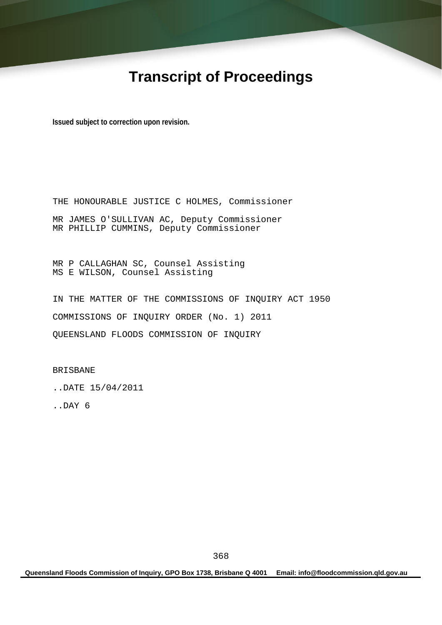## **Transcript of Proceedings**

**Issued subject to correction upon revision.** 

THE HONOURABLE JUSTICE C HOLMES, Commissioner MR JAMES O'SULLIVAN AC, Deputy Commissioner MR PHILLIP CUMMINS, Deputy Commissioner

MR P CALLAGHAN SC, Counsel Assisting MS E WILSON, Counsel Assisting

IN THE MATTER OF THE COMMISSIONS OF INQUIRY ACT 1950 COMMISSIONS OF INQUIRY ORDER (No. 1) 2011 QUEENSLAND FLOODS COMMISSION OF INQUIRY

BRISBANE

..DATE 15/04/2011

..DAY 6

**Queensland Floods Commission of Inquiry, GPO Box 1738, Brisbane Q 4001 Email: info@floodcommission.qld.gov.au**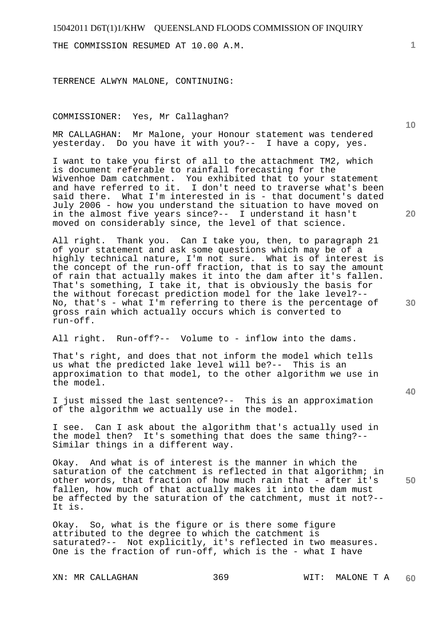THE COMMISSION RESUMED AT 10.00 A.M.

TERRENCE ALWYN MALONE, CONTINUING:

COMMISSIONER: Yes, Mr Callaghan?

MR CALLAGHAN: Mr Malone, your Honour statement was tendered yesterday. Do you have it with you?-- I have a copy, yes.

I want to take you first of all to the attachment TM2, which is document referable to rainfall forecasting for the Wivenhoe Dam catchment. You exhibited that to your statement and have referred to it. I don't need to traverse what's been said there. What I'm interested in is - that document's dated July 2006 - how you understand the situation to have moved on in the almost five years since?-- I understand it hasn't moved on considerably since, the level of that science.

All right. Thank you. Can I take you, then, to paragraph 21 of your statement and ask some questions which may be of a highly technical nature, I'm not sure. What is of interest is the concept of the run-off fraction, that is to say the amount of rain that actually makes it into the dam after it's fallen. That's something, I take it, that is obviously the basis for the without forecast prediction model for the lake level?-- No, that's - what I'm referring to there is the percentage of gross rain which actually occurs which is converted to run-off.

All right. Run-off?-- Volume to - inflow into the dams.

That's right, and does that not inform the model which tells us what the predicted lake level will be?-- This is an approximation to that model, to the other algorithm we use in the model.

I just missed the last sentence?-- This is an approximation of the algorithm we actually use in the model.

I see. Can I ask about the algorithm that's actually used in the model then? It's something that does the same thing?-- Similar things in a different way.

Okay. And what is of interest is the manner in which the saturation of the catchment is reflected in that algorithm; in other words, that fraction of how much rain that - after it's fallen, how much of that actually makes it into the dam must be affected by the saturation of the catchment, must it not?-- It is.

Okay. So, what is the figure or is there some figure attributed to the degree to which the catchment is saturated?-- Not explicitly, it's reflected in two measures. One is the fraction of run-off, which is the - what I have

**1**

**20** 

**10** 

**30** 

**40**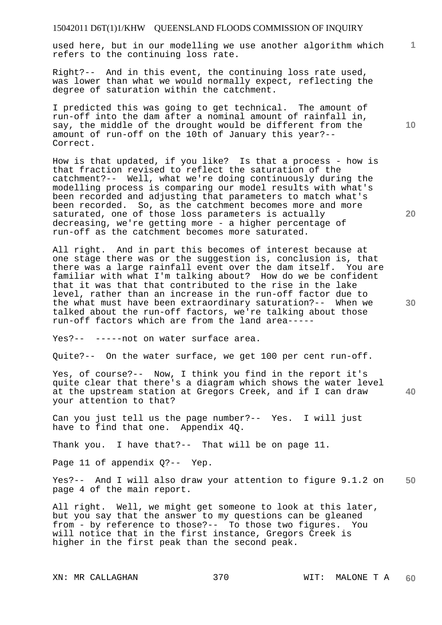**1** used here, but in our modelling we use another algorithm which refers to the continuing loss rate.

Right?-- And in this event, the continuing loss rate used, was lower than what we would normally expect, reflecting the degree of saturation within the catchment.

I predicted this was going to get technical. The amount of run-off into the dam after a nominal amount of rainfall in, say, the middle of the drought would be different from the amount of run-off on the 10th of January this year?-- Correct.

How is that updated, if you like? Is that a process - how is that fraction revised to reflect the saturation of the catchment?-- Well, what we're doing continuously during the modelling process is comparing our model results with what's been recorded and adjusting that parameters to match what's been recorded. So, as the catchment becomes more and more saturated, one of those loss parameters is actually decreasing, we're getting more - a higher percentage of run-off as the catchment becomes more saturated.

All right. And in part this becomes of interest because at one stage there was or the suggestion is, conclusion is, that there was a large rainfall event over the dam itself. You are familiar with what I'm talking about? How do we be confident that it was that that contributed to the rise in the lake level, rather than an increase in the run-off factor due to the what must have been extraordinary saturation?-- When we talked about the run-off factors, we're talking about those run-off factors which are from the land area-----

Yes?-- -----not on water surface area.

Quite?-- On the water surface, we get 100 per cent run-off.

**40**  Yes, of course?-- Now, I think you find in the report it's quite clear that there's a diagram which shows the water level at the upstream station at Gregors Creek, and if I can draw your attention to that?

Can you just tell us the page number?-- Yes. I will just have to find that one. Appendix 4Q.

Thank you. I have that?-- That will be on page 11.

Page 11 of appendix 0?-- Yep.

**50**  Yes?-- And I will also draw your attention to figure 9.1.2 on page 4 of the main report.

All right. Well, we might get someone to look at this later, but you say that the answer to my questions can be gleaned from - by reference to those?-- To those two figures. You will notice that in the first instance, Gregors Creek is higher in the first peak than the second peak.

**20** 

**10**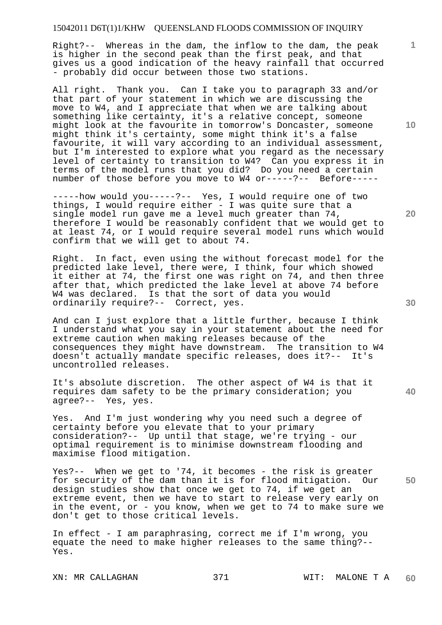Right?-- Whereas in the dam, the inflow to the dam, the peak is higher in the second peak than the first peak, and that gives us a good indication of the heavy rainfall that occurred - probably did occur between those two stations.

All right. Thank you. Can I take you to paragraph 33 and/or that part of your statement in which we are discussing the move to W4, and I appreciate that when we are talking about something like certainty, it's a relative concept, someone might look at the favourite in tomorrow's Doncaster, someone might think it's certainty, some might think it's a false favourite, it will vary according to an individual assessment, but I'm interested to explore what you regard as the necessary level of certainty to transition to W4? Can you express it in terms of the model runs that you did? Do you need a certain number of those before you move to W4 or-----?-- Before-----

-----how would you-----?-- Yes, I would require one of two things, I would require either - I was quite sure that a single model run gave me a level much greater than 74, therefore I would be reasonably confident that we would get to at least 74, or I would require several model runs which would confirm that we will get to about 74.

Right. In fact, even using the without forecast model for the predicted lake level, there were, I think, four which showed it either at 74, the first one was right on 74, and then three after that, which predicted the lake level at above 74 before W4 was declared. Is that the sort of data you would ordinarily require?-- Correct, yes.

And can I just explore that a little further, because I think I understand what you say in your statement about the need for extreme caution when making releases because of the consequences they might have downstream. The transition to W4 doesn't actually mandate specific releases, does it?-- It's uncontrolled releases.

It's absolute discretion. The other aspect of W4 is that it requires dam safety to be the primary consideration; you agree?-- Yes, yes.

Yes. And I'm just wondering why you need such a degree of certainty before you elevate that to your primary consideration?-- Up until that stage, we're trying - our optimal requirement is to minimise downstream flooding and maximise flood mitigation.

**50**  Yes?-- When we get to '74, it becomes - the risk is greater for security of the dam than it is for flood mitigation. Our design studies show that once we get to 74, if we get an extreme event, then we have to start to release very early on in the event, or - you know, when we get to 74 to make sure we don't get to those critical levels.

In effect - I am paraphrasing, correct me if I'm wrong, you equate the need to make higher releases to the same thing?-- Yes.

**10** 

**1**

**20**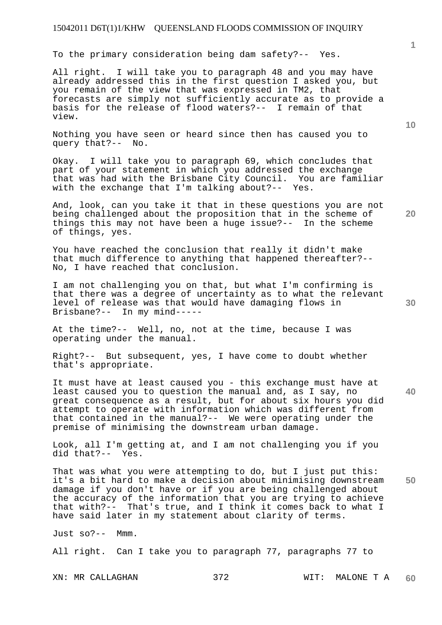To the primary consideration being dam safety?-- Yes.

All right. I will take you to paragraph 48 and you may have already addressed this in the first question I asked you, but you remain of the view that was expressed in TM2, that forecasts are simply not sufficiently accurate as to provide a basis for the release of flood waters?-- I remain of that view.

Nothing you have seen or heard since then has caused you to query that?-- No.

Okay. I will take you to paragraph 69, which concludes that part of your statement in which you addressed the exchange that was had with the Brisbane City Council. You are familiar with the exchange that I'm talking about?-- Yes.

And, look, can you take it that in these questions you are not being challenged about the proposition that in the scheme of things this may not have been a huge issue?-- In the scheme of things, yes.

You have reached the conclusion that really it didn't make that much difference to anything that happened thereafter?-- No, I have reached that conclusion.

I am not challenging you on that, but what I'm confirming is that there was a degree of uncertainty as to what the relevant level of release was that would have damaging flows in Brisbane?-- In my mind-----

At the time?-- Well, no, not at the time, because I was operating under the manual.

Right?-- But subsequent, yes, I have come to doubt whether that's appropriate.

It must have at least caused you - this exchange must have at least caused you to question the manual and, as I say, no great consequence as a result, but for about six hours you did attempt to operate with information which was different from that contained in the manual?-- We were operating under the premise of minimising the downstream urban damage.

Look, all I'm getting at, and I am not challenging you if you did that?-- Yes.

**50**  That was what you were attempting to do, but I just put this: it's a bit hard to make a decision about minimising downstream damage if you don't have or if you are being challenged about the accuracy of the information that you are trying to achieve that with?-- That's true, and I think it comes back to what I have said later in my statement about clarity of terms.

Just so?-- Mmm.

All right. Can I take you to paragraph 77, paragraphs 77 to

XN: MR CALLAGHAN 372 WIT: MALONE T A **60** 

**20** 

**10** 

**30**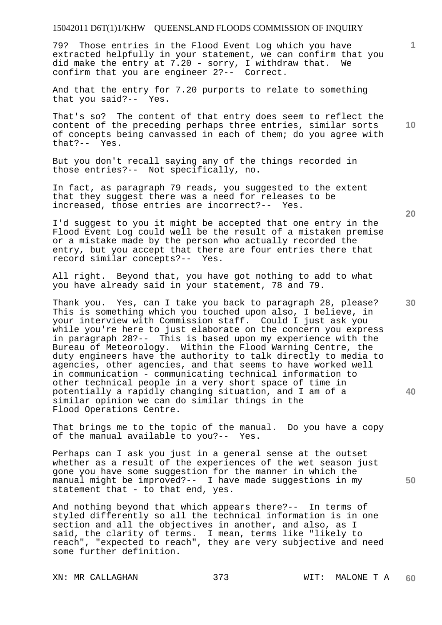79? Those entries in the Flood Event Log which you have extracted helpfully in your statement, we can confirm that you did make the entry at 7.20 - sorry, I withdraw that. We confirm that you are engineer 2?-- Correct.

And that the entry for 7.20 purports to relate to something that you said?-- Yes.

**10**  That's so? The content of that entry does seem to reflect the content of the preceding perhaps three entries, similar sorts of concepts being canvassed in each of them; do you agree with that?-- Yes.

But you don't recall saying any of the things recorded in those entries?-- Not specifically, no.

In fact, as paragraph 79 reads, you suggested to the extent that they suggest there was a need for releases to be increased, those entries are incorrect?-- Yes.

I'd suggest to you it might be accepted that one entry in the Flood Event Log could well be the result of a mistaken premise or a mistake made by the person who actually recorded the entry, but you accept that there are four entries there that record similar concepts?-- Yes.

All right. Beyond that, you have got nothing to add to what you have already said in your statement, 78 and 79.

Thank you. Yes, can I take you back to paragraph 28, please? This is something which you touched upon also, I believe, in your interview with Commission staff. Could I just ask you while you're here to just elaborate on the concern you express in paragraph 28?-- This is based upon my experience with the Bureau of Meteorology. Within the Flood Warning Centre, the duty engineers have the authority to talk directly to media to agencies, other agencies, and that seems to have worked well in communication - communicating technical information to other technical people in a very short space of time in potentially a rapidly changing situation, and I am of a similar opinion we can do similar things in the Flood Operations Centre.

That brings me to the topic of the manual. Do you have a copy of the manual available to you?-- Yes.

Perhaps can I ask you just in a general sense at the outset whether as a result of the experiences of the wet season just gone you have some suggestion for the manner in which the manual might be improved?-- I have made suggestions in my statement that - to that end, yes.

And nothing beyond that which appears there?-- In terms of styled differently so all the technical information is in one section and all the objectives in another, and also, as I said, the clarity of terms. I mean, terms like "likely to reach", "expected to reach", they are very subjective and need some further definition.

**20** 

**40** 

**1**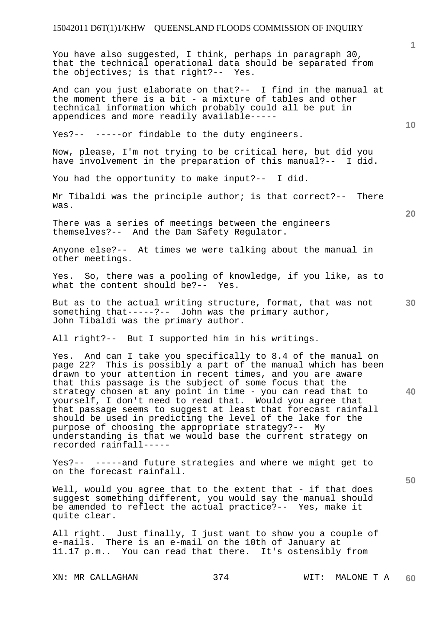You have also suggested, I think, perhaps in paragraph 30, that the technical operational data should be separated from the objectives; is that right?-- Yes.

And can you just elaborate on that?-- I find in the manual at the moment there is a bit - a mixture of tables and other technical information which probably could all be put in appendices and more readily available-----

Yes?-- -----or findable to the duty engineers.

Now, please, I'm not trying to be critical here, but did you have involvement in the preparation of this manual?-- I did.

You had the opportunity to make input?-- I did.

Mr Tibaldi was the principle author; is that correct?-- There was.

There was a series of meetings between the engineers themselves?-- And the Dam Safety Regulator.

Anyone else?-- At times we were talking about the manual in other meetings.

Yes. So, there was a pooling of knowledge, if you like, as to what the content should be?-- Yes.

But as to the actual writing structure, format, that was not something that-----?-- John was the primary author, John Tibaldi was the primary author.

All right?-- But I supported him in his writings.

**40**  Yes. And can I take you specifically to 8.4 of the manual on page 22? This is possibly a part of the manual which has been drawn to your attention in recent times, and you are aware that this passage is the subject of some focus that the strategy chosen at any point in time - you can read that to yourself, I don't need to read that. Would you agree that that passage seems to suggest at least that forecast rainfall should be used in predicting the level of the lake for the purpose of choosing the appropriate strategy?-- My understanding is that we would base the current strategy on recorded rainfall-----

Yes?-- -----and future strategies and where we might get to on the forecast rainfall.

Well, would you agree that to the extent that  $-$  if that does suggest something different, you would say the manual should be amended to reflect the actual practice?-- Yes, make it quite clear.

All right. Just finally, I just want to show you a couple of e-mails. There is an e-mail on the 10th of January at 11.17 p.m.. You can read that there. It's ostensibly from

**1**

**20**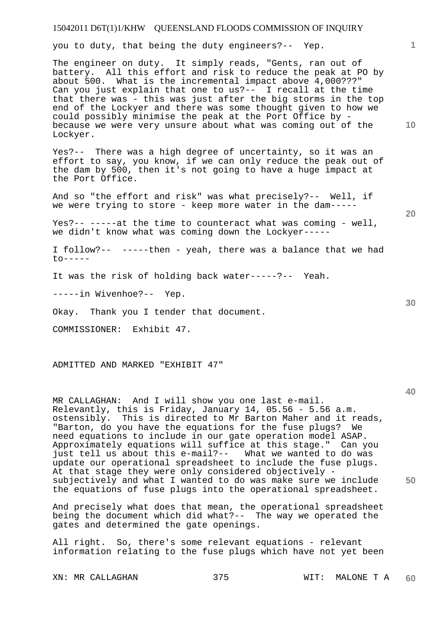you to duty, that being the duty engineers?-- Yep.

The engineer on duty. It simply reads, "Gents, ran out of battery. All this effort and risk to reduce the peak at PO by about 500. What is the incremental impact above 4,000???" Can you just explain that one to us?-- I recall at the time that there was - this was just after the big storms in the top end of the Lockyer and there was some thought given to how we could possibly minimise the peak at the Port Office by because we were very unsure about what was coming out of the Lockyer.

Yes?-- There was a high degree of uncertainty, so it was an effort to say, you know, if we can only reduce the peak out of the dam by 500, then it's not going to have a huge impact at the Port Office.

And so "the effort and risk" was what precisely?-- Well, if we were trying to store - keep more water in the dam-----

Yes?-- -----at the time to counteract what was coming - well, we didn't know what was coming down the Lockyer-----

I follow?-- -----then - yeah, there was a balance that we had  $t_0$ -----

It was the risk of holding back water-----?-- Yeah.

-----in Wivenhoe?-- Yep.

Okay. Thank you I tender that document.

COMMISSIONER: Exhibit 47.

ADMITTED AND MARKED "EXHIBIT 47"

**50**  MR CALLAGHAN: And I will show you one last e-mail. Relevantly, this is Friday, January 14, 05.56 - 5.56 a.m. ostensibly. This is directed to Mr Barton Maher and it reads, "Barton, do you have the equations for the fuse plugs? We need equations to include in our gate operation model ASAP. Approximately equations will suffice at this stage." Can you just tell us about this e-mail?-- What we wanted to do was update our operational spreadsheet to include the fuse plugs. At that stage they were only considered objectively subjectively and what I wanted to do was make sure we include the equations of fuse plugs into the operational spreadsheet.

And precisely what does that mean, the operational spreadsheet being the document which did what?-- The way we operated the gates and determined the gate openings.

All right. So, there's some relevant equations - relevant information relating to the fuse plugs which have not yet been

**20** 

**40** 

**10**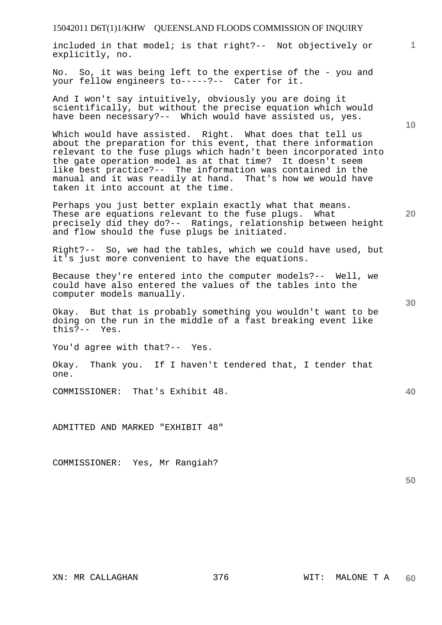included in that model; is that right?-- Not objectively or explicitly, no.

No. So, it was being left to the expertise of the - you and your fellow engineers to-----?-- Cater for it.

And I won't say intuitively, obviously you are doing it scientifically, but without the precise equation which would have been necessary?-- Which would have assisted us, yes.

Which would have assisted. Right. What does that tell us about the preparation for this event, that there information relevant to the fuse plugs which hadn't been incorporated into the gate operation model as at that time? It doesn't seem like best practice?-- The information was contained in the manual and it was readily at hand. That's how we would have taken it into account at the time.

Perhaps you just better explain exactly what that means. These are equations relevant to the fuse plugs. What precisely did they do?-- Ratings, relationship between height and flow should the fuse plugs be initiated.

Right?-- So, we had the tables, which we could have used, but it's just more convenient to have the equations.

Because they're entered into the computer models?-- Well, we could have also entered the values of the tables into the computer models manually.

Okay. But that is probably something you wouldn't want to be doing on the run in the middle of a fast breaking event like this?-- Yes.

You'd agree with that?-- Yes.

Okay. Thank you. If I haven't tendered that, I tender that one.

COMMISSIONER: That's Exhibit 48.

ADMITTED AND MARKED "EXHIBIT 48"

COMMISSIONER: Yes, Mr Rangiah?

XN: MR CALLAGHAN 376 WIT: MALONE T A **60** 

**30** 

**50** 

**40** 

**1**

**10**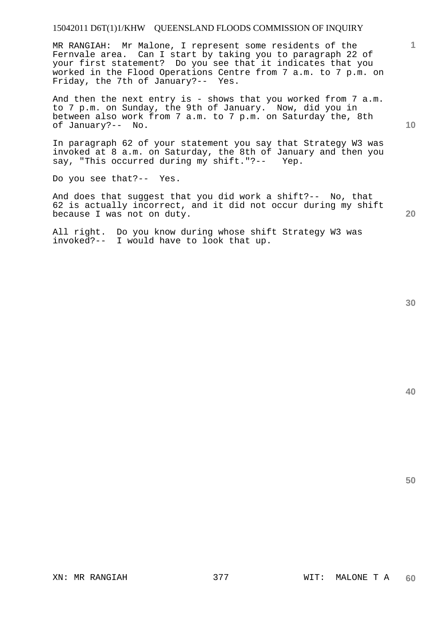MR RANGIAH: Mr Malone, I represent some residents of the Fernvale area. Can I start by taking you to paragraph 22 of your first statement? Do you see that it indicates that you worked in the Flood Operations Centre from 7 a.m. to 7 p.m. on Friday, the 7th of January?-- Yes.

And then the next entry is - shows that you worked from  $7$  a.m. to 7 p.m. on Sunday, the 9th of January. Now, did you in between also work from 7 a.m. to 7 p.m. on Saturday the, 8th of January?-- No.

In paragraph 62 of your statement you say that Strategy W3 was invoked at 8 a.m. on Saturday, the 8th of January and then you say, "This occurred during my shift."?-- Yep.

Do you see that?-- Yes.

And does that suggest that you did work a shift?-- No, that 62 is actually incorrect, and it did not occur during my shift because I was not on duty.

All right. Do you know during whose shift Strategy W3 was invoked?-- I would have to look that up.

**20** 

**10** 

**1**

**40**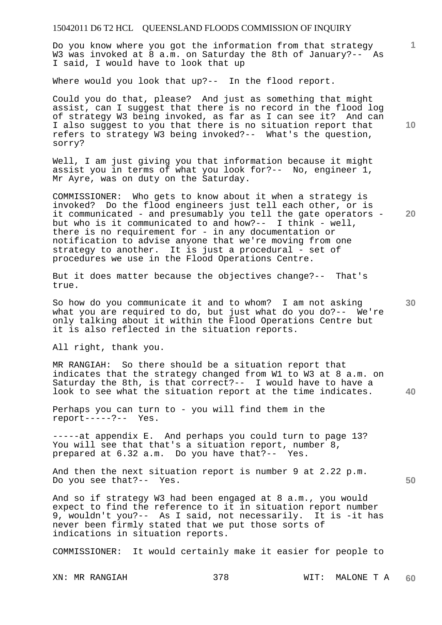Do you know where you got the information from that strategy W3 was invoked at 8 a.m. on Saturday the 8th of January?-- As I said, I would have to look that up

Where would you look that up?-- In the flood report.

Could you do that, please? And just as something that might assist, can I suggest that there is no record in the flood log of strategy W3 being invoked, as far as I can see it? And can I also suggest to you that there is no situation report that refers to strategy W3 being invoked?-- What's the question, sorry?

Well, I am just giving you that information because it might assist you in terms of what you look for?-- No, engineer 1, Mr Ayre, was on duty on the Saturday.

COMMISSIONER: Who gets to know about it when a strategy is invoked? Do the flood engineers just tell each other, or is it communicated - and presumably you tell the gate operators but who is it communicated to and how?-- I think - well, there is no requirement for - in any documentation or notification to advise anyone that we're moving from one strategy to another. It is just a procedural - set of procedures we use in the Flood Operations Centre.

But it does matter because the objectives change?-- That's true.

So how do you communicate it and to whom? I am not asking what you are required to do, but just what do you do?-- We're only talking about it within the Flood Operations Centre but it is also reflected in the situation reports.

All right, thank you.

MR RANGIAH: So there should be a situation report that indicates that the strategy changed from W1 to W3 at 8 a.m. on Saturday the 8th, is that correct?-- I would have to have a look to see what the situation report at the time indicates.

Perhaps you can turn to - you will find them in the report-----?-- Yes.

-----at appendix E. And perhaps you could turn to page 13? You will see that that's a situation report, number 8, prepared at 6.32 a.m. Do you have that?-- Yes.

And then the next situation report is number 9 at 2.22 p.m. Do you see that?-- Yes.

And so if strategy W3 had been engaged at 8 a.m., you would expect to find the reference to it in situation report number 9, wouldn't you?-- As I said, not necessarily. It is -it has never been firmly stated that we put those sorts of indications in situation reports.

COMMISSIONER: It would certainly make it easier for people to

XN: MR RANGIAH 378 WIT: MALONE T A **60** 

**10** 

**20** 

**1**

**40**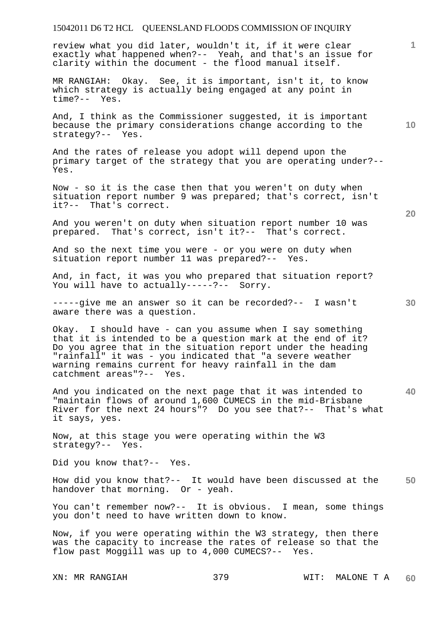review what you did later, wouldn't it, if it were clear exactly what happened when?-- Yeah, and that's an issue for clarity within the document - the flood manual itself.

MR RANGIAH: Okay. See, it is important, isn't it, to know which strategy is actually being engaged at any point in time?-- Yes.

And, I think as the Commissioner suggested, it is important because the primary considerations change according to the strategy?-- Yes.

And the rates of release you adopt will depend upon the primary target of the strategy that you are operating under?-- Yes.

Now - so it is the case then that you weren't on duty when situation report number 9 was prepared; that's correct, isn't it?-- That's correct.

And you weren't on duty when situation report number 10 was prepared. That's correct, isn't it?-- That's correct.

And so the next time you were - or you were on duty when situation report number 11 was prepared?-- Yes.

And, in fact, it was you who prepared that situation report? You will have to actually-----?-- Sorry.

**30**  -----give me an answer so it can be recorded?-- I wasn't aware there was a question.

Okay. I should have - can you assume when I say something that it is intended to be a question mark at the end of it? Do you agree that in the situation report under the heading "rainfall" it was - you indicated that "a severe weather warning remains current for heavy rainfall in the dam catchment areas"?-- Yes.

**40**  And you indicated on the next page that it was intended to "maintain flows of around 1,600 CUMECS in the mid-Brisbane River for the next 24 hours"? Do you see that?-- That's what it says, yes.

Now, at this stage you were operating within the W3 strategy?-- Yes.

Did you know that?-- Yes.

**50**  How did you know that?-- It would have been discussed at the handover that morning. Or - yeah.

You can't remember now?-- It is obvious. I mean, some things you don't need to have written down to know.

Now, if you were operating within the W3 strategy, then there was the capacity to increase the rates of release so that the flow past Moggill was up to 4,000 CUMECS?-- Yes.

**20** 

**1**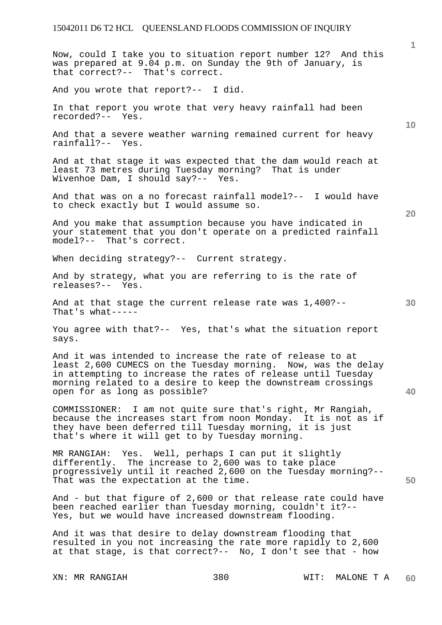Now, could I take you to situation report number 12? And this was prepared at 9.04 p.m. on Sunday the 9th of January, is that correct?-- That's correct.

And you wrote that report?-- I did.

In that report you wrote that very heavy rainfall had been recorded?-- Yes.

And that a severe weather warning remained current for heavy rainfall?-- Yes.

And at that stage it was expected that the dam would reach at least 73 metres during Tuesday morning? That is under Wivenhoe Dam, I should say?-- Yes.

And that was on a no forecast rainfall model?-- I would have to check exactly but I would assume so.

And you make that assumption because you have indicated in your statement that you don't operate on a predicted rainfall model?-- That's correct.

When deciding strategy?-- Current strategy.

And by strategy, what you are referring to is the rate of releases?-- Yes.

And at that stage the current release rate was 1,400?-- That's what-----

You agree with that?-- Yes, that's what the situation report says.

And it was intended to increase the rate of release to at least 2,600 CUMECS on the Tuesday morning. Now, was the delay in attempting to increase the rates of release until Tuesday morning related to a desire to keep the downstream crossings open for as long as possible?

COMMISSIONER: I am not quite sure that's right, Mr Rangiah, because the increases start from noon Monday. It is not as if they have been deferred till Tuesday morning, it is just that's where it will get to by Tuesday morning.

MR RANGIAH: Yes. Well, perhaps I can put it slightly differently. The increase to 2,600 was to take place progressively until it reached 2,600 on the Tuesday morning?-- That was the expectation at the time.

And - but that figure of 2,600 or that release rate could have been reached earlier than Tuesday morning, couldn't it?-- Yes, but we would have increased downstream flooding.

And it was that desire to delay downstream flooding that resulted in you not increasing the rate more rapidly to 2,600 at that stage, is that correct?-- No, I don't see that - how

**10** 

**1**

**30** 

**20** 

**40**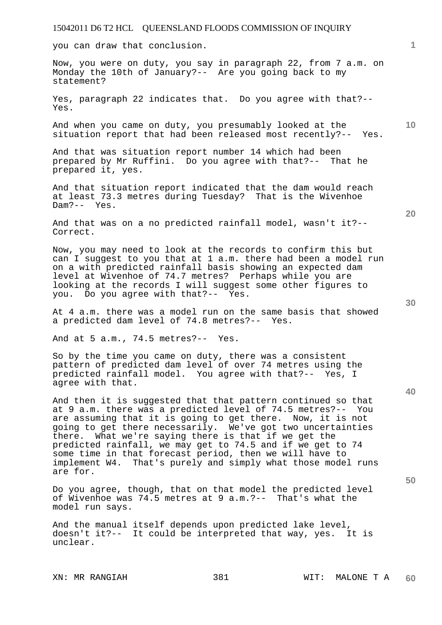you can draw that conclusion.

Now, you were on duty, you say in paragraph 22, from 7 a.m. on Monday the 10th of January?-- Are you going back to my statement?

Yes, paragraph 22 indicates that. Do you agree with that?-- Yes.

And when you came on duty, you presumably looked at the situation report that had been released most recently?-- Yes.

And that was situation report number 14 which had been prepared by Mr Ruffini. Do you agree with that?-- That he prepared it, yes.

And that situation report indicated that the dam would reach at least 73.3 metres during Tuesday? That is the Wivenhoe Dam?-- Yes.

And that was on a no predicted rainfall model, wasn't it?-- Correct.

Now, you may need to look at the records to confirm this but can I suggest to you that at 1 a.m. there had been a model run on a with predicted rainfall basis showing an expected dam level at Wivenhoe of 74.7 metres? Perhaps while you are looking at the records I will suggest some other figures to you. Do you agree with that?-- Yes.

At 4 a.m. there was a model run on the same basis that showed a predicted dam level of 74.8 metres?-- Yes.

And at 5 a.m., 74.5 metres?-- Yes.

So by the time you came on duty, there was a consistent pattern of predicted dam level of over 74 metres using the predicted rainfall model. You agree with that?-- Yes, I agree with that.

And then it is suggested that that pattern continued so that at 9 a.m. there was a predicted level of 74.5 metres?-- You are assuming that it is going to get there. Now, it is not going to get there necessarily. We've got two uncertainties there. What we're saying there is that if we get the predicted rainfall, we may get to 74.5 and if we get to 74 some time in that forecast period, then we will have to implement W4. That's purely and simply what those model runs are for.

Do you agree, though, that on that model the predicted level of Wivenhoe was 74.5 metres at 9 a.m.?-- That's what the model run says.

And the manual itself depends upon predicted lake level, doesn't it?-- It could be interpreted that way, yes. It is unclear.

**30** 

**20** 

**50** 

**1**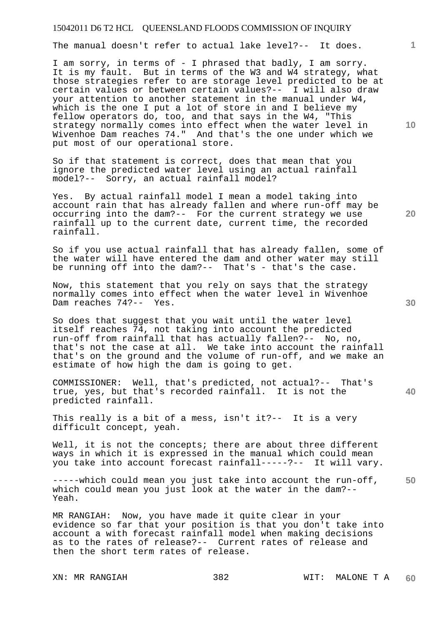The manual doesn't refer to actual lake level?-- It does.

I am sorry, in terms of - I phrased that badly, I am sorry. It is my fault. But in terms of the W3 and W4 strategy, what those strategies refer to are storage level predicted to be at certain values or between certain values?-- I will also draw your attention to another statement in the manual under W4, which is the one I put a lot of store in and I believe my fellow operators do, too, and that says in the W4, "This strategy normally comes into effect when the water level in Wivenhoe Dam reaches 74." And that's the one under which we put most of our operational store.

So if that statement is correct, does that mean that you ignore the predicted water level using an actual rainfall model?-- Sorry, an actual rainfall model?

Yes. By actual rainfall model I mean a model taking into account rain that has already fallen and where run-off may be occurring into the dam?-- For the current strategy we use rainfall up to the current date, current time, the recorded rainfall.

So if you use actual rainfall that has already fallen, some of the water will have entered the dam and other water may still be running off into the dam?-- That's - that's the case.

Now, this statement that you rely on says that the strategy normally comes into effect when the water level in Wivenhoe Dam reaches 74?-- Yes.

So does that suggest that you wait until the water level itself reaches 74, not taking into account the predicted run-off from rainfall that has actually fallen?-- No, no, that's not the case at all. We take into account the rainfall that's on the ground and the volume of run-off, and we make an estimate of how high the dam is going to get.

COMMISSIONER: Well, that's predicted, not actual?-- That's true, yes, but that's recorded rainfall. It is not the predicted rainfall.

This really is a bit of a mess, isn't it?-- It is a very difficult concept, yeah.

Well, it is not the concepts; there are about three different ways in which it is expressed in the manual which could mean you take into account forecast rainfall-----?-- It will vary.

**50**  -----which could mean you just take into account the run-off, which could mean you just look at the water in the dam?-- Yeah.

MR RANGIAH: Now, you have made it quite clear in your evidence so far that your position is that you don't take into account a with forecast rainfall model when making decisions as to the rates of release?-- Current rates of release and then the short term rates of release.

**20** 

**40** 

**10**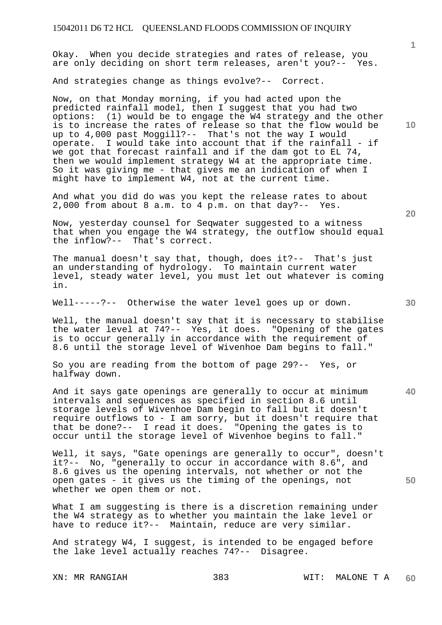Okay. When you decide strategies and rates of release, you are only deciding on short term releases, aren't you?-- Yes.

And strategies change as things evolve?-- Correct.

Now, on that Monday morning, if you had acted upon the predicted rainfall model, then I suggest that you had two options: (1) would be to engage the W4 strategy and the other is to increase the rates of release so that the flow would be up to 4,000 past Moggill?-- That's not the way I would operate. I would take into account that if the rainfall - if we got that forecast rainfall and if the dam got to EL 74, then we would implement strategy W4 at the appropriate time. So it was giving me - that gives me an indication of when I might have to implement W4, not at the current time.

And what you did do was you kept the release rates to about 2,000 from about 8 a.m. to 4 p.m. on that day?-- Yes.

Now, yesterday counsel for Seqwater suggested to a witness that when you engage the W4 strategy, the outflow should equal the inflow?-- That's correct.

The manual doesn't say that, though, does it?-- That's just an understanding of hydrology. To maintain current water level, steady water level, you must let out whatever is coming in.

Well-----?-- Otherwise the water level goes up or down.

Well, the manual doesn't say that it is necessary to stabilise the water level at 74?-- Yes, it does. "Opening of the gates is to occur generally in accordance with the requirement of 8.6 until the storage level of Wivenhoe Dam begins to fall."

So you are reading from the bottom of page 29?-- Yes, or halfway down.

And it says gate openings are generally to occur at minimum intervals and sequences as specified in section 8.6 until storage levels of Wivenhoe Dam begin to fall but it doesn't require outflows to - I am sorry, but it doesn't require that that be done?-- I read it does. "Opening the gates is to occur until the storage level of Wivenhoe begins to fall."

Well, it says, "Gate openings are generally to occur", doesn't it?-- No, "generally to occur in accordance with 8.6", and 8.6 gives us the opening intervals, not whether or not the open gates - it gives us the timing of the openings, not whether we open them or not.

What I am suggesting is there is a discretion remaining under the W4 strategy as to whether you maintain the lake level or have to reduce it?-- Maintain, reduce are very similar.

And strategy W4, I suggest, is intended to be engaged before the lake level actually reaches 74?-- Disagree.

**10** 

**20** 

**1**

**40**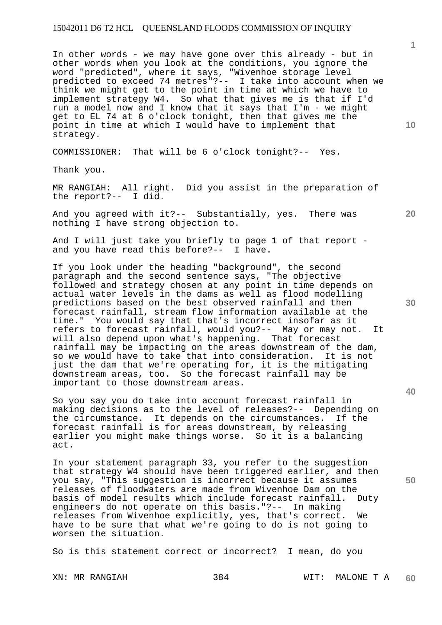In other words - we may have gone over this already - but in other words when you look at the conditions, you ignore the word "predicted", where it says, "Wivenhoe storage level predicted to exceed 74 metres"?-- I take into account when we think we might get to the point in time at which we have to implement strategy W4. So what that gives me is that if I'd run a model now and I know that it says that I'm - we might get to EL 74 at 6 o'clock tonight, then that gives me the point in time at which I would have to implement that strategy.

COMMISSIONER: That will be 6 o'clock tonight?-- Yes.

Thank you.

MR RANGIAH: All right. Did you assist in the preparation of the report?-- I did.

And you agreed with it?-- Substantially, yes. There was nothing I have strong objection to.

And I will just take you briefly to page 1 of that report and you have read this before?-- I have.

If you look under the heading "background", the second paragraph and the second sentence says, "The objective followed and strategy chosen at any point in time depends on actual water levels in the dams as well as flood modelling predictions based on the best observed rainfall and then forecast rainfall, stream flow information available at the time." You would say that that's incorrect insofar as it refers to forecast rainfall, would you?-- May or may not. It will also depend upon what's happening. That forecast rainfall may be impacting on the areas downstream of the dam, so we would have to take that into consideration. It is not just the dam that we're operating for, it is the mitigating downstream areas, too. So the forecast rainfall may be important to those downstream areas.

So you say you do take into account forecast rainfall in making decisions as to the level of releases?-- Depending on the circumstance. If the the circumstance. It depends on the circumstances. forecast rainfall is for areas downstream, by releasing earlier you might make things worse. So it is a balancing act.

In your statement paragraph 33, you refer to the suggestion that strategy W4 should have been triggered earlier, and then you say, "This suggestion is incorrect because it assumes releases of floodwaters are made from Wivenhoe Dam on the basis of model results which include forecast rainfall. Duty engineers do not operate on this basis."?-- In making releases from Wivenhoe explicitly, yes, that's correct. We have to be sure that what we're going to do is not going to worsen the situation.

So is this statement correct or incorrect? I mean, do you

XN: MR RANGIAH 384 WIT: MALONE T A **60** 

**30** 

**40** 

**50** 

**10** 

**20**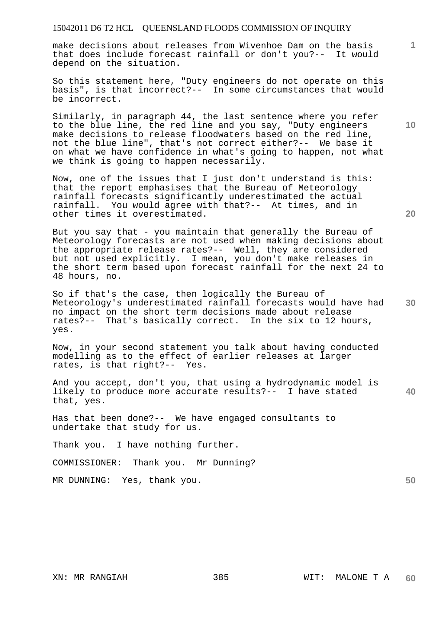make decisions about releases from Wivenhoe Dam on the basis that does include forecast rainfall or don't you?-- It would depend on the situation.

So this statement here, "Duty engineers do not operate on this basis", is that incorrect?-- In some circumstances that would be incorrect.

Similarly, in paragraph 44, the last sentence where you refer to the blue line, the red line and you say, "Duty engineers make decisions to release floodwaters based on the red line, not the blue line", that's not correct either?-- We base it on what we have confidence in what's going to happen, not what we think is going to happen necessarily.

Now, one of the issues that I just don't understand is this: that the report emphasises that the Bureau of Meteorology rainfall forecasts significantly underestimated the actual rainfall. You would agree with that?-- At times, and in other times it overestimated.

But you say that - you maintain that generally the Bureau of Meteorology forecasts are not used when making decisions about the appropriate release rates?-- Well, they are considered but not used explicitly. I mean, you don't make releases in the short term based upon forecast rainfall for the next 24 to 48 hours, no.

So if that's the case, then logically the Bureau of Meteorology's underestimated rainfall forecasts would have had no impact on the short term decisions made about release rates?-- That's basically correct. In the six to 12 hours, yes.

Now, in your second statement you talk about having conducted modelling as to the effect of earlier releases at larger rates, is that right?-- Yes.

**40**  And you accept, don't you, that using a hydrodynamic model is likely to produce more accurate results?-- I have stated that, yes.

Has that been done?-- We have engaged consultants to undertake that study for us.

Thank you. I have nothing further.

COMMISSIONER: Thank you. Mr Dunning?

MR DUNNING: Yes, thank you.

**10** 

**1**

**20**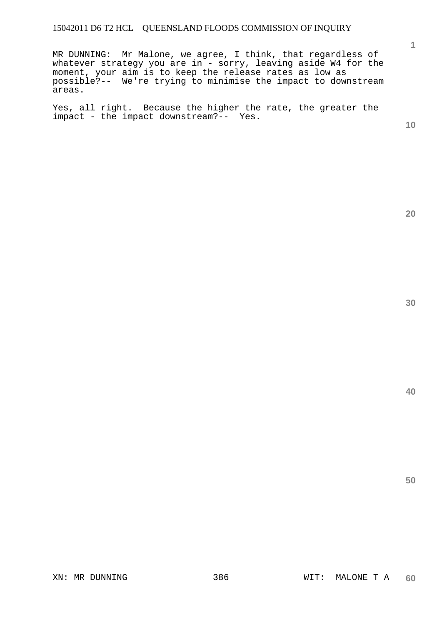MR DUNNING: Mr Malone, we agree, I think, that regardless of whatever strategy you are in - sorry, leaving aside W4 for the moment, your aim is to keep the release rates as low as possible?-- We're trying to minimise the impact to downstream areas.

Yes, all right. Because the higher the rate, the greater the impact - the impact downstream?-- Yes.

**10** 

**1**

**20**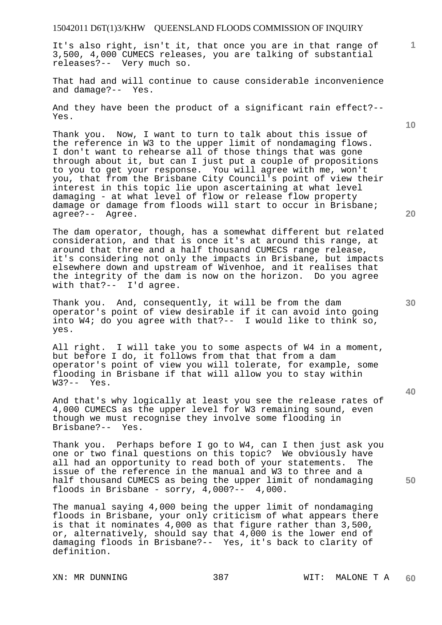It's also right, isn't it, that once you are in that range of 3,500, 4,000 CUMECS releases, you are talking of substantial releases?-- Very much so.

That had and will continue to cause considerable inconvenience and damage?-- Yes.

And they have been the product of a significant rain effect?-- Yes.

Thank you. Now, I want to turn to talk about this issue of the reference in W3 to the upper limit of nondamaging flows. I don't want to rehearse all of those things that was gone through about it, but can I just put a couple of propositions to you to get your response. You will agree with me, won't you, that from the Brisbane City Council<sup>T</sup>s point of view their interest in this topic lie upon ascertaining at what level damaging - at what level of flow or release flow property damage or damage from floods will start to occur in Brisbane; agree?-- Agree.

The dam operator, though, has a somewhat different but related consideration, and that is once it's at around this range, at around that three and a half thousand CUMECS range release, it's considering not only the impacts in Brisbane, but impacts elsewhere down and upstream of Wivenhoe, and it realises that the integrity of the dam is now on the horizon. Do you agree with that?-- I'd agree.

Thank you. And, consequently, it will be from the dam operator's point of view desirable if it can avoid into going into W4; do you agree with that?-- I would like to think so, yes.

All right. I will take you to some aspects of W4 in a moment, but before I do, it follows from that that from a dam operator's point of view you will tolerate, for example, some flooding in Brisbane if that will allow you to stay within W3?-- Yes.

And that's why logically at least you see the release rates of 4,000 CUMECS as the upper level for W3 remaining sound, even though we must recognise they involve some flooding in Brisbane?-- Yes.

Thank you. Perhaps before I go to W4, can I then just ask you one or two final questions on this topic? We obviously have all had an opportunity to read both of your statements. The issue of the reference in the manual and W3 to three and a half thousand CUMECS as being the upper limit of nondamaging floods in Brisbane - sorry, 4,000?-- 4,000.

The manual saying 4,000 being the upper limit of nondamaging floods in Brisbane, your only criticism of what appears there is that it nominates 4,000 as that figure rather than 3,500, or, alternatively, should say that 4,000 is the lower end of damaging floods in Brisbane?-- Yes, it's back to clarity of definition.

XN: MR DUNNING  $387$  WIT: MALONE T A **60** 

**20** 

**10** 

**1**

**40**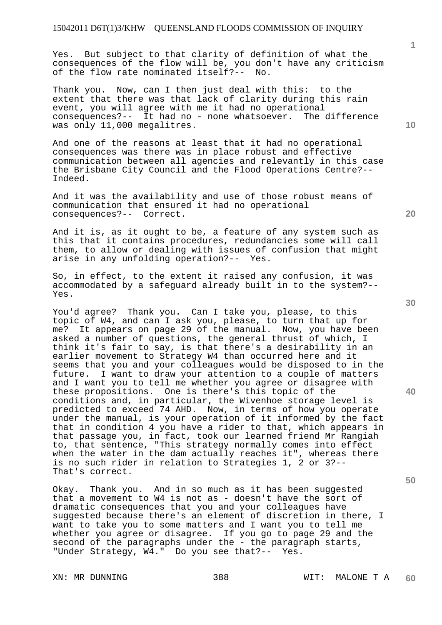Yes. But subject to that clarity of definition of what the consequences of the flow will be, you don't have any criticism of the flow rate nominated itself?-- No.

Thank you. Now, can I then just deal with this: to the extent that there was that lack of clarity during this rain event, you will agree with me it had no operational consequences?-- It had no - none whatsoever. The difference was only 11,000 megalitres.

And one of the reasons at least that it had no operational consequences was there was in place robust and effective communication between all agencies and relevantly in this case the Brisbane City Council and the Flood Operations Centre?-- Indeed.

And it was the availability and use of those robust means of communication that ensured it had no operational consequences?-- Correct.

And it is, as it ought to be, a feature of any system such as this that it contains procedures, redundancies some will call them, to allow or dealing with issues of confusion that might arise in any unfolding operation?-- Yes.

So, in effect, to the extent it raised any confusion, it was accommodated by a safeguard already built in to the system?-- Yes.

You'd agree? Thank you. Can I take you, please, to this topic of W4, and can I ask you, please, to turn that up for me? It appears on page 29 of the manual. Now, you have been asked a number of questions, the general thrust of which, I think it's fair to say, is that there's a desirability in an earlier movement to Strategy W4 than occurred here and it seems that you and your colleagues would be disposed to in the future. I want to draw your attention to a couple of matters and I want you to tell me whether you agree or disagree with these propositions. One is there's this topic of the conditions and, in particular, the Wivenhoe storage level is predicted to exceed 74 AHD. Now, in terms of how you operate under the manual, is your operation of it informed by the fact that in condition 4 you have a rider to that, which appears in that passage you, in fact, took our learned friend Mr Rangiah to, that sentence, "This strategy normally comes into effect when the water in the dam actually reaches it", whereas there is no such rider in relation to Strategies 1, 2 or 3?-- That's correct.

Okay. Thank you. And in so much as it has been suggested that a movement to W4 is not as - doesn't have the sort of dramatic consequences that you and your colleagues have suggested because there's an element of discretion in there, I want to take you to some matters and I want you to tell me whether you agree or disagree. If you go to page 29 and the second of the paragraphs under the - the paragraph starts, "Under Strategy, W4." Do you see that?-- Yes.

**30** 

**20** 

**40** 

**50** 

**1**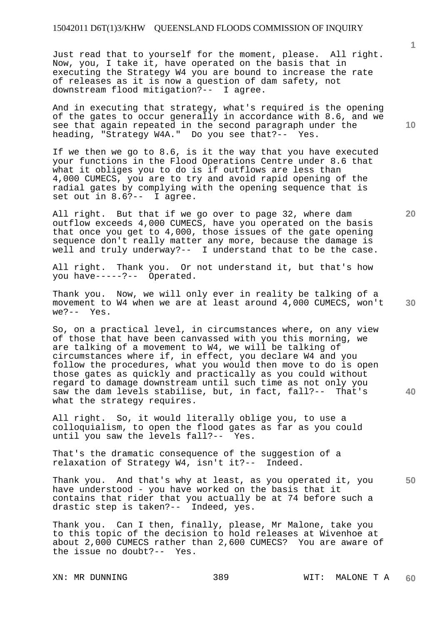Just read that to yourself for the moment, please. All right. Now, you, I take it, have operated on the basis that in executing the Strategy W4 you are bound to increase the rate of releases as it is now a question of dam safety, not downstream flood mitigation?-- I agree.

And in executing that strategy, what's required is the opening of the gates to occur generally in accordance with 8.6, and we see that again repeated in the second paragraph under the heading, "Strategy W4A." Do you see that?-- Yes.

If we then we go to 8.6, is it the way that you have executed your functions in the Flood Operations Centre under 8.6 that what it obliges you to do is if outflows are less than 4,000 CUMECS, you are to try and avoid rapid opening of the radial gates by complying with the opening sequence that is set out in 8.6?-- I agree.

All right. But that if we go over to page 32, where dam outflow exceeds 4,000 CUMECS, have you operated on the basis that once you get to 4,000, those issues of the gate opening sequence don't really matter any more, because the damage is well and truly underway?-- I understand that to be the case.

All right. Thank you. Or not understand it, but that's how you have-----?-- Operated.

**30**  Thank you. Now, we will only ever in reality be talking of a movement to W4 when we are at least around 4,000 CUMECS, won't we?-- Yes.

So, on a practical level, in circumstances where, on any view of those that have been canvassed with you this morning, we are talking of a movement to W4, we will be talking of circumstances where if, in effect, you declare W4 and you follow the procedures, what you would then move to do is open those gates as quickly and practically as you could without regard to damage downstream until such time as not only you saw the dam levels stabilise, but, in fact, fall?-- That's what the strategy requires.

All right. So, it would literally oblige you, to use a colloquialism, to open the flood gates as far as you could until you saw the levels fall?-- Yes.

That's the dramatic consequence of the suggestion of a relaxation of Strategy W4, isn't it?-- Indeed.

**50**  Thank you. And that's why at least, as you operated it, you have understood - you have worked on the basis that it contains that rider that you actually be at 74 before such a drastic step is taken?-- Indeed, yes.

Thank you. Can I then, finally, please, Mr Malone, take you to this topic of the decision to hold releases at Wivenhoe at about 2,000 CUMECS rather than 2,600 CUMECS? You are aware of the issue no doubt?-- Yes.

**10** 

**1**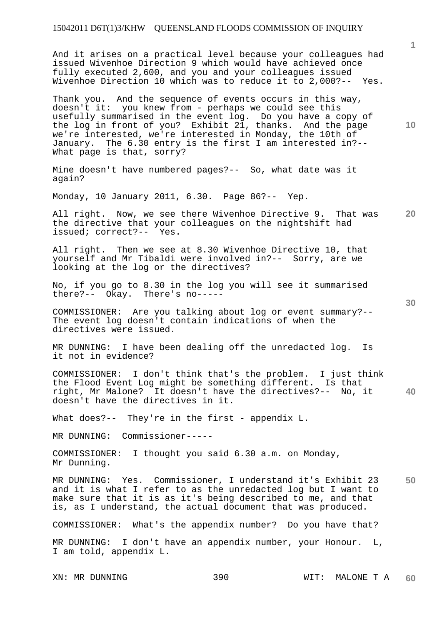And it arises on a practical level because your colleagues had issued Wivenhoe Direction 9 which would have achieved once fully executed 2,600, and you and your colleagues issued Wivenhoe Direction 10 which was to reduce it to 2,000?-- Yes.

Thank you. And the sequence of events occurs in this way, doesn't it: you knew from - perhaps we could see this usefully summarised in the event log. Do you have a copy of the log in front of you? Exhibit 21, thanks. And the page we're interested, we're interested in Monday, the 10th of January. The 6.30 entry is the first I am interested in?-- What page is that, sorry?

Mine doesn't have numbered pages?-- So, what date was it again?

Monday, 10 January 2011, 6.30. Page 86?-- Yep.

**20**  All right. Now, we see there Wivenhoe Directive 9. That was the directive that your colleagues on the nightshift had issued; correct?-- Yes. issued; correct?--

All right. Then we see at 8.30 Wivenhoe Directive 10, that yourself and Mr Tibaldi were involved in?-- Sorry, are we looking at the log or the directives?

No, if you go to 8.30 in the log you will see it summarised there?-- Okay. There's no-----

COMMISSIONER: Are you talking about log or event summary?-- The event log doesn't contain indications of when the directives were issued.

MR DUNNING: I have been dealing off the unredacted log. Is it not in evidence?

**40**  COMMISSIONER: I don't think that's the problem. I just think the Flood Event Log might be something different. Is that right, Mr Malone? It doesn't have the directives?-- No, it doesn't have the directives in it.

What does?-- They're in the first - appendix L.

MR DUNNING: Commissioner-----

COMMISSIONER: I thought you said 6.30 a.m. on Monday, Mr Dunning.

**50**  MR DUNNING: Yes. Commissioner, I understand it's Exhibit 23 and it is what I refer to as the unredacted log but I want to make sure that it is as it's being described to me, and that is, as I understand, the actual document that was produced.

COMMISSIONER: What's the appendix number? Do you have that?

MR DUNNING: I don't have an appendix number, your Honour. L, I am told, appendix L.

**1**

**10**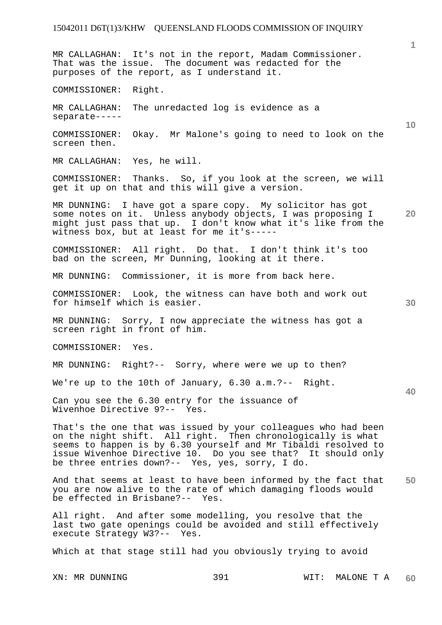**1 10 20 30 40 50**  MR CALLAGHAN: It's not in the report, Madam Commissioner. That was the issue. The document was redacted for the purposes of the report, as I understand it. COMMISSIONER: Right. MR CALLAGHAN: The unredacted log is evidence as a separate----- COMMISSIONER: Okay. Mr Malone's going to need to look on the screen then. MR CALLAGHAN: Yes, he will. COMMISSIONER: Thanks. So, if you look at the screen, we will get it up on that and this will give a version. MR DUNNING: I have got a spare copy. My solicitor has got some notes on it. Unless anybody objects, I was proposing I might just pass that up. I don't know what it's like from the witness box, but at least for me it's----- COMMISSIONER: All right. Do that. I don't think it's too bad on the screen, Mr Dunning, looking at it there. MR DUNNING: Commissioner, it is more from back here. COMMISSIONER: Look, the witness can have both and work out for himself which is easier. MR DUNNING: Sorry, I now appreciate the witness has got a screen right in front of him. COMMISSIONER: Yes. MR DUNNING: Right?-- Sorry, where were we up to then? We're up to the 10th of January, 6.30 a.m.?-- Right. Can you see the 6.30 entry for the issuance of Wivenhoe Directive 9?-- Yes. That's the one that was issued by your colleagues who had been on the night shift. All right. Then chronologically is what seems to happen is by 6.30 yourself and Mr Tibaldi resolved to issue Wivenhoe Directive 10. Do you see that? It should only be three entries down?-- Yes, yes, sorry, I do. And that seems at least to have been informed by the fact that you are now alive to the rate of which damaging floods would be effected in Brisbane?-- Yes.

All right. And after some modelling, you resolve that the last two gate openings could be avoided and still effectively execute Strategy W3?-- Yes.

Which at that stage still had you obviously trying to avoid

XN: MR DUNNING 391 WIT: MALONE T A **60**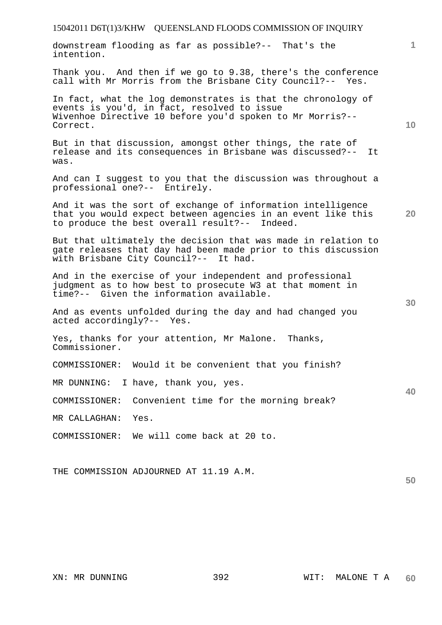| 15042011 D6T(1)3/KHW QUEENSLAND FLOODS COMMISSION OF INQUIRY                                                                                                                         |              |
|--------------------------------------------------------------------------------------------------------------------------------------------------------------------------------------|--------------|
| downstream flooding as far as possible?-- That's the<br>intention.                                                                                                                   | $\mathbf{1}$ |
| Thank you. And then if we go to 9.38, there's the conference<br>call with Mr Morris from the Brisbane City Council?-- Yes.                                                           |              |
| In fact, what the log demonstrates is that the chronology of<br>events is you'd, in fact, resolved to issue<br>Wivenhoe Directive 10 before you'd spoken to Mr Morris?--<br>Correct. | 10           |
| But in that discussion, amongst other things, the rate of<br>release and its consequences in Brisbane was discussed?--<br>It.<br>was.                                                |              |
| And can I suggest to you that the discussion was throughout a<br>professional one?-- Entirely.                                                                                       |              |
| And it was the sort of exchange of information intelligence<br>that you would expect between agencies in an event like this<br>to produce the best overall result?-- Indeed.         | 20           |
| But that ultimately the decision that was made in relation to<br>gate releases that day had been made prior to this discussion<br>with Brisbane City Council?-- It had.              |              |
| And in the exercise of your independent and professional<br>judgment as to how best to prosecute W3 at that moment in<br>time?-- Given the information available.                    | 30           |
| And as events unfolded during the day and had changed you<br>acted accordingly?-- Yes.                                                                                               |              |
| Yes, thanks for your attention, Mr Malone. Thanks,<br>Commissioner.                                                                                                                  |              |
| Would it be convenient that you finish?<br>COMMISSIONER:                                                                                                                             |              |
| I have, thank you, yes.<br>MR DUNNING:                                                                                                                                               |              |
| Convenient time for the morning break?<br>COMMISSIONER:                                                                                                                              | 40           |
| MR CALLAGHAN:<br>Yes.                                                                                                                                                                |              |
| We will come back at 20 to.<br>COMMISSIONER:                                                                                                                                         |              |
|                                                                                                                                                                                      |              |

THE COMMISSION ADJOURNED AT 11.19 A.M.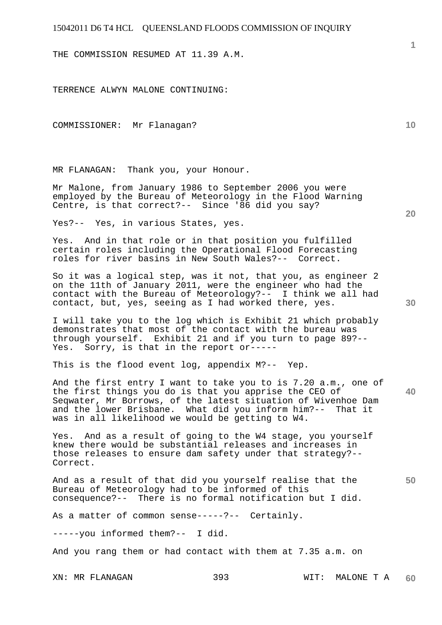THE COMMISSION RESUMED AT 11.39 A.M.

TERRENCE ALWYN MALONE CONTINUING:

COMMISSIONER: Mr Flanagan?

MR FLANAGAN: Thank you, your Honour.

Mr Malone, from January 1986 to September 2006 you were employed by the Bureau of Meteorology in the Flood Warning Centre, is that correct?-- Since '86 did you say?

Yes?-- Yes, in various States, yes.

Yes. And in that role or in that position you fulfilled certain roles including the Operational Flood Forecasting roles for river basins in New South Wales?-- Correct.

So it was a logical step, was it not, that you, as engineer 2 on the 11th of January 2011, were the engineer who had the contact with the Bureau of Meteorology?-- I think we all had contact, but, yes, seeing as I had worked there, yes.

I will take you to the log which is Exhibit 21 which probably demonstrates that most of the contact with the bureau was through yourself. Exhibit 21 and if you turn to page 89?-- Yes. Sorry, is that in the report or-----

This is the flood event log, appendix M?-- Yep.

And the first entry I want to take you to is 7.20 a.m., one of the first things you do is that you apprise the CEO of Seqwater, Mr Borrows, of the latest situation of Wivenhoe Dam and the lower Brisbane. What did you inform him?-- That it was in all likelihood we would be getting to W4.

Yes. And as a result of going to the W4 stage, you yourself knew there would be substantial releases and increases in those releases to ensure dam safety under that strategy?-- Correct.

And as a result of that did you yourself realise that the Bureau of Meteorology had to be informed of this consequence?-- There is no formal notification but I did.

As a matter of common sense-----?-- Certainly.

-----you informed them?-- I did.

And you rang them or had contact with them at 7.35 a.m. on

**10** 

**1**

**20** 

**40**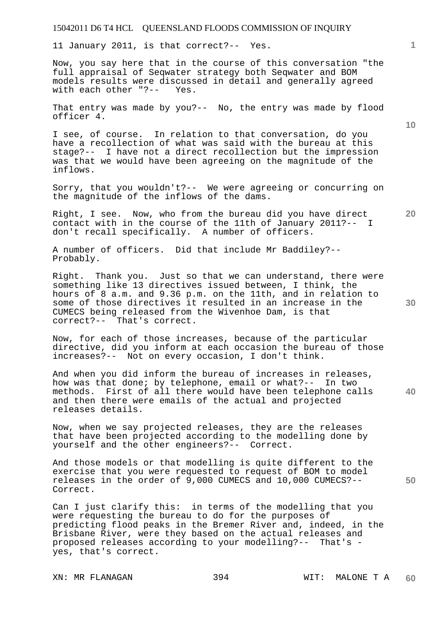11 January 2011, is that correct?-- Yes.

Now, you say here that in the course of this conversation "the full appraisal of Seqwater strategy both Seqwater and BOM models results were discussed in detail and generally agreed with each other "?-- Yes.

That entry was made by you?-- No, the entry was made by flood officer 4.

I see, of course. In relation to that conversation, do you have a recollection of what was said with the bureau at this stage?-- I have not a direct recollection but the impression was that we would have been agreeing on the magnitude of the inflows.

Sorry, that you wouldn't?-- We were agreeing or concurring on the magnitude of the inflows of the dams.

Right, I see. Now, who from the bureau did you have direct contact with in the course of the 11th of January 2011?-- I don't recall specifically. A number of officers.

A number of officers. Did that include Mr Baddiley?-- Probably.

Right. Thank you. Just so that we can understand, there were something like 13 directives issued between, I think, the hours of 8 a.m. and 9.36 p.m. on the 11th, and in relation to some of those directives it resulted in an increase in the CUMECS being released from the Wivenhoe Dam, is that correct?-- That's correct.

Now, for each of those increases, because of the particular directive, did you inform at each occasion the bureau of those increases?-- Not on every occasion, I don't think.

And when you did inform the bureau of increases in releases, how was that done; by telephone, email or what?-- In two methods. First of all there would have been telephone calls and then there were emails of the actual and projected releases details.

Now, when we say projected releases, they are the releases that have been projected according to the modelling done by yourself and the other engineers?-- Correct.

And those models or that modelling is quite different to the exercise that you were requested to request of BOM to model releases in the order of 9,000 CUMECS and 10,000 CUMECS?-- Correct.

Can I just clarify this: in terms of the modelling that you were requesting the bureau to do for the purposes of predicting flood peaks in the Bremer River and, indeed, in the Brisbane River, were they based on the actual releases and proposed releases according to your modelling?-- That's yes, that's correct.

**10** 

**20** 

**1**

**40** 

**50**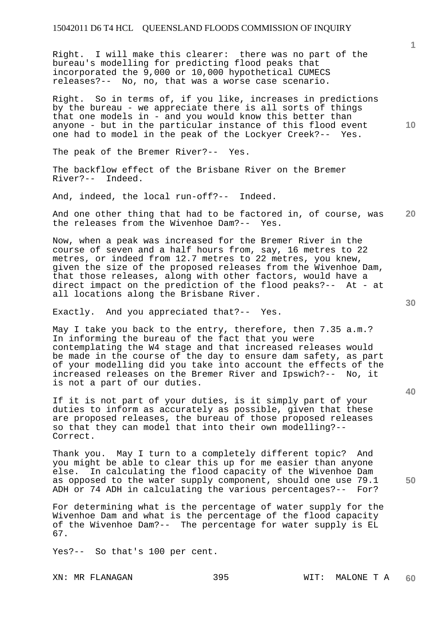Right. I will make this clearer: there was no part of the bureau's modelling for predicting flood peaks that incorporated the 9,000 or 10,000 hypothetical CUMECS releases?-- No, no, that was a worse case scenario.

Right. So in terms of, if you like, increases in predictions by the bureau - we appreciate there is all sorts of things that one models in - and you would know this better than anyone - but in the particular instance of this flood event one had to model in the peak of the Lockyer Creek?-- Yes.

The peak of the Bremer River?-- Yes.

The backflow effect of the Brisbane River on the Bremer River?-- Indeed.

And, indeed, the local run-off?-- Indeed.

**20**  And one other thing that had to be factored in, of course, was<br>the releases from the Wivenhoe Dam?-- Yes. the releases from the Wivenhoe Dam?--

Now, when a peak was increased for the Bremer River in the course of seven and a half hours from, say, 16 metres to 22 metres, or indeed from 12.7 metres to 22 metres, you knew, given the size of the proposed releases from the Wivenhoe Dam, that those releases, along with other factors, would have a direct impact on the prediction of the flood peaks?-- At - at all locations along the Brisbane River.

Exactly. And you appreciated that?-- Yes.

May I take you back to the entry, therefore, then 7.35 a.m.? In informing the bureau of the fact that you were contemplating the W4 stage and that increased releases would be made in the course of the day to ensure dam safety, as part of your modelling did you take into account the effects of the increased releases on the Bremer River and Ipswich?-- No, it is not a part of our duties.

If it is not part of your duties, is it simply part of your duties to inform as accurately as possible, given that these are proposed releases, the bureau of those proposed releases so that they can model that into their own modelling?-- Correct.

Thank you. May I turn to a completely different topic? And you might be able to clear this up for me easier than anyone else. In calculating the flood capacity of the Wivenhoe Dam as opposed to the water supply component, should one use 79.1 ADH or 74 ADH in calculating the various percentages?-- For?

For determining what is the percentage of water supply for the Wivenhoe Dam and what is the percentage of the flood capacity of the Wivenhoe Dam?-- The percentage for water supply is EL 67.

Yes?-- So that's 100 per cent.

**40** 

**50** 

**10**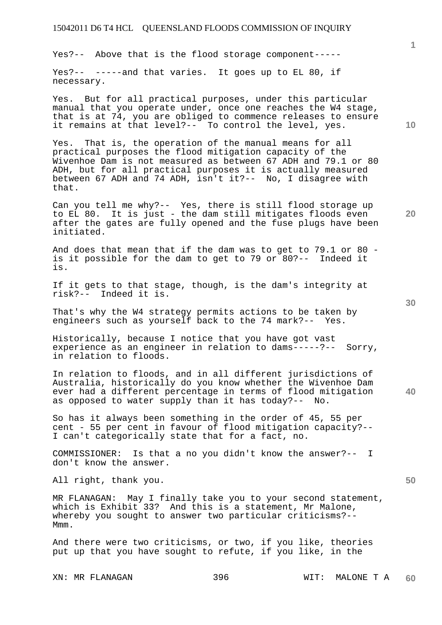Yes?-- Above that is the flood storage component-----

Yes?-- -----and that varies. It goes up to EL 80, if necessary.

Yes. But for all practical purposes, under this particular manual that you operate under, once one reaches the W4 stage, that is at 74, you are obliged to commence releases to ensure it remains at that level?-- To control the level, yes.

Yes. That is, the operation of the manual means for all practical purposes the flood mitigation capacity of the Wivenhoe Dam is not measured as between 67 ADH and 79.1 or 80 ADH, but for all practical purposes it is actually measured between 67 ADH and 74 ADH, isn't it?-- No, I disagree with that.

Can you tell me why?-- Yes, there is still flood storage up to EL 80. It is just - the dam still mitigates floods even after the gates are fully opened and the fuse plugs have been initiated.

And does that mean that if the dam was to get to 79.1 or 80 is it possible for the dam to get to 79 or 80?-- Indeed it is.

If it gets to that stage, though, is the dam's integrity at risk?-- Indeed it is.

That's why the W4 strategy permits actions to be taken by engineers such as yourself back to the 74 mark?-- Yes.

Historically, because I notice that you have got vast experience as an engineer in relation to dams-----?-- Sorry, in relation to floods.

In relation to floods, and in all different jurisdictions of Australia, historically do you know whether the Wivenhoe Dam ever had a different percentage in terms of flood mitigation as opposed to water supply than it has today?-- No.

So has it always been something in the order of 45, 55 per cent - 55 per cent in favour of flood mitigation capacity?-- I can't categorically state that for a fact, no.

COMMISSIONER: Is that a no you didn't know the answer?-- I don't know the answer.

All right, thank you.

MR FLANAGAN: May I finally take you to your second statement, which is Exhibit 33? And this is a statement, Mr Malone, whereby you sought to answer two particular criticisms?-- Mmm.

And there were two criticisms, or two, if you like, theories put up that you have sought to refute, if you like, in the

**10** 

**1**

**30** 

**20**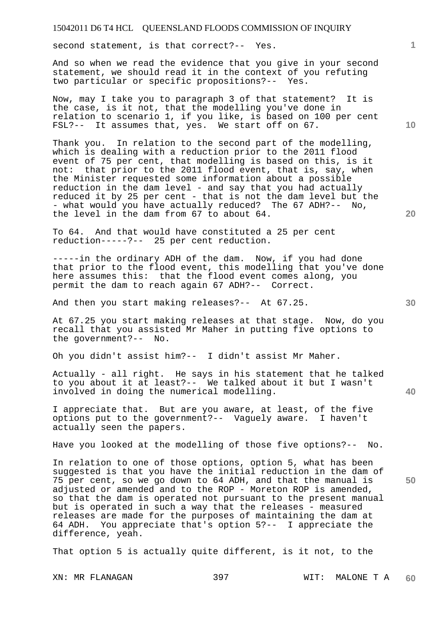second statement, is that correct?-- Yes.

And so when we read the evidence that you give in your second statement, we should read it in the context of you refuting two particular or specific propositions?-- Yes.

Now, may I take you to paragraph 3 of that statement? It is the case, is it not, that the modelling you've done in relation to scenario 1, if you like, is based on 100 per cent FSL?-- It assumes that, yes. We start off on 67.

Thank you. In relation to the second part of the modelling, which is dealing with a reduction prior to the 2011 flood event of 75 per cent, that modelling is based on this, is it not: that prior to the 2011 flood event, that is, say, when the Minister requested some information about a possible reduction in the dam level - and say that you had actually reduced it by 25 per cent - that is not the dam level but the - what would you have actually reduced? The 67 ADH?-- No, the level in the dam from 67 to about 64.

To 64. And that would have constituted a 25 per cent reduction-----?-- 25 per cent reduction.

-----in the ordinary ADH of the dam. Now, if you had done that prior to the flood event, this modelling that you've done here assumes this: that the flood event comes along, you permit the dam to reach again 67 ADH?-- Correct.

And then you start making releases?-- At 67.25.

At 67.25 you start making releases at that stage. Now, do you recall that you assisted Mr Maher in putting five options to the government?-- No.

Oh you didn't assist him?-- I didn't assist Mr Maher.

Actually - all right. He says in his statement that he talked to you about it at least?-- We talked about it but I wasn't involved in doing the numerical modelling.

I appreciate that. But are you aware, at least, of the five options put to the government?-- Vaguely aware. I haven't actually seen the papers.

Have you looked at the modelling of those five options?-- No.

In relation to one of those options, option 5, what has been suggested is that you have the initial reduction in the dam of 75 per cent, so we go down to 64 ADH, and that the manual is adjusted or amended and to the ROP - Moreton ROP is amended, so that the dam is operated not pursuant to the present manual but is operated in such a way that the releases - measured releases are made for the purposes of maintaining the dam at 64 ADH. You appreciate that's option 5?-- I appreciate the difference, yeah.

That option 5 is actually quite different, is it not, to the

XN: MR FLANAGAN 397 WIT: MALONE T A **60** 

**10** 

**1**

**20**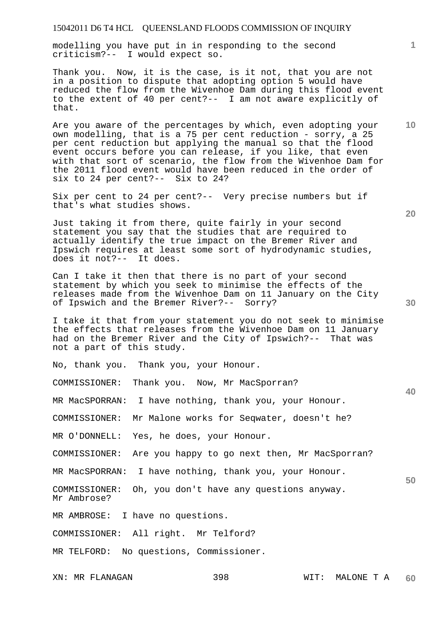modelling you have put in in responding to the second criticism?-- I would expect so.

Thank you. Now, it is the case, is it not, that you are not in a position to dispute that adopting option 5 would have reduced the flow from the Wivenhoe Dam during this flood event to the extent of 40 per cent?-- I am not aware explicitly of that.

Are you aware of the percentages by which, even adopting your own modelling, that is a 75 per cent reduction - sorry, a 25 per cent reduction but applying the manual so that the flood event occurs before you can release, if you like, that even with that sort of scenario, the flow from the Wivenhoe Dam for the 2011 flood event would have been reduced in the order of six to 24 per cent?-- Six to 24?

Six per cent to 24 per cent?-- Very precise numbers but if that's what studies shows.

Just taking it from there, quite fairly in your second statement you say that the studies that are required to actually identify the true impact on the Bremer River and Ipswich requires at least some sort of hydrodynamic studies, does it not?-- It does.

Can I take it then that there is no part of your second statement by which you seek to minimise the effects of the releases made from the Wivenhoe Dam on 11 January on the City of Ipswich and the Bremer River?-- Sorry?

I take it that from your statement you do not seek to minimise the effects that releases from the Wivenhoe Dam on 11 January had on the Bremer River and the City of Ipswich?-- That was not a part of this study.

No, thank you. Thank you, your Honour.

COMMISSIONER: Thank you. Now, Mr MacSporran?

MR MacSPORRAN: I have nothing, thank you, your Honour.

COMMISSIONER: Mr Malone works for Seqwater, doesn't he?

MR O'DONNELL: Yes, he does, your Honour.

COMMISSIONER: Are you happy to go next then, Mr MacSporran?

MR MacSPORRAN: I have nothing, thank you, your Honour.

COMMISSIONER: Oh, you don't have any questions anyway. Mr Ambrose?

MR AMBROSE: I have no questions.

COMMISSIONER: All right. Mr Telford?

MR TELFORD: No questions, Commissioner.

**20** 

**30** 

**40**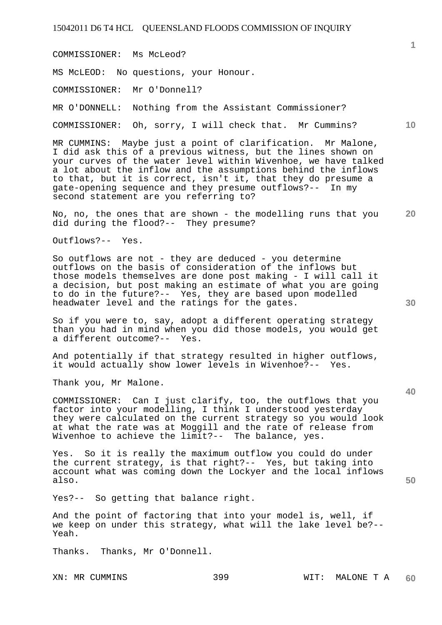COMMISSIONER: Ms McLeod?

MS McLEOD: No questions, your Honour.

COMMISSIONER: Mr O'Donnell?

MR O'DONNELL: Nothing from the Assistant Commissioner?

COMMISSIONER: Oh, sorry, I will check that. Mr Cummins?

MR CUMMINS: Maybe just a point of clarification. Mr Malone, I did ask this of a previous witness, but the lines shown on your curves of the water level within Wivenhoe, we have talked a lot about the inflow and the assumptions behind the inflows to that, but it is correct, isn't it, that they do presume a gate-opening sequence and they presume outflows?-- In my second statement are you referring to?

**20**  No, no, the ones that are shown - the modelling runs that you did during the flood?-- They presume?

Outflows?-- Yes.

So outflows are not - they are deduced - you determine outflows on the basis of consideration of the inflows but those models themselves are done post making - I will call it a decision, but post making an estimate of what you are going to do in the future?-- Yes, they are based upon modelled headwater level and the ratings for the gates.

So if you were to, say, adopt a different operating strategy than you had in mind when you did those models, you would get a different outcome?-- Yes.

And potentially if that strategy resulted in higher outflows, it would actually show lower levels in Wivenhoe?-- Yes.

Thank you, Mr Malone.

COMMISSIONER: Can I just clarify, too, the outflows that you factor into your modelling, I think I understood yesterday they were calculated on the current strategy so you would look at what the rate was at Moggill and the rate of release from Wivenhoe to achieve the limit?-- The balance, yes.

Yes. So it is really the maximum outflow you could do under the current strategy, is that right?-- Yes, but taking into account what was coming down the Lockyer and the local inflows also.

Yes?-- So getting that balance right.

And the point of factoring that into your model is, well, if we keep on under this strategy, what will the lake level be?-- Yeah.

Thanks. Thanks, Mr O'Donnell.

**40** 

**50** 

**10**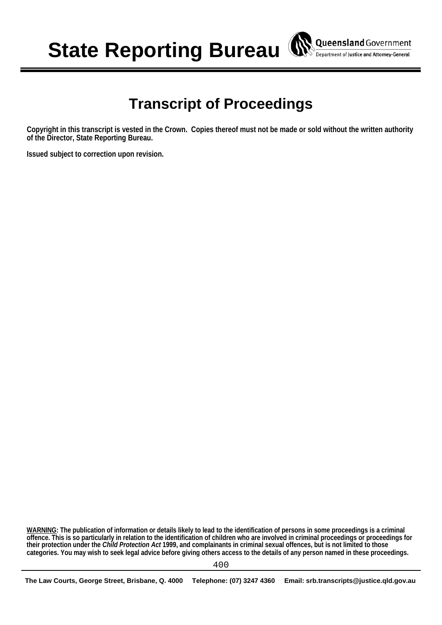**State Reporting Bureau** 

# **Transcript of Proceedings**

**Queensland** Government Department of Justice and Attorney-General

**Copyright in this transcript is vested in the Crown. Copies thereof must not be made or sold without the written authority of the Director, State Reporting Bureau.** 

**Issued subject to correction upon revision.** 

**WARNING: The publication of information or details likely to lead to the identification of persons in some proceedings is a criminal offence. This is so particularly in relation to the identification of children who are involved in criminal proceedings or proceedings for their protection under the** *Child Protection Act* **1999, and complainants in criminal sexual offences, but is not limited to those categories. You may wish to seek legal advice before giving others access to the details of any person named in these proceedings.**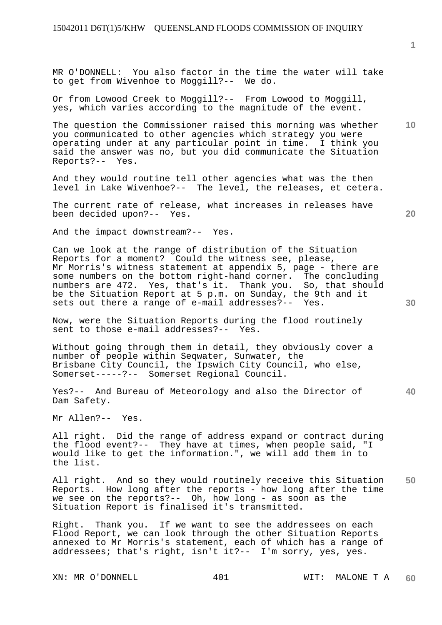MR O'DONNELL: You also factor in the time the water will take to get from Wivenhoe to Moggill?-- We do.

Or from Lowood Creek to Moggill?-- From Lowood to Moggill, yes, which varies according to the magnitude of the event.

**10**  The question the Commissioner raised this morning was whether you communicated to other agencies which strategy you were operating under at any particular point in time. I think you said the answer was no, but you did communicate the Situation Reports?-- Yes.

And they would routine tell other agencies what was the then level in Lake Wivenhoe?-- The level, the releases, et cetera.

The current rate of release, what increases in releases have been decided upon?-- Yes.

And the impact downstream?-- Yes.

Can we look at the range of distribution of the Situation Reports for a moment? Could the witness see, please, Mr Morris's witness statement at appendix 5, page - there are some numbers on the bottom right-hand corner. The concluding numbers are 472. Yes, that's it. Thank you. So, that should be the Situation Report at 5 p.m. on Sunday, the 9th and it sets out there a range of e-mail addresses?-- Yes.

Now, were the Situation Reports during the flood routinely sent to those e-mail addresses?-- Yes.

Without going through them in detail, they obviously cover a number of people within Seqwater, Sunwater, the Brisbane City Council, the Ipswich City Council, who else, Somerset-----?-- Somerset Regional Council.

Yes?-- And Bureau of Meteorology and also the Director of Dam Safety.

Mr Allen?-- Yes.

All right. Did the range of address expand or contract during the flood event?-- They have at times, when people said, "I would like to get the information.", we will add them in to the list.

**50**  All right. And so they would routinely receive this Situation Reports. How long after the reports - how long after the time we see on the reports?-- Oh, how long - as soon as the Situation Report is finalised it's transmitted.

Right. Thank you. If we want to see the addressees on each Flood Report, we can look through the other Situation Reports annexed to Mr Morris's statement, each of which has a range of addressees; that's right, isn't it?-- I'm sorry, yes, yes.

**1**

**20** 

**30**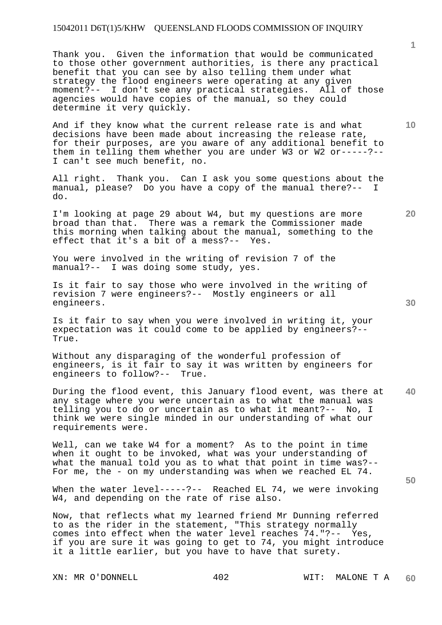Thank you. Given the information that would be communicated to those other government authorities, is there any practical benefit that you can see by also telling them under what strategy the flood engineers were operating at any given moment?-- I don't see any practical strategies. All of those agencies would have copies of the manual, so they could determine it very quickly.

And if they know what the current release rate is and what decisions have been made about increasing the release rate, for their purposes, are you aware of any additional benefit to them in telling them whether you are under W3 or W2 or-----?--I can't see much benefit, no.

All right. Thank you. Can I ask you some questions about the manual, please? Do you have a copy of the manual there?-- I do.

I'm looking at page 29 about W4, but my questions are more broad than that. There was a remark the Commissioner made this morning when talking about the manual, something to the effect that it's a bit of a mess?-- Yes. effect that it's a bit of a mess?--

You were involved in the writing of revision 7 of the manual?-- I was doing some study, yes.

Is it fair to say those who were involved in the writing of revision 7 were engineers?-- Mostly engineers or all engineers.

Is it fair to say when you were involved in writing it, your expectation was it could come to be applied by engineers?-- True.

Without any disparaging of the wonderful profession of engineers, is it fair to say it was written by engineers for engineers to follow?-- True.

**40**  During the flood event, this January flood event, was there at any stage where you were uncertain as to what the manual was telling you to do or uncertain as to what it meant?-- No, I think we were single minded in our understanding of what our requirements were.

Well, can we take W4 for a moment? As to the point in time when it ought to be invoked, what was your understanding of what the manual told you as to what that point in time was?-- For me, the - on my understanding was when we reached EL 74.

When the water level-----?-- Reached EL 74, we were invoking W4, and depending on the rate of rise also.

Now, that reflects what my learned friend Mr Dunning referred to as the rider in the statement, "This strategy normally comes into effect when the water level reaches 74."?-- Yes, if you are sure it was going to get to 74, you might introduce it a little earlier, but you have to have that surety.

XN: MR O'DONNELL  $402$  WIT: MALONE T A

**1**

**10** 

**20**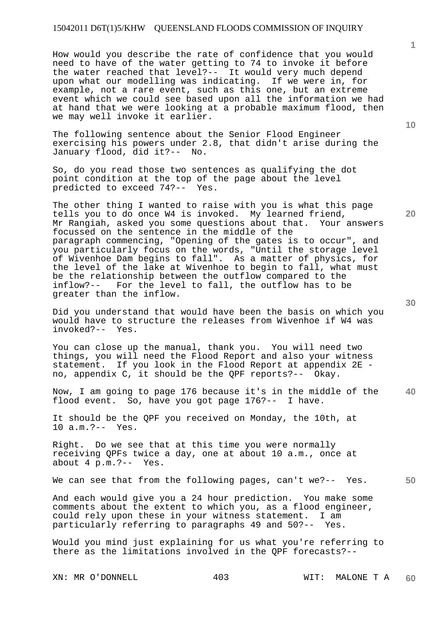How would you describe the rate of confidence that you would need to have of the water getting to 74 to invoke it before the water reached that level?-- It would very much depend upon what our modelling was indicating. If we were in, for example, not a rare event, such as this one, but an extreme event which we could see based upon all the information we had at hand that we were looking at a probable maximum flood, then we may well invoke it earlier.

The following sentence about the Senior Flood Engineer exercising his powers under 2.8, that didn't arise during the January flood, did it?-- No.

So, do you read those two sentences as qualifying the dot point condition at the top of the page about the level predicted to exceed 74?-- Yes.

The other thing I wanted to raise with you is what this page tells you to do once W4 is invoked. My learned friend, Mr Rangiah, asked you some questions about that. Your answers focussed on the sentence in the middle of the paragraph commencing, "Opening of the gates is to occur", and you particularly focus on the words, "Until the storage level of Wivenhoe Dam begins to fall". As a matter of physics, for the level of the lake at Wivenhoe to begin to fall, what must be the relationship between the outflow compared to the inflow?-- For the level to fall, the outflow has to be greater than the inflow.

Did you understand that would have been the basis on which you would have to structure the releases from Wivenhoe if W4 was invoked?-- Yes.

You can close up the manual, thank you. You will need two things, you will need the Flood Report and also your witness statement. If you look in the Flood Report at appendix 2E no, appendix C, it should be the QPF reports?-- Okay.

**40**  Now, I am going to page 176 because it's in the middle of the flood event. So, have you got page 176?-- I have.

It should be the QPF you received on Monday, the 10th, at 10 a.m.?-- Yes.

Right. Do we see that at this time you were normally receiving QPFs twice a day, one at about 10 a.m., once at about 4 p.m.?-- Yes.

**50**  We can see that from the following pages, can't we?-- Yes.

And each would give you a 24 hour prediction. You make some comments about the extent to which you, as a flood engineer, could rely upon these in your witness statement. I am particularly referring to paragraphs 49 and 50?-- Yes.

Would you mind just explaining for us what you're referring to there as the limitations involved in the QPF forecasts?--

**20** 

**10**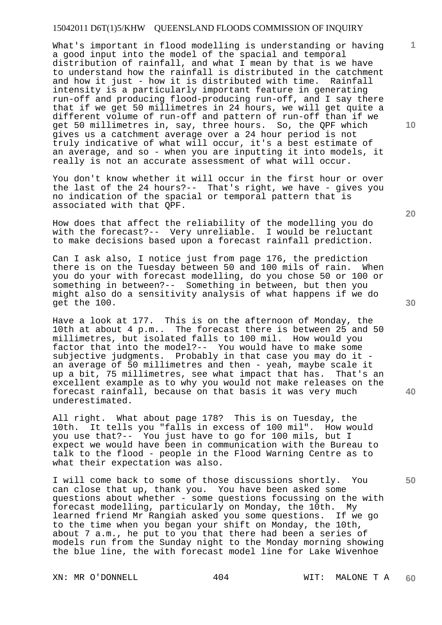What's important in flood modelling is understanding or having a good input into the model of the spacial and temporal distribution of rainfall, and what I mean by that is we have to understand how the rainfall is distributed in the catchment and how it just - how it is distributed with time. Rainfall intensity is a particularly important feature in generating run-off and producing flood-producing run-off, and I say there that if we get 50 millimetres in 24 hours, we will get quite a different volume of run-off and pattern of run-off than if we get 50 millimetres in, say, three hours. So, the QPF which gives us a catchment average over a 24 hour period is not truly indicative of what will occur, it's a best estimate of an average, and so - when you are inputting it into models, it really is not an accurate assessment of what will occur.

You don't know whether it will occur in the first hour or over the last of the 24 hours?-- That's right, we have - gives you no indication of the spacial or temporal pattern that is associated with that QPF.

How does that affect the reliability of the modelling you do with the forecast?-- Very unreliable. I would be reluctant to make decisions based upon a forecast rainfall prediction.

Can I ask also, I notice just from page 176, the prediction there is on the Tuesday between 50 and 100 mils of rain. When you do your with forecast modelling, do you chose 50 or 100 or something in between?-- Something in between, but then you might also do a sensitivity analysis of what happens if we do get the 100.

Have a look at 177. This is on the afternoon of Monday, the 10th at about 4 p.m.. The forecast there is between 25 and 50 millimetres, but isolated falls to 100 mil. How would you factor that into the model?-- You would have to make some subjective judgments. Probably in that case you may do it an average of 50 millimetres and then - yeah, maybe scale it up a bit, 75 millimetres, see what impact that has. That's an excellent example as to why you would not make releases on the forecast rainfall, because on that basis it was very much underestimated.

All right. What about page 178? This is on Tuesday, the 10th. It tells you "falls in excess of 100 mil". How would you use that?-- You just have to go for 100 mils, but I expect we would have been in communication with the Bureau to talk to the flood - people in the Flood Warning Centre as to what their expectation was also.

I will come back to some of those discussions shortly. You can close that up, thank you. You have been asked some questions about whether - some questions focussing on the with forecast modelling, particularly on Monday, the 10th. My learned friend Mr Rangiah asked you some questions. If we go to the time when you began your shift on Monday, the 10th, about 7 a.m., he put to you that there had been a series of models run from the Sunday night to the Monday morning showing the blue line, the with forecast model line for Lake Wivenhoe

**10** 

**1**

**20** 

**30** 

**40**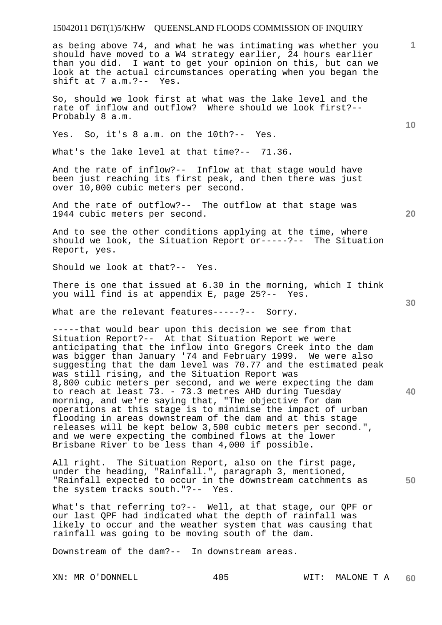as being above 74, and what he was intimating was whether you should have moved to a W4 strategy earlier, 24 hours earlier than you did. I want to get your opinion on this, but can we look at the actual circumstances operating when you began the shift at 7 a.m.?-- Yes.

So, should we look first at what was the lake level and the rate of inflow and outflow? Where should we look first?-- Probably 8 a.m.

Yes. So, it's 8 a.m. on the 10th?-- Yes.

What's the lake level at that time?-- 71.36.

And the rate of inflow?-- Inflow at that stage would have been just reaching its first peak, and then there was just over 10,000 cubic meters per second.

And the rate of outflow?-- The outflow at that stage was 1944 cubic meters per second.

And to see the other conditions applying at the time, where should we look, the Situation Report or-----?-- The Situation Report, yes.

Should we look at that?-- Yes.

There is one that issued at 6.30 in the morning, which I think you will find is at appendix E, page 25?-- Yes.

What are the relevant features-----?-- Sorry.

-----that would bear upon this decision we see from that Situation Report?-- At that Situation Report we were anticipating that the inflow into Gregors Creek into the dam was bigger than January '74 and February 1999. We were also suggesting that the dam level was 70.77 and the estimated peak was still rising, and the Situation Report was 8,800 cubic meters per second, and we were expecting the dam to reach at least 73. - 73.3 metres AHD during Tuesday morning, and we're saying that, "The objective for dam operations at this stage is to minimise the impact of urban flooding in areas downstream of the dam and at this stage releases will be kept below 3,500 cubic meters per second.", and we were expecting the combined flows at the lower Brisbane River to be less than 4,000 if possible.

All right. The Situation Report, also on the first page, under the heading, "Rainfall.", paragraph 3, mentioned, "Rainfall expected to occur in the downstream catchments as the system tracks south."?-- Yes.

What's that referring to?-- Well, at that stage, our QPF or our last QPF had indicated what the depth of rainfall was likely to occur and the weather system that was causing that rainfall was going to be moving south of the dam.

Downstream of the dam?-- In downstream areas.

**10** 

**1**

**20** 

**30**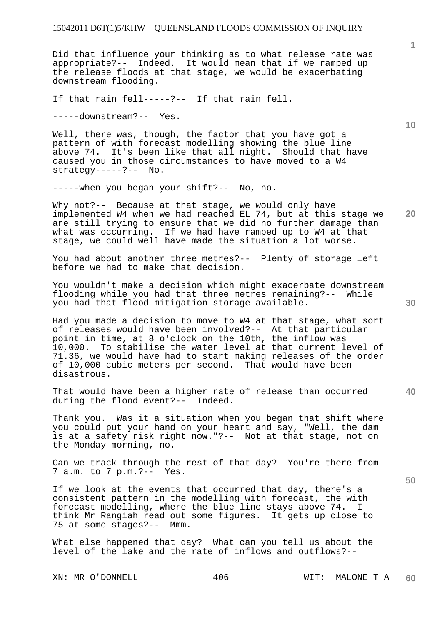Did that influence your thinking as to what release rate was appropriate?-- Indeed. It would mean that if we ramped up the release floods at that stage, we would be exacerbating downstream flooding.

If that rain fell-----?-- If that rain fell.

-----downstream?-- Yes.

Well, there was, though, the factor that you have got a pattern of with forecast modelling showing the blue line above 74. It's been like that all night. Should that have caused you in those circumstances to have moved to a W4 strategy-----?-- No.

-----when you began your shift?-- No, no.

**20**  Why not?-- Because at that stage, we would only have implemented W4 when we had reached EL 74, but at this stage we are still trying to ensure that we did no further damage than what was occurring. If we had have ramped up to W4 at that stage, we could well have made the situation a lot worse.

You had about another three metres?-- Plenty of storage left before we had to make that decision.

You wouldn't make a decision which might exacerbate downstream flooding while you had that three metres remaining?-- While you had that flood mitigation storage available.

Had you made a decision to move to W4 at that stage, what sort of releases would have been involved?-- At that particular point in time, at 8 o'clock on the 10th, the inflow was 10,000. To stabilise the water level at that current level of 71.36, we would have had to start making releases of the order of 10,000 cubic meters per second. That would have been disastrous.

That would have been a higher rate of release than occurred during the flood event?-- Indeed.

Thank you. Was it a situation when you began that shift where you could put your hand on your heart and say, "Well, the dam is at a safety risk right now."?-- Not at that stage, not on the Monday morning, no.

Can we track through the rest of that day? You're there from 7 a.m. to 7 p.m.?-- Yes.

If we look at the events that occurred that day, there's a consistent pattern in the modelling with forecast, the with forecast modelling, where the blue line stays above 74. I think Mr Rangiah read out some figures. It gets up close to 75 at some stages?-- Mmm.

What else happened that day? What can you tell us about the level of the lake and the rate of inflows and outflows?--

XN: MR O'DONNELL 406 WIT: MALONE T A

**10** 

**1**

**40**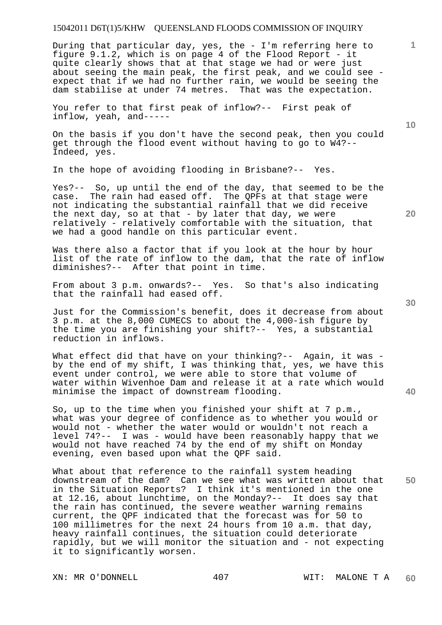During that particular day, yes, the - I'm referring here to figure 9.1.2, which is on page 4 of the Flood Report - it quite clearly shows that at that stage we had or were just about seeing the main peak, the first peak, and we could see expect that if we had no further rain, we would be seeing the dam stabilise at under 74 metres. That was the expectation.

You refer to that first peak of inflow?-- First peak of inflow, yeah, and-----

On the basis if you don't have the second peak, then you could get through the flood event without having to go to W4?-- Indeed, yes.

In the hope of avoiding flooding in Brisbane?-- Yes.

Yes?-- So, up until the end of the day, that seemed to be the case. The rain had eased off. The QPFs at that stage were not indicating the substantial rainfall that we did receive the next day, so at that - by later that day, we were relatively - relatively comfortable with the situation, that we had a good handle on this particular event.

Was there also a factor that if you look at the hour by hour list of the rate of inflow to the dam, that the rate of inflow diminishes?-- After that point in time.

From about 3 p.m. onwards?-- Yes. So that's also indicating that the rainfall had eased off.

Just for the Commission's benefit, does it decrease from about 3 p.m. at the 8,000 CUMECS to about the 4,000-ish figure by the time you are finishing your shift?-- Yes, a substantial reduction in inflows.

What effect did that have on your thinking?-- Again, it was by the end of my shift, I was thinking that, yes, we have this event under control, we were able to store that volume of water within Wivenhoe Dam and release it at a rate which would minimise the impact of downstream flooding.

So, up to the time when you finished your shift at 7 p.m., what was your degree of confidence as to whether you would or would not - whether the water would or wouldn't not reach a level 74?-- I was - would have been reasonably happy that we would not have reached 74 by the end of my shift on Monday evening, even based upon what the QPF said.

**50**  What about that reference to the rainfall system heading downstream of the dam? Can we see what was written about that in the Situation Reports? I think it's mentioned in the one at 12.16, about lunchtime, on the Monday?-- It does say that the rain has continued, the severe weather warning remains current, the QPF indicated that the forecast was for 50 to 100 millimetres for the next 24 hours from 10 a.m. that day, heavy rainfall continues, the situation could deteriorate rapidly, but we will monitor the situation and - not expecting it to significantly worsen.

**10** 

**20** 

**1**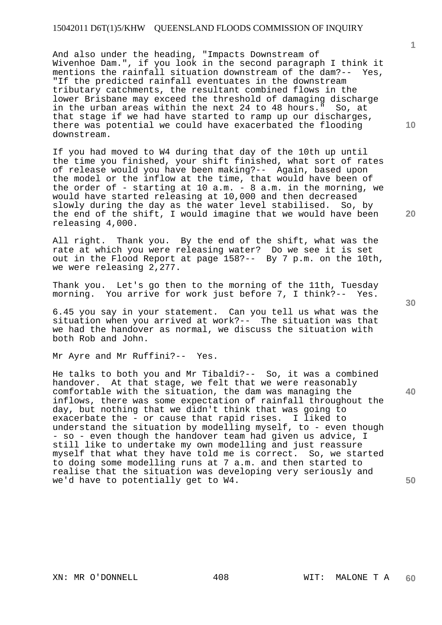And also under the heading, "Impacts Downstream of Wivenhoe Dam.", if you look in the second paragraph I think it mentions the rainfall situation downstream of the dam?-- Yes, "If the predicted rainfall eventuates in the downstream tributary catchments, the resultant combined flows in the lower Brisbane may exceed the threshold of damaging discharge in the urban areas within the next 24 to 48 hours." So, at that stage if we had have started to ramp up our discharges, there was potential we could have exacerbated the flooding downstream.

If you had moved to W4 during that day of the 10th up until the time you finished, your shift finished, what sort of rates of release would you have been making?-- Again, based upon the model or the inflow at the time, that would have been of the order of - starting at 10 a.m. - 8 a.m. in the morning, we would have started releasing at 10,000 and then decreased slowly during the day as the water level stabilised. So, by the end of the shift, I would imagine that we would have been releasing 4,000.

All right. Thank you. By the end of the shift, what was the rate at which you were releasing water? Do we see it is set out in the Flood Report at page 158?-- By 7 p.m. on the 10th, we were releasing 2,277.

Thank you. Let's go then to the morning of the 11th, Tuesday morning. You arrive for work just before 7, I think?-- Yes.

6.45 you say in your statement. Can you tell us what was the situation when you arrived at work?-- The situation was that we had the handover as normal, we discuss the situation with both Rob and John.

Mr Ayre and Mr Ruffini?-- Yes.

He talks to both you and Mr Tibaldi?-- So, it was a combined handover. At that stage, we felt that we were reasonably comfortable with the situation, the dam was managing the inflows, there was some expectation of rainfall throughout the day, but nothing that we didn't think that was going to exacerbate the - or cause that rapid rises. I liked to understand the situation by modelling myself, to - even though - so - even though the handover team had given us advice, I still like to undertake my own modelling and just reassure myself that what they have told me is correct. So, we started to doing some modelling runs at 7 a.m. and then started to realise that the situation was developing very seriously and we'd have to potentially get to W4.

**20** 

**40** 

**50** 

**1**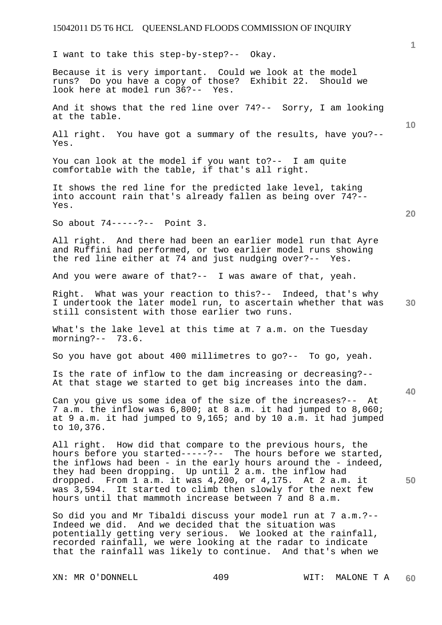I want to take this step-by-step?-- Okay.

Because it is very important. Could we look at the model<br>runs? Do you have a copy of those? Exhibit 22. Should we runs? Do you have a copy of those? look here at model run 36?-- Yes.

And it shows that the red line over 74?-- Sorry, I am looking at the table.

All right. You have got a summary of the results, have you?-- Yes.

You can look at the model if you want to?-- I am quite comfortable with the table, if that's all right.

It shows the red line for the predicted lake level, taking into account rain that's already fallen as being over 74?-- Yes.

So about 74-----?-- Point 3.

All right. And there had been an earlier model run that Ayre and Ruffini had performed, or two earlier model runs showing the red line either at 74 and just nudging over?-- Yes.

And you were aware of that?-- I was aware of that, yeah.

**30**  Right. What was your reaction to this?-- Indeed, that's why I undertook the later model run, to ascertain whether that was still consistent with those earlier two runs.

What's the lake level at this time at 7 a.m. on the Tuesday morning?-- 73.6.

So you have got about 400 millimetres to go?-- To go, yeah.

Is the rate of inflow to the dam increasing or decreasing?-- At that stage we started to get big increases into the dam.

Can you give us some idea of the size of the increases?-- At 7 a.m. the inflow was 6,800; at 8 a.m. it had jumped to 8,060; at 9 a.m. it had jumped to 9,165; and by 10 a.m. it had jumped to 10,376.

All right. How did that compare to the previous hours, the hours before you started-----?-- The hours before we started, the inflows had been - in the early hours around the - indeed, they had been dropping. Up until 2 a.m. the inflow had dropped. From 1 a.m. it was 4,200, or 4,175. At 2 a.m. it was 3,594. It started to climb then slowly for the next few hours until that mammoth increase between 7 and 8 a.m.

So did you and Mr Tibaldi discuss your model run at 7 a.m.?-- Indeed we did. And we decided that the situation was potentially getting very serious. We looked at the rainfall, recorded rainfall, we were looking at the radar to indicate that the rainfall was likely to continue. And that's when we

XN: MR O'DONNELL 409 WIT: MALONE T A

**20** 

**10** 

**40** 

**50**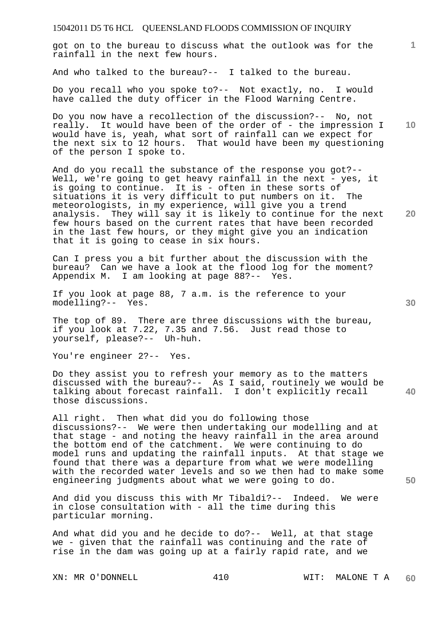got on to the bureau to discuss what the outlook was for the rainfall in the next few hours.

And who talked to the bureau?-- I talked to the bureau.

Do you recall who you spoke to?-- Not exactly, no. I would have called the duty officer in the Flood Warning Centre.

Do you now have a recollection of the discussion?-- No, not really. It would have been of the order of - the impression I would have is, yeah, what sort of rainfall can we expect for the next six to 12 hours. That would have been my questioning of the person I spoke to.

And do you recall the substance of the response you got?-- Well, we're going to get heavy rainfall in the next - yes, it is going to continue. It is - often in these sorts of situations it is very difficult to put numbers on it. The meteorologists, in my experience, will give you a trend analysis. They will say it is likely to continue for the next few hours based on the current rates that have been recorded in the last few hours, or they might give you an indication that it is going to cease in six hours.

Can I press you a bit further about the discussion with the bureau? Can we have a look at the flood log for the moment? Appendix M. I am looking at page 88?-- Yes.

If you look at page 88, 7 a.m. is the reference to your modelling?-- Yes.

The top of 89. There are three discussions with the bureau, if you look at 7.22, 7.35 and 7.56. Just read those to yourself, please?-- Uh-huh.

You're engineer 2?-- Yes.

Do they assist you to refresh your memory as to the matters discussed with the bureau?-- As I said, routinely we would be talking about forecast rainfall. I don't explicitly recall those discussions.

All right. Then what did you do following those discussions?-- We were then undertaking our modelling and at that stage - and noting the heavy rainfall in the area around the bottom end of the catchment. We were continuing to do model runs and updating the rainfall inputs. At that stage we found that there was a departure from what we were modelling with the recorded water levels and so we then had to make some engineering judgments about what we were going to do.

And did you discuss this with Mr Tibaldi?-- Indeed. We were in close consultation with - all the time during this particular morning.

And what did you and he decide to do?-- Well, at that stage we - given that the rainfall was continuing and the rate of rise in the dam was going up at a fairly rapid rate, and we

XN: MR O'DONNELL 410 WIT: MALONE T A

**10** 

**1**

**20** 

**40**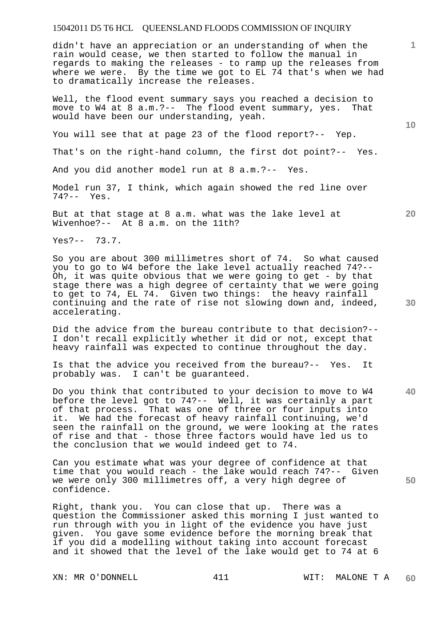didn't have an appreciation or an understanding of when the rain would cease, we then started to follow the manual in regards to making the releases - to ramp up the releases from where we were. By the time we got to EL 74 that's when we had to dramatically increase the releases.

Well, the flood event summary says you reached a decision to move to W4 at 8 a.m.?-- The flood event summary, yes. That would have been our understanding, yeah.

You will see that at page 23 of the flood report?-- Yep.

That's on the right-hand column, the first dot point?-- Yes.

And you did another model run at 8 a.m.?-- Yes.

Model run 37, I think, which again showed the red line over 74?-- Yes.

But at that stage at 8 a.m. what was the lake level at Wivenhoe?-- At 8 a.m. on the 11th?

Yes?-- 73.7.

So you are about 300 millimetres short of 74. So what caused you to go to W4 before the lake level actually reached 74?-- Oh, it was quite obvious that we were going to get - by that stage there was a high degree of certainty that we were going to get to 74, EL 74. Given two things: the heavy rainfall continuing and the rate of rise not slowing down and, indeed, accelerating.

Did the advice from the bureau contribute to that decision?-- I don't recall explicitly whether it did or not, except that heavy rainfall was expected to continue throughout the day.

Is that the advice you received from the bureau?-- Yes. It probably was. I can't be guaranteed.

Do you think that contributed to your decision to move to W4 before the level got to 74?-- Well, it was certainly a part of that process. That was one of three or four inputs into it. We had the forecast of heavy rainfall continuing, we'd seen the rainfall on the ground, we were looking at the rates of rise and that - those three factors would have led us to the conclusion that we would indeed get to 74.

Can you estimate what was your degree of confidence at that time that you would reach - the lake would reach 74?-- Given we were only 300 millimetres off, a very high degree of confidence.

Right, thank you. You can close that up. There was a question the Commissioner asked this morning I just wanted to run through with you in light of the evidence you have just given. You gave some evidence before the morning break that if you did a modelling without taking into account forecast and it showed that the level of the lake would get to 74 at 6

**10** 

**20** 

**1**

**40** 

**50**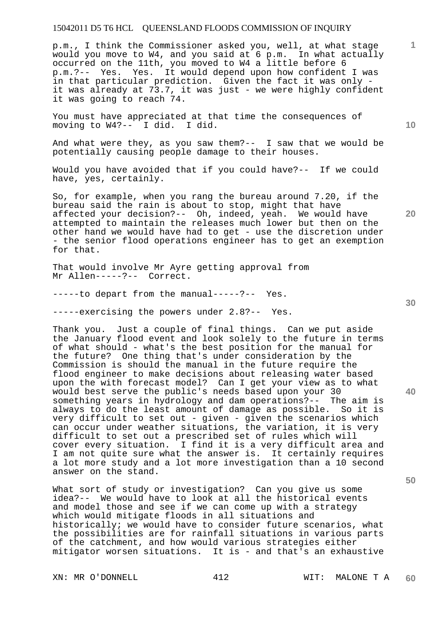p.m., I think the Commissioner asked you, well, at what stage would you move to W4, and you said at 6 p.m. In what actually occurred on the 11th, you moved to W4 a little before 6 p.m.?-- Yes. Yes. It would depend upon how confident I was in that particular prediction. Given the fact it was only it was already at 73.7, it was just - we were highly confident it was going to reach 74.

You must have appreciated at that time the consequences of moving to W4?-- I did. I did.

And what were they, as you saw them?-- I saw that we would be potentially causing people damage to their houses.

Would you have avoided that if you could have?-- If we could have, yes, certainly.

So, for example, when you rang the bureau around 7.20, if the bureau said the rain is about to stop, might that have affected your decision?-- Oh, indeed, yeah. We would have attempted to maintain the releases much lower but then on the other hand we would have had to get - use the discretion under - the senior flood operations engineer has to get an exemption for that.

That would involve Mr Ayre getting approval from Mr Allen-----?-- Correct.

-----to depart from the manual-----?-- Yes.

-----exercising the powers under 2.8?-- Yes.

Thank you. Just a couple of final things. Can we put aside the January flood event and look solely to the future in terms of what should - what's the best position for the manual for the future? One thing that's under consideration by the Commission is should the manual in the future require the flood engineer to make decisions about releasing water based upon the with forecast model? Can I get your view as to what would best serve the public's needs based upon your 30 something years in hydrology and dam operations?-- The aim is always to do the least amount of damage as possible. So it is very difficult to set out - given - given the scenarios which can occur under weather situations, the variation, it is very difficult to set out a prescribed set of rules which will cover every situation. I find it is a very difficult area and I am not quite sure what the answer is. It certainly requires a lot more study and a lot more investigation than a 10 second answer on the stand.

What sort of study or investigation? Can you give us some idea?-- We would have to look at all the historical events and model those and see if we can come up with a strategy which would mitigate floods in all situations and historically; we would have to consider future scenarios, what the possibilities are for rainfall situations in various parts of the catchment, and how would various strategies either mitigator worsen situations. It is - and that's an exhaustive

XN: MR O'DONNELL 412 WIT: MALONE T A

**10** 

**20** 

**1**

**30** 

**50**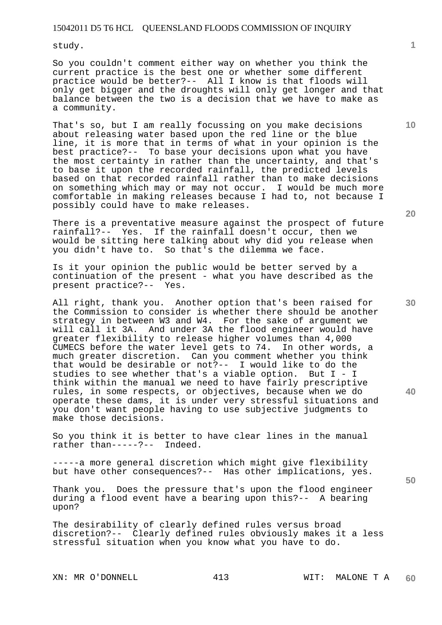study.

So you couldn't comment either way on whether you think the current practice is the best one or whether some different practice would be better?-- All I know is that floods will only get bigger and the droughts will only get longer and that balance between the two is a decision that we have to make as a community.

That's so, but I am really focussing on you make decisions about releasing water based upon the red line or the blue line, it is more that in terms of what in your opinion is the best practice?-- To base your decisions upon what you have the most certainty in rather than the uncertainty, and that's to base it upon the recorded rainfall, the predicted levels based on that recorded rainfall rather than to make decisions on something which may or may not occur. I would be much more comfortable in making releases because I had to, not because I possibly could have to make releases.

There is a preventative measure against the prospect of future rainfall?-- Yes. If the rainfall doesn't occur, then we would be sitting here talking about why did you release when you didn't have to. So that's the dilemma we face.

Is it your opinion the public would be better served by a continuation of the present - what you have described as the present practice?-- Yes.

All right, thank you. Another option that's been raised for the Commission to consider is whether there should be another strategy in between W3 and W4. For the sake of argument we will call it 3A. And under 3A the flood engineer would have greater flexibility to release higher volumes than 4,000 CUMECS before the water level gets to 74. In other words, a much greater discretion. Can you comment whether you think that would be desirable or not?-- I would like to do the studies to see whether that's a viable option. But I - I think within the manual we need to have fairly prescriptive rules, in some respects, or objectives, because when we do operate these dams, it is under very stressful situations and you don't want people having to use subjective judgments to make those decisions.

So you think it is better to have clear lines in the manual rather than-----?-- Indeed.

-----a more general discretion which might give flexibility but have other consequences?-- Has other implications, yes.

Thank you. Does the pressure that's upon the flood engineer during a flood event have a bearing upon this?-- A bearing upon?

The desirability of clearly defined rules versus broad discretion?-- Clearly defined rules obviously makes it a less stressful situation when you know what you have to do.

**10** 

**1**

**20** 

**30** 

**50**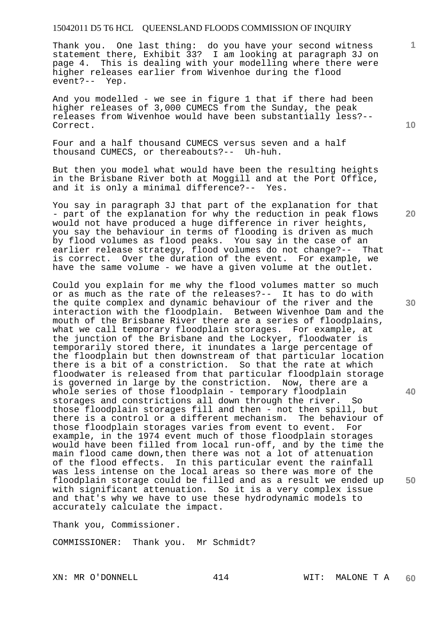Thank you. One last thing: do you have your second witness statement there, Exhibit 33? I am looking at paragraph 3J on page 4. This is dealing with your modelling where there were higher releases earlier from Wivenhoe during the flood event?-- Yep.

And you modelled - we see in figure 1 that if there had been higher releases of 3,000 CUMECS from the Sunday, the peak releases from Wivenhoe would have been substantially less?-- Correct.

Four and a half thousand CUMECS versus seven and a half thousand CUMECS, or thereabouts?-- Uh-huh.

But then you model what would have been the resulting heights in the Brisbane River both at Moggill and at the Port Office, and it is only a minimal difference?-- Yes.

You say in paragraph 3J that part of the explanation for that - part of the explanation for why the reduction in peak flows would not have produced a huge difference in river heights, you say the behaviour in terms of flooding is driven as much by flood volumes as flood peaks. You say in the case of an earlier release strategy, flood volumes do not change?-- That is correct. Over the duration of the event. For example, we have the same volume - we have a given volume at the outlet.

Could you explain for me why the flood volumes matter so much or as much as the rate of the releases?-- It has to do with the quite complex and dynamic behaviour of the river and the interaction with the floodplain. Between Wivenhoe Dam and the mouth of the Brisbane River there are a series of floodplains, what we call temporary floodplain storages. For example, at the junction of the Brisbane and the Lockyer, floodwater is temporarily stored there, it inundates a large percentage of the floodplain but then downstream of that particular location there is a bit of a constriction. So that the rate at which floodwater is released from that particular floodplain storage is governed in large by the constriction. Now, there are a whole series of those floodplain - temporary floodplain storages and constrictions all down through the river. So those floodplain storages fill and then - not then spill, but there is a control or a different mechanism. The behaviour of those floodplain storages varies from event to event. For example, in the 1974 event much of those floodplain storages would have been filled from local run-off, and by the time the main flood came down,then there was not a lot of attenuation of the flood effects. In this particular event the rainfall was less intense on the local areas so there was more of the floodplain storage could be filled and as a result we ended up with significant attenuation. So it is a very complex issue and that's why we have to use these hydrodynamic models to accurately calculate the impact.

Thank you, Commissioner.

COMMISSIONER: Thank you. Mr Schmidt?

**10** 

**1**

**20** 

**30** 

**40**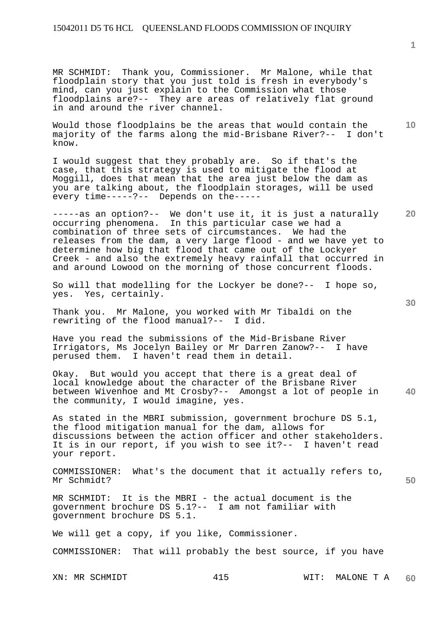MR SCHMIDT: Thank you, Commissioner. Mr Malone, while that floodplain story that you just told is fresh in everybody's mind, can you just explain to the Commission what those floodplains are?-- They are areas of relatively flat ground in and around the river channel.

Would those floodplains be the areas that would contain the majority of the farms along the mid-Brisbane River?-- I don't know.

I would suggest that they probably are. So if that's the case, that this strategy is used to mitigate the flood at Moggill, does that mean that the area just below the dam as you are talking about, the floodplain storages, will be used every time-----?-- Depends on the-----

-----as an option?-- We don't use it, it is just a naturally occurring phenomena. In this particular case we had a combination of three sets of circumstances. We had the releases from the dam, a very large flood - and we have yet to determine how big that flood that came out of the Lockyer Creek - and also the extremely heavy rainfall that occurred in and around Lowood on the morning of those concurrent floods.

So will that modelling for the Lockyer be done?-- I hope so, yes. Yes, certainly.

Thank you. Mr Malone, you worked with Mr Tibaldi on the rewriting of the flood manual?-- I did.

Have you read the submissions of the Mid-Brisbane River Irrigators, Ms Jocelyn Bailey or Mr Darren Zanow?-- I have perused them. I haven't read them in detail.

**40**  Okay. But would you accept that there is a great deal of local knowledge about the character of the Brisbane River between Wivenhoe and Mt Crosby?-- Amongst a lot of people in the community, I would imagine, yes.

As stated in the MBRI submission, government brochure DS 5.1, the flood mitigation manual for the dam, allows for discussions between the action officer and other stakeholders. It is in our report, if you wish to see it?-- I haven't read your report.

COMMISSIONER: What's the document that it actually refers to, Mr Schmidt?

MR SCHMIDT: It is the MBRI - the actual document is the government brochure DS 5.1?-- I am not familiar with government brochure DS 5.1.

We will get a copy, if you like, Commissioner.

COMMISSIONER: That will probably the best source, if you have

XN: MR SCHMIDT 415 WIT: MALONE T A **60** 

**50** 

**20** 

**10**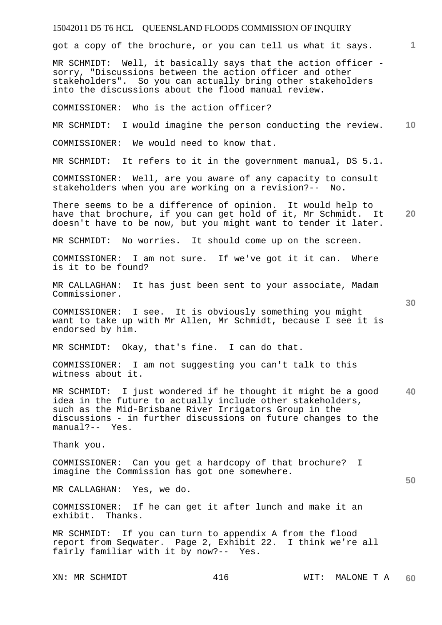got a copy of the brochure, or you can tell us what it says.

MR SCHMIDT: Well, it basically says that the action officer sorry, "Discussions between the action officer and other stakeholders". So you can actually bring other stakeholders into the discussions about the flood manual review.

COMMISSIONER: Who is the action officer?

**10**  MR SCHMIDT: I would imagine the person conducting the review. COMMISSIONER: We would need to know that.

MR SCHMIDT: It refers to it in the government manual, DS 5.1.

COMMISSIONER: Well, are you aware of any capacity to consult stakeholders when you are working on a revision?-- No.

**20**  There seems to be a difference of opinion. It would help to have that brochure, if you can get hold of it, Mr Schmidt. It doesn't have to be now, but you might want to tender it later.

MR SCHMIDT: No worries. It should come up on the screen.

COMMISSIONER: I am not sure. If we've got it it can. Where is it to be found?

MR CALLAGHAN: It has just been sent to your associate, Madam Commissioner.

COMMISSIONER: I see. It is obviously something you might want to take up with Mr Allen, Mr Schmidt, because I see it is endorsed by him.

MR SCHMIDT: Okay, that's fine. I can do that.

COMMISSIONER: I am not suggesting you can't talk to this witness about it.

**40**  MR SCHMIDT: I just wondered if he thought it might be a good idea in the future to actually include other stakeholders, such as the Mid-Brisbane River Irrigators Group in the discussions - in further discussions on future changes to the manual?-- Yes.

Thank you.

COMMISSIONER: Can you get a hardcopy of that brochure? I imagine the Commission has got one somewhere.

MR CALLAGHAN: Yes, we do.

COMMISSIONER: If he can get it after lunch and make it an exhibit. Thanks.

MR SCHMIDT: If you can turn to appendix A from the flood report from Seqwater. Page 2, Exhibit 22. I think we're all fairly familiar with it by now?-- Yes.

**1**

**30**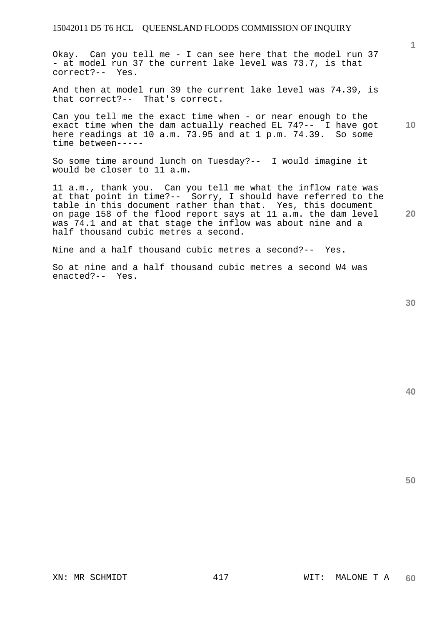Okay. Can you tell me - I can see here that the model run 37 - at model run 37 the current lake level was 73.7, is that correct?-- Yes.

And then at model run 39 the current lake level was 74.39, is that correct?-- That's correct.

Can you tell me the exact time when - or near enough to the exact time when the dam actually reached EL 74?-- I have got here readings at 10 a.m. 73.95 and at 1 p.m. 74.39. So some time between-----

So some time around lunch on Tuesday?-- I would imagine it would be closer to 11 a.m.

11 a.m., thank you. Can you tell me what the inflow rate was at that point in time?-- Sorry, I should have referred to the table in this document rather than that. Yes, this document on page 158 of the flood report says at 11 a.m. the dam level was 74.1 and at that stage the inflow was about nine and a half thousand cubic metres a second.

Nine and a half thousand cubic metres a second?-- Yes.

So at nine and a half thousand cubic metres a second W4 was enacted?-- Yes.

**30** 

**20** 

**40** 

**50** 

**1**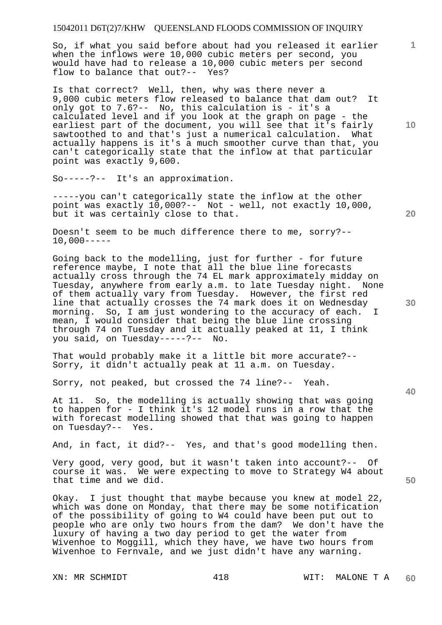So, if what you said before about had you released it earlier when the inflows were 10,000 cubic meters per second, you would have had to release a 10,000 cubic meters per second flow to balance that out?-- Yes?

Is that correct? Well, then, why was there never a 9,000 cubic meters flow released to balance that dam out? It only got to 7.6?-- No, this calculation is - it's a calculated level and if you look at the graph on page - the earliest part of the document, you will see that it's fairly sawtoothed to and that's just a numerical calculation. What actually happens is it's a much smoother curve than that, you can't categorically state that the inflow at that particular point was exactly 9,600.

So-----?-- It's an approximation.

-----you can't categorically state the inflow at the other point was exactly 10,000?-- Not - well, not exactly 10,000, but it was certainly close to that.

Doesn't seem to be much difference there to me, sorry?--  $10,000---$ 

Going back to the modelling, just for further - for future reference maybe, I note that all the blue line forecasts actually cross through the 74 EL mark approximately midday on Tuesday, anywhere from early a.m. to late Tuesday night. None of them actually vary from Tuesday. However, the first red line that actually crosses the 74 mark does it on Wednesday morning. So, I am just wondering to the accuracy of each. I mean, I would consider that being the blue line crossing through 74 on Tuesday and it actually peaked at 11, I think you said, on Tuesday-----?-- No.

That would probably make it a little bit more accurate?-- Sorry, it didn't actually peak at 11 a.m. on Tuesday.

Sorry, not peaked, but crossed the 74 line?-- Yeah.

At 11. So, the modelling is actually showing that was going to happen for - I think it's 12 model runs in a row that the with forecast modelling showed that that was going to happen on Tuesday?-- Yes.

And, in fact, it did?-- Yes, and that's good modelling then.

Very good, very good, but it wasn't taken into account?-- Of course it was. We were expecting to move to Strategy W4 about that time and we did.

Okay. I just thought that maybe because you knew at model 22, which was done on Monday, that there may be some notification of the possibility of going to W4 could have been put out to people who are only two hours from the dam? We don't have the luxury of having a two day period to get the water from Wivenhoe to Moggill, which they have, we have two hours from Wivenhoe to Fernvale, and we just didn't have any warning.

**10** 

**1**

**20** 

**30** 

**40**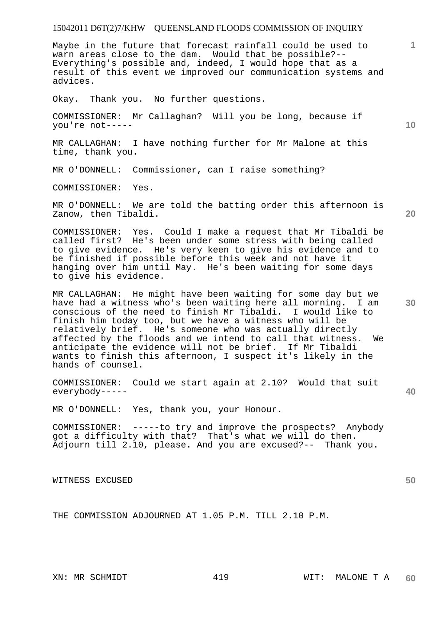Maybe in the future that forecast rainfall could be used to warn areas close to the dam. Would that be possible?-- Everything's possible and, indeed, I would hope that as a result of this event we improved our communication systems and advices.

Okay. Thank you. No further questions.

COMMISSIONER: Mr Callaghan? Will you be long, because if you're not-----

MR CALLAGHAN: I have nothing further for Mr Malone at this time, thank you.

MR O'DONNELL: Commissioner, can I raise something?

COMMISSIONER: Yes.

MR O'DONNELL: We are told the batting order this afternoon is Zanow, then Tibaldi.

COMMISSIONER: Yes. Could I make a request that Mr Tibaldi be called first? He's been under some stress with being called to give evidence. He's very keen to give his evidence and to be finished if possible before this week and not have it hanging over him until May. He's been waiting for some days to give his evidence.

MR CALLAGHAN: He might have been waiting for some day but we have had a witness who's been waiting here all morning. I am conscious of the need to finish Mr Tibaldi. I would like to finish him today too, but we have a witness who will be relatively brief. He's someone who was actually directly affected by the floods and we intend to call that witness. We anticipate the evidence will not be brief. If Mr Tibaldi wants to finish this afternoon, I suspect it's likely in the hands of counsel.

COMMISSIONER: Could we start again at 2.10? Would that suit everybody-----

MR O'DONNELL: Yes, thank you, your Honour.

COMMISSIONER: -----to try and improve the prospects? Anybody got a difficulty with that? That's what we will do then. Adjourn till 2.10, please. And you are excused?-- Thank you.

WITNESS EXCUSED

THE COMMISSION ADJOURNED AT 1.05 P.M. TILL 2.10 P.M.

**20** 

**1**

**10** 

**30** 

**50**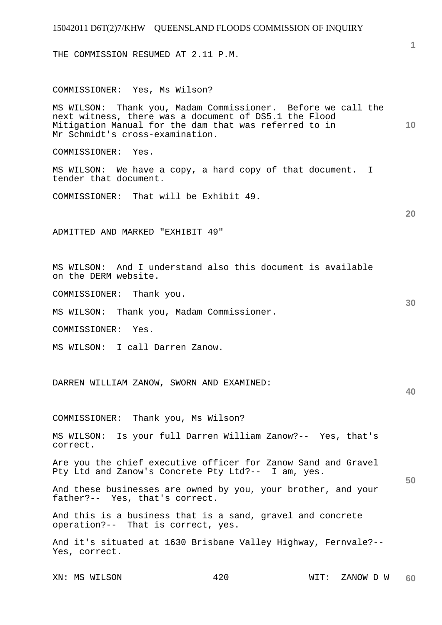| 15042011 D6T(2)7/KHW QUEENSLAND FLOODS COMMISSION OF INQUIRY                                                                                                                                                      |                 |
|-------------------------------------------------------------------------------------------------------------------------------------------------------------------------------------------------------------------|-----------------|
| THE COMMISSION RESUMED AT 2.11 P.M.                                                                                                                                                                               |                 |
| COMMISSIONER: Yes, Ms Wilson?                                                                                                                                                                                     |                 |
| MS WILSON: Thank you, Madam Commissioner. Before we call the<br>next witness, there was a document of DS5.1 the Flood<br>Mitigation Manual for the dam that was referred to in<br>Mr Schmidt's cross-examination. | 10 <sup>°</sup> |
| COMMISSIONER: Yes.                                                                                                                                                                                                |                 |
| MS WILSON: We have a copy, a hard copy of that document. I<br>tender that document.                                                                                                                               |                 |
| COMMISSIONER: That will be Exhibit 49.                                                                                                                                                                            |                 |
|                                                                                                                                                                                                                   | 20              |
| ADMITTED AND MARKED "EXHIBIT 49"                                                                                                                                                                                  |                 |
| MS WILSON: And I understand also this document is available<br>on the DERM website.                                                                                                                               |                 |
| COMMISSIONER: Thank you.                                                                                                                                                                                          |                 |
| MS WILSON: Thank you, Madam Commissioner.                                                                                                                                                                         | 30              |
| COMMISSIONER: Yes.                                                                                                                                                                                                |                 |
| MS WILSON: I call Darren Zanow.                                                                                                                                                                                   |                 |
| DARREN WILLIAM ZANOW, SWORN AND EXAMINED:                                                                                                                                                                         | 40              |
| COMMISSIONER: Thank you, Ms Wilson?                                                                                                                                                                               |                 |
| MS WILSON: Is your full Darren William Zanow?-- Yes, that's<br>correct.                                                                                                                                           |                 |
| Are you the chief executive officer for Zanow Sand and Gravel<br>Pty Ltd and Zanow's Concrete Pty Ltd?-- I am, yes.                                                                                               | 50              |
| And these businesses are owned by you, your brother, and your<br>father?-- Yes, that's correct.                                                                                                                   |                 |
| And this is a business that is a sand, gravel and concrete<br>operation?-- That is correct, yes.                                                                                                                  |                 |
| And it's situated at 1630 Brisbane Valley Highway, Fernvale?--<br>Yes, correct.                                                                                                                                   |                 |
|                                                                                                                                                                                                                   |                 |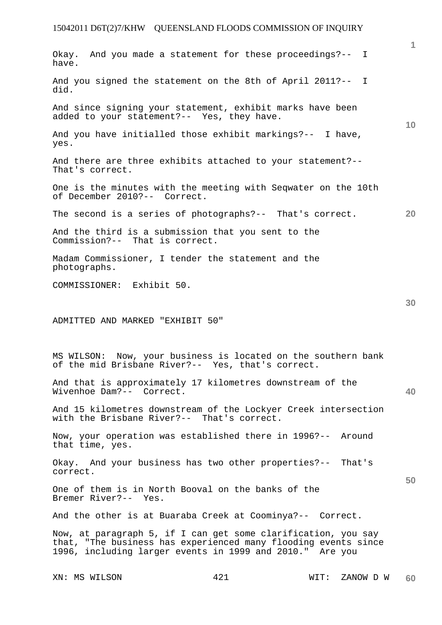|                                                                                                                                                                                             | $\mathbf{1}$ |
|---------------------------------------------------------------------------------------------------------------------------------------------------------------------------------------------|--------------|
| Okay. And you made a statement for these proceedings?-- I<br>have.                                                                                                                          |              |
| And you signed the statement on the 8th of April 2011?-- I<br>did.                                                                                                                          |              |
| And since signing your statement, exhibit marks have been<br>added to your statement?-- Yes, they have.                                                                                     | 10           |
| And you have initialled those exhibit markings?-- I have,<br>yes.                                                                                                                           |              |
| And there are three exhibits attached to your statement?--<br>That's correct.                                                                                                               |              |
| One is the minutes with the meeting with Seqwater on the 10th<br>of December 2010?-- Correct.                                                                                               |              |
| The second is a series of photographs?-- That's correct.                                                                                                                                    | 20           |
| And the third is a submission that you sent to the<br>Commission?-- That is correct.                                                                                                        |              |
| Madam Commissioner, I tender the statement and the<br>photographs.                                                                                                                          |              |
| COMMISSIONER: Exhibit 50.                                                                                                                                                                   |              |
|                                                                                                                                                                                             | 30           |
| ADMITTED AND MARKED "EXHIBIT 50"                                                                                                                                                            |              |
|                                                                                                                                                                                             |              |
| MS WILSON: Now, your business is located on the southern bank<br>of the mid Brisbane River?-- Yes, that's correct.                                                                          |              |
| And that is approximately 17 kilometres downstream of the<br>Wivenhoe Dam?-- Correct.                                                                                                       | 40           |
| And 15 kilometres downstream of the Lockyer Creek intersection<br>with the Brisbane River?-- That's correct.                                                                                |              |
| Now, your operation was established there in 1996?-- Around<br>that time, yes.                                                                                                              |              |
| Okay. And your business has two other properties?-- That's<br>correct.                                                                                                                      |              |
| One of them is in North Booval on the banks of the<br>Bremer River?-- Yes.                                                                                                                  | 50           |
| And the other is at Buaraba Creek at Coominya?-- Correct.                                                                                                                                   |              |
| Now, at paragraph 5, if I can get some clarification, you say<br>that, "The business has experienced many flooding events since<br>1996, including larger events in 1999 and 2010." Are you |              |
|                                                                                                                                                                                             |              |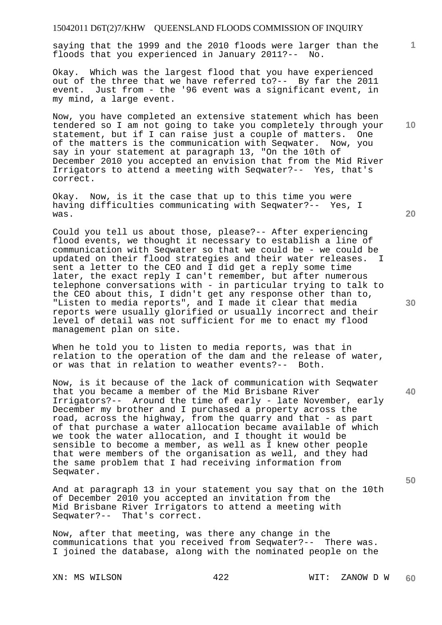saying that the 1999 and the 2010 floods were larger than the floods that you experienced in January 2011?-- No.

Okay. Which was the largest flood that you have experienced out of the three that we have referred to?-- By far the 2011 event. Just from - the '96 event was a significant event, in my mind, a large event.

Now, you have completed an extensive statement which has been tendered so I am not going to take you completely through your statement, but if I can raise just a couple of matters. One of the matters is the communication with Seqwater. Now, you say in your statement at paragraph 13, "On the 10th of December 2010 you accepted an envision that from the Mid River Irrigators to attend a meeting with Seqwater?-- Yes, that's correct.

Okay. Now, is it the case that up to this time you were having difficulties communicating with Seqwater?-- Yes, I was.

Could you tell us about those, please?-- After experiencing flood events, we thought it necessary to establish a line of communication with Seqwater so that we could be - we could be updated on their flood strategies and their water releases. I sent a letter to the CEO and I did get a reply some time later, the exact reply I can't remember, but after numerous telephone conversations with - in particular trying to talk to the CEO about this, I didn't get any response other than to, "Listen to media reports", and I made it clear that media reports were usually glorified or usually incorrect and their level of detail was not sufficient for me to enact my flood management plan on site.

When he told you to listen to media reports, was that in relation to the operation of the dam and the release of water, or was that in relation to weather events?-- Both.

Now, is it because of the lack of communication with Seqwater that you became a member of the Mid Brisbane River Irrigators?-- Around the time of early - late November, early December my brother and I purchased a property across the road, across the highway, from the quarry and that - as part of that purchase a water allocation became available of which we took the water allocation, and I thought it would be sensible to become a member, as well as I knew other people that were members of the organisation as well, and they had the same problem that I had receiving information from Seqwater.

And at paragraph 13 in your statement you say that on the 10th of December 2010 you accepted an invitation from the Mid Brisbane River Irrigators to attend a meeting with Seqwater?-- That's correct.

Now, after that meeting, was there any change in the communications that you received from Seqwater?-- There was. I joined the database, along with the nominated people on the

**20** 

**10** 

**1**

**30** 

**40**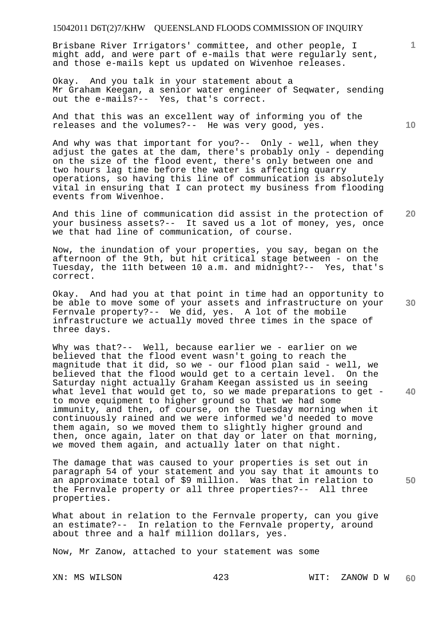Brisbane River Irrigators' committee, and other people, I might add, and were part of e-mails that were regularly sent, and those e-mails kept us updated on Wivenhoe releases.

Okay. And you talk in your statement about a Mr Graham Keegan, a senior water engineer of Seqwater, sending out the e-mails?-- Yes, that's correct.

And that this was an excellent way of informing you of the releases and the volumes?-- He was very good, yes.

And why was that important for you?-- Only - well, when they adjust the gates at the dam, there's probably only - depending on the size of the flood event, there's only between one and two hours lag time before the water is affecting quarry operations, so having this line of communication is absolutely vital in ensuring that I can protect my business from flooding events from Wivenhoe.

**20**  And this line of communication did assist in the protection of your business assets?-- It saved us a lot of money, yes, once we that had line of communication, of course.

Now, the inundation of your properties, you say, began on the afternoon of the 9th, but hit critical stage between - on the Tuesday, the 11th between 10 a.m. and midnight?-- Yes, that's correct.

Okay. And had you at that point in time had an opportunity to be able to move some of your assets and infrastructure on your Fernvale property?-- We did, yes. A lot of the mobile infrastructure we actually moved three times in the space of three days.

Why was that?-- Well, because earlier we - earlier on we believed that the flood event wasn't going to reach the magnitude that it did, so we - our flood plan said - well, we believed that the flood would get to a certain level. On the Saturday night actually Graham Keegan assisted us in seeing what level that would get to, so we made preparations to get to move equipment to higher ground so that we had some immunity, and then, of course, on the Tuesday morning when it continuously rained and we were informed we'd needed to move them again, so we moved them to slightly higher ground and then, once again, later on that day or later on that morning, we moved them again, and actually later on that night.

The damage that was caused to your properties is set out in paragraph 54 of your statement and you say that it amounts to an approximate total of \$9 million. Was that in relation to the Fernvale property or all three properties?-- All three properties.

What about in relation to the Fernvale property, can you give an estimate?-- In relation to the Fernvale property, around about three and a half million dollars, yes.

Now, Mr Zanow, attached to your statement was some

**10** 

**1**

**30** 

**50**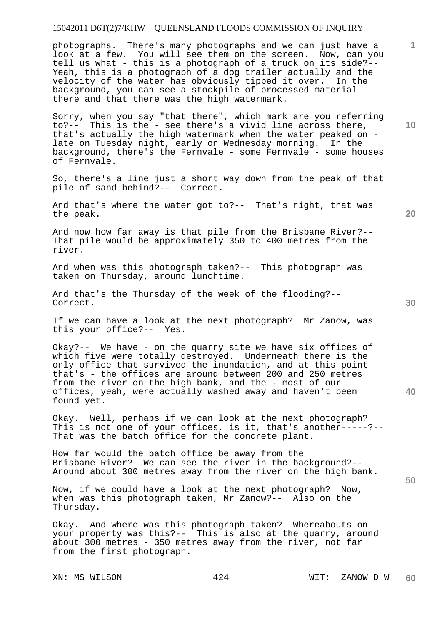photographs. There's many photographs and we can just have a look at a few. You will see them on the screen. Now, can you tell us what - this is a photograph of a truck on its side?-- Yeah, this is a photograph of a dog trailer actually and the velocity of the water has obviously tipped it over. In the background, you can see a stockpile of processed material there and that there was the high watermark.

Sorry, when you say "that there", which mark are you referring<br>to?-- This is the - see there's a vivid line across there. This is the - see there's a vivid line across there, that's actually the high watermark when the water peaked on late on Tuesday night, early on Wednesday morning. In the background, there's the Fernvale - some Fernvale - some houses of Fernvale.

So, there's a line just a short way down from the peak of that pile of sand behind?-- Correct.

And that's where the water got to?-- That's right, that was the peak.

And now how far away is that pile from the Brisbane River?-- That pile would be approximately 350 to 400 metres from the river.

And when was this photograph taken?-- This photograph was taken on Thursday, around lunchtime.

And that's the Thursday of the week of the flooding?-- Correct.

If we can have a look at the next photograph? Mr Zanow, was this your office?-- Yes.

Okay?-- We have - on the quarry site we have six offices of which five were totally destroyed. Underneath there is the only office that survived the inundation, and at this point that's - the offices are around between 200 and 250 metres from the river on the high bank, and the - most of our offices, yeah, were actually washed away and haven't been found yet.

Okay. Well, perhaps if we can look at the next photograph? This is not one of your offices, is it, that's another-----?-- That was the batch office for the concrete plant.

How far would the batch office be away from the Brisbane River? We can see the river in the background?-- Around about 300 metres away from the river on the high bank.

Now, if we could have a look at the next photograph? Now, when was this photograph taken, Mr Zanow?-- Also on the Thursday.

Okay. And where was this photograph taken? Whereabouts on your property was this?-- This is also at the quarry, around about 300 metres - 350 metres away from the river, not far from the first photograph.

**10** 

**20** 

**1**

**30** 

**40**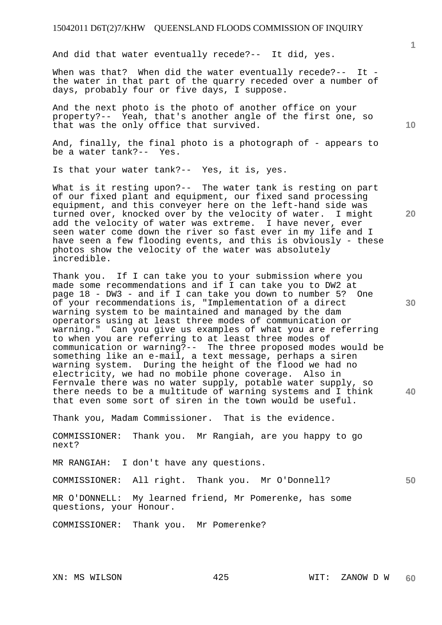And did that water eventually recede?-- It did, yes.

When was that? When did the water eventually recede?-- It the water in that part of the quarry receded over a number of days, probably four or five days, I suppose.

And the next photo is the photo of another office on your property?-- Yeah, that's another angle of the first one, so that was the only office that survived.

And, finally, the final photo is a photograph of - appears to be a water tank?-- Yes.

Is that your water tank?-- Yes, it is, yes.

What is it resting upon?-- The water tank is resting on part of our fixed plant and equipment, our fixed sand processing equipment, and this conveyer here on the left-hand side was turned over, knocked over by the velocity of water. I might add the velocity of water was extreme. I have never, ever seen water come down the river so fast ever in my life and I have seen a few flooding events, and this is obviously - these photos show the velocity of the water was absolutely incredible.

Thank you. If I can take you to your submission where you made some recommendations and if I can take you to DW2 at page 18 - DW3 - and if I can take you down to number 5? One of your recommendations is, "Implementation of a direct warning system to be maintained and managed by the dam operators using at least three modes of communication or warning." Can you give us examples of what you are referring to when you are referring to at least three modes of communication or warning?-- The three proposed modes would be something like an e-mail, a text message, perhaps a siren warning system. During the height of the flood we had no electricity, we had no mobile phone coverage. Also in Fernvale there was no water supply, potable water supply, so there needs to be a multitude of warning systems and I think that even some sort of siren in the town would be useful.

Thank you, Madam Commissioner. That is the evidence.

COMMISSIONER: Thank you. Mr Rangiah, are you happy to go next?

MR RANGIAH: I don't have any questions.

COMMISSIONER: All right. Thank you. Mr O'Donnell?

MR O'DONNELL: My learned friend, Mr Pomerenke, has some questions, your Honour.

COMMISSIONER: Thank you. Mr Pomerenke?

**10** 

**1**

**20** 

**30** 

**40**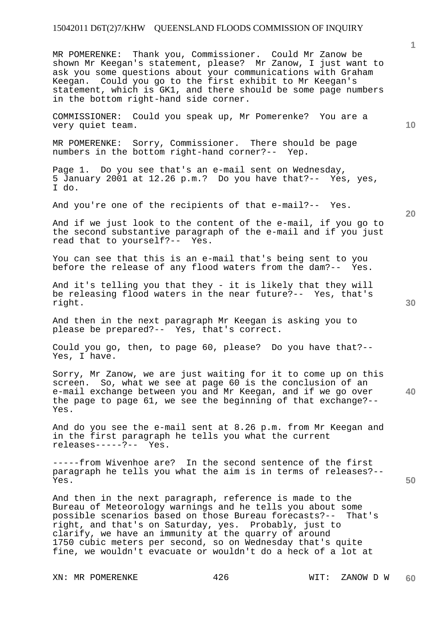MR POMERENKE: Thank you, Commissioner. Could Mr Zanow be shown Mr Keegan's statement, please? Mr Zanow, I just want to ask you some questions about your communications with Graham Keegan. Could you go to the first exhibit to Mr Keegan's statement, which is GK1, and there should be some page numbers in the bottom right-hand side corner.

COMMISSIONER: Could you speak up, Mr Pomerenke? You are a very quiet team.

MR POMERENKE: Sorry, Commissioner. There should be page numbers in the bottom right-hand corner?-- Yep.

Page 1. Do you see that's an e-mail sent on Wednesday, 5 January 2001 at 12.26 p.m.? Do you have that?-- Yes, yes, I do.

And you're one of the recipients of that e-mail?-- Yes.

And if we just look to the content of the e-mail, if you go to the second substantive paragraph of the e-mail and if you just read that to yourself?-- Yes.

You can see that this is an e-mail that's being sent to you before the release of any flood waters from the dam?-- Yes.

And it's telling you that they - it is likely that they will be releasing flood waters in the near future?-- Yes, that's right.

And then in the next paragraph Mr Keegan is asking you to please be prepared?-- Yes, that's correct.

Could you go, then, to page 60, please? Do you have that?-- Yes, I have.

**40**  Sorry, Mr Zanow, we are just waiting for it to come up on this screen. So, what we see at page 60 is the conclusion of an e-mail exchange between you and Mr Keegan, and if we go over the page to page 61, we see the beginning of that exchange?-- Yes.

And do you see the e-mail sent at 8.26 p.m. from Mr Keegan and in the first paragraph he tells you what the current releases-----?-- Yes.

-----from Wivenhoe are? In the second sentence of the first paragraph he tells you what the aim is in terms of releases?-- Yes.

And then in the next paragraph, reference is made to the Bureau of Meteorology warnings and he tells you about some possible scenarios based on those Bureau forecasts?-- That's right, and that's on Saturday, yes. Probably, just to clarify, we have an immunity at the quarry of around 1750 cubic meters per second, so on Wednesday that's quite fine, we wouldn't evacuate or wouldn't do a heck of a lot at

XN: MR POMERENKE  $426$  WIT: ZANOW D W

**10** 

**30** 

**20**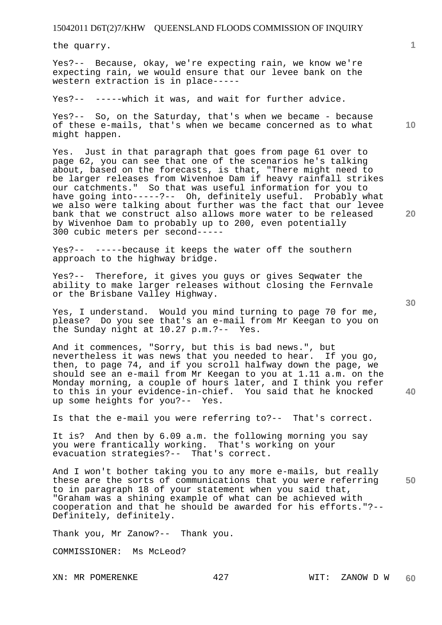the quarry.

Yes?-- Because, okay, we're expecting rain, we know we're expecting rain, we would ensure that our levee bank on the western extraction is in place-----

Yes?-- -----which it was, and wait for further advice.

Yes?-- So, on the Saturday, that's when we became - because of these e-mails, that's when we became concerned as to what might happen.

Yes. Just in that paragraph that goes from page 61 over to page 62, you can see that one of the scenarios he's talking about, based on the forecasts, is that, "There might need to be larger releases from Wivenhoe Dam if heavy rainfall strikes our catchments." So that was useful information for you to have going into-----?-- Oh, definitely useful. Probably what we also were talking about further was the fact that our levee bank that we construct also allows more water to be released by Wivenhoe Dam to probably up to 200, even potentially 300 cubic meters per second-----

Yes?-- -----because it keeps the water off the southern approach to the highway bridge.

Yes?-- Therefore, it gives you guys or gives Seqwater the ability to make larger releases without closing the Fernvale or the Brisbane Valley Highway.

Yes, I understand. Would you mind turning to page 70 for me, please? Do you see that's an e-mail from Mr Keegan to you on the Sunday night at 10.27 p.m.?-- Yes.

And it commences, "Sorry, but this is bad news.", but nevertheless it was news that you needed to hear. If you go, then, to page 74, and if you scroll halfway down the page, we should see an e-mail from Mr Keegan to you at 1.11 a.m. on the Monday morning, a couple of hours later, and I think you refer to this in your evidence-in-chief. You said that he knocked up some heights for you?-- Yes.

Is that the e-mail you were referring to?-- That's correct.

It is? And then by 6.09 a.m. the following morning you say you were frantically working. That's working on your evacuation strategies?-- That's correct.

**50**  And I won't bother taking you to any more e-mails, but really these are the sorts of communications that you were referring to in paragraph 18 of your statement when you said that, "Graham was a shining example of what can be achieved with cooperation and that he should be awarded for his efforts."?-- Definitely, definitely.

Thank you, Mr Zanow?-- Thank you.

COMMISSIONER: Ms McLeod?

**10** 

**1**

**20**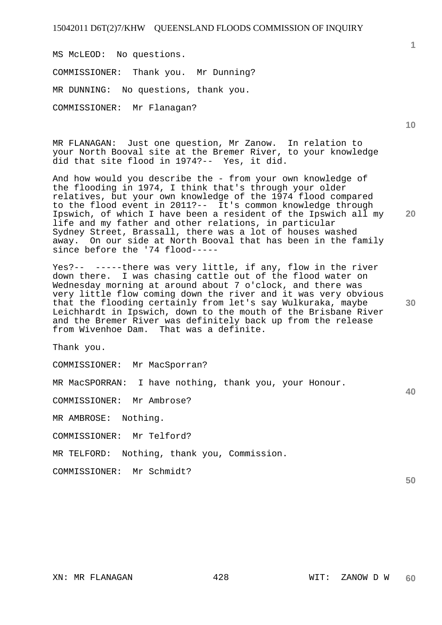MS McLEOD: No questions. COMMISSIONER: Thank you. Mr Dunning? MR DUNNING: No questions, thank you. COMMISSIONER: Mr Flanagan?

MR FLANAGAN: Just one question, Mr Zanow. In relation to your North Booval site at the Bremer River, to your knowledge did that site flood in 1974?-- Yes, it did.

And how would you describe the - from your own knowledge of the flooding in 1974, I think that's through your older relatives, but your own knowledge of the 1974 flood compared to the flood event in 2011?-- It's common knowledge through Ipswich, of which I have been a resident of the Ipswich all my life and my father and other relations, in particular Sydney Street, Brassall, there was a lot of houses washed away. On our side at North Booval that has been in the family since before the '74 flood-----

Yes?-- -----there was very little, if any, flow in the river down there. I was chasing cattle out of the flood water on Wednesday morning at around about 7 o'clock, and there was very little flow coming down the river and it was very obvious that the flooding certainly from let's say Wulkuraka, maybe Leichhardt in Ipswich, down to the mouth of the Brisbane River and the Bremer River was definitely back up from the release from Wivenhoe Dam. That was a definite.

Thank you.

COMMISSIONER: Mr MacSporran?

MR MacSPORRAN: I have nothing, thank you, your Honour.

COMMISSIONER: Mr Ambrose?

MR AMBROSE: Nothing.

COMMISSIONER: Mr Telford?

MR TELFORD: Nothing, thank you, Commission.

COMMISSIONER: Mr Schmidt?

**10** 

**1**

**20** 

**30** 

**40**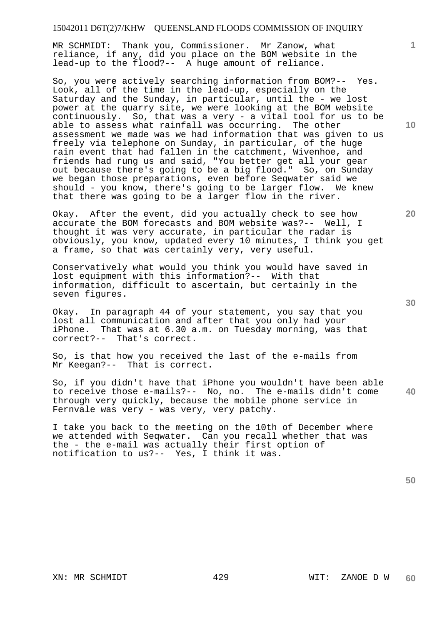MR SCHMIDT: Thank you, Commissioner. Mr Zanow, what reliance, if any, did you place on the BOM website in the lead-up to the flood?-- A huge amount of reliance.

So, you were actively searching information from BOM?-- Yes. Look, all of the time in the lead-up, especially on the Saturday and the Sunday, in particular, until the - we lost power at the quarry site, we were looking at the BOM website continuously. So, that was a very - a vital tool for us to be able to assess what rainfall was occurring. The other assessment we made was we had information that was given to us freely via telephone on Sunday, in particular, of the huge rain event that had fallen in the catchment, Wivenhoe, and friends had rung us and said, "You better get all your gear out because there's going to be a big flood." So, on Sunday we began those preparations, even before Seqwater said we should - you know, there's going to be larger flow. We knew that there was going to be a larger flow in the river.

Okay. After the event, did you actually check to see how accurate the BOM forecasts and BOM website was?-- Well, I thought it was very accurate, in particular the radar is obviously, you know, updated every 10 minutes, I think you get a frame, so that was certainly very, very useful.

Conservatively what would you think you would have saved in lost equipment with this information?-- With that information, difficult to ascertain, but certainly in the seven figures.

Okay. In paragraph 44 of your statement, you say that you lost all communication and after that you only had your iPhone. That was at 6.30 a.m. on Tuesday morning, was that correct?-- That's correct.

So, is that how you received the last of the e-mails from Mr Keegan?-- That is correct.

**40**  So, if you didn't have that iPhone you wouldn't have been able to receive those e-mails?-- No, no. The e-mails didn't come through very quickly, because the mobile phone service in Fernvale was very - was very, very patchy.

I take you back to the meeting on the 10th of December where we attended with Seqwater. Can you recall whether that was the - the e-mail was actually their first option of notification to us?-- Yes, I think it was.

**10** 

**1**

**30**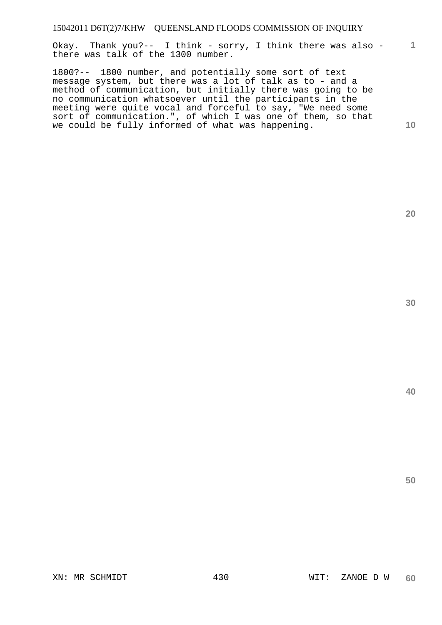Okay. Thank you?-- I think - sorry, I think there was also there was talk of the 1300 number.

1800?-- 1800 number, and potentially some sort of text message system, but there was a lot of talk as to - and a method of communication, but initially there was going to be no communication whatsoever until the participants in the meeting were quite vocal and forceful to say, "We need some sort of communication.", of which I was one of them, so that we could be fully informed of what was happening.

**20** 

**1**

**10**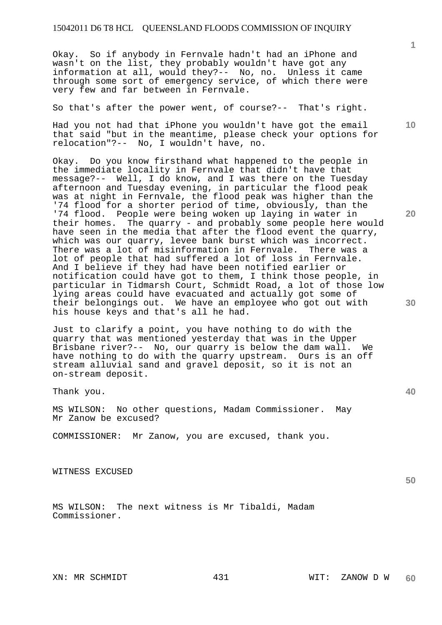Okay. So if anybody in Fernvale hadn't had an iPhone and wasn't on the list, they probably wouldn't have got any information at all, would they?-- No, no. Unless it came through some sort of emergency service, of which there were very few and far between in Fernvale.

So that's after the power went, of course?-- That's right.

Had you not had that iPhone you wouldn't have got the email that said "but in the meantime, please check your options for relocation"?-- No, I wouldn't have, no.

Okay. Do you know firsthand what happened to the people in the immediate locality in Fernvale that didn't have that message?-- Well, I do know, and I was there on the Tuesday afternoon and Tuesday evening, in particular the flood peak was at night in Fernvale, the flood peak was higher than the '74 flood for a shorter period of time, obviously, than the '74 flood. People were being woken up laying in water in their homes. The quarry - and probably some people here would have seen in the media that after the flood event the quarry, which was our quarry, levee bank burst which was incorrect. There was a lot of misinformation in Fernvale. There was a lot of people that had suffered a lot of loss in Fernvale. And I believe if they had have been notified earlier or notification could have got to them, I think those people, in particular in Tidmarsh Court, Schmidt Road, a lot of those low lying areas could have evacuated and actually got some of their belongings out. We have an employee who got out with his house keys and that's all he had.

Just to clarify a point, you have nothing to do with the quarry that was mentioned yesterday that was in the Upper Brisbane river?-- No, our quarry is below the dam wall. We have nothing to do with the quarry upstream. Ours is an off stream alluvial sand and gravel deposit, so it is not an on-stream deposit.

Thank you.

MS WILSON: No other questions, Madam Commissioner. May Mr Zanow be excused?

COMMISSIONER: Mr Zanow, you are excused, thank you.

WITNESS EXCUSED

MS WILSON: The next witness is Mr Tibaldi, Madam Commissioner.

**10** 

**20** 

**30** 

**40**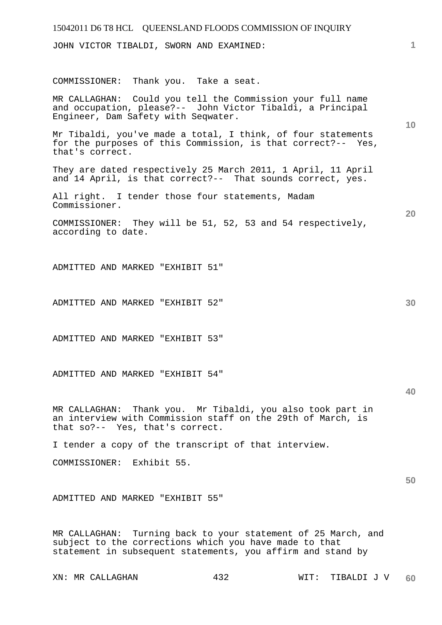JOHN VICTOR TIBALDI, SWORN AND EXAMINED:

COMMISSIONER: Thank you. Take a seat.

MR CALLAGHAN: Could you tell the Commission your full name and occupation, please?-- John Victor Tibaldi, a Principal Engineer, Dam Safety with Seqwater.

Mr Tibaldi, you've made a total, I think, of four statements for the purposes of this Commission, is that correct?-- Yes, that's correct.

They are dated respectively 25 March 2011, 1 April, 11 April and 14 April, is that correct?-- That sounds correct, yes.

All right. I tender those four statements, Madam Commissioner.

COMMISSIONER: They will be 51, 52, 53 and 54 respectively, according to date.

ADMITTED AND MARKED "EXHIBIT 51"

ADMITTED AND MARKED "EXHIBIT 52"

ADMITTED AND MARKED "EXHIBIT 53"

ADMITTED AND MARKED "EXHIBIT 54"

**40** 

**50** 

MR CALLAGHAN: Thank you. Mr Tibaldi, you also took part in an interview with Commission staff on the 29th of March, is that so?-- Yes, that's correct.

I tender a copy of the transcript of that interview.

COMMISSIONER: Exhibit 55.

ADMITTED AND MARKED "EXHIBIT 55"

MR CALLAGHAN: Turning back to your statement of 25 March, and subject to the corrections which you have made to that statement in subsequent statements, you affirm and stand by

**10** 

**20**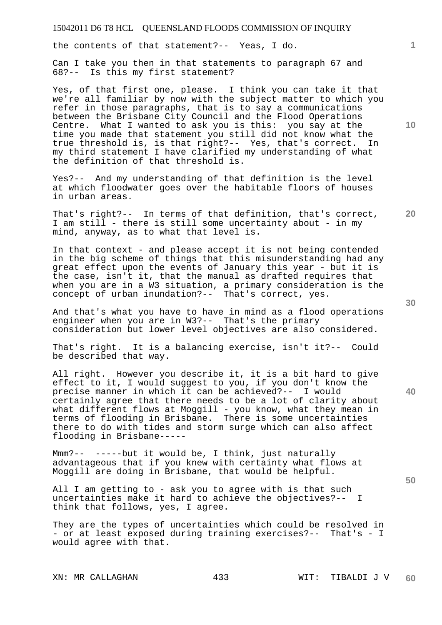the contents of that statement?-- Yeas, I do.

Can I take you then in that statements to paragraph 67 and 68?-- Is this my first statement?

Yes, of that first one, please. I think you can take it that we're all familiar by now with the subject matter to which you refer in those paragraphs, that is to say a communications between the Brisbane City Council and the Flood Operations Centre. What I wanted to ask you is this: you say at the time you made that statement you still did not know what the true threshold is, is that right?-- Yes, that's correct. In my third statement I have clarified my understanding of what the definition of that threshold is.

Yes?-- And my understanding of that definition is the level at which floodwater goes over the habitable floors of houses in urban areas.

That's right?-- In terms of that definition, that's correct, I am still - there is still some uncertainty about - in my mind, anyway, as to what that level is.

In that context - and please accept it is not being contended in the big scheme of things that this misunderstanding had any great effect upon the events of January this year - but it is the case, isn't it, that the manual as drafted requires that when you are in a W3 situation, a primary consideration is the concept of urban inundation?-- That's correct, yes.

And that's what you have to have in mind as a flood operations engineer when you are in W3?-- That's the primary consideration but lower level objectives are also considered.

That's right. It is a balancing exercise, isn't it?-- Could be described that way.

All right. However you describe it, it is a bit hard to give effect to it, I would suggest to you, if you don't know the precise manner in which it can be achieved?-- I would certainly agree that there needs to be a lot of clarity about what different flows at Moggill - you know, what they mean in terms of flooding in Brisbane. There is some uncertainties there to do with tides and storm surge which can also affect flooding in Brisbane-----

Mmm?-- -----but it would be, I think, just naturally advantageous that if you knew with certainty what flows at Moggill are doing in Brisbane, that would be helpful.

All I am getting to - ask you to agree with is that such uncertainties make it hard to achieve the objectives?-- I think that follows, yes, I agree.

They are the types of uncertainties which could be resolved in - or at least exposed during training exercises?-- That's - I would agree with that.

**10** 

**1**

**30** 

**20**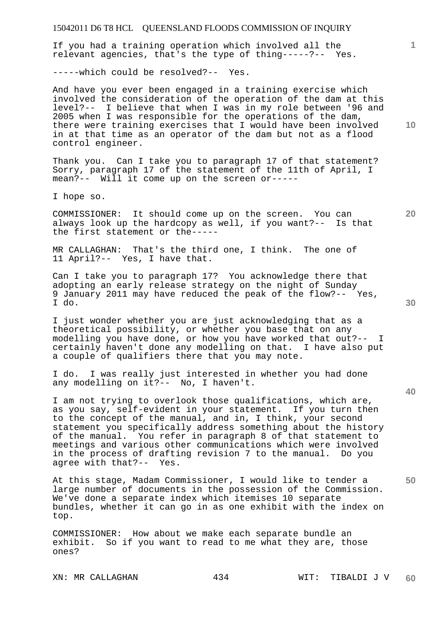If you had a training operation which involved all the relevant agencies, that's the type of thing-----?-- Yes.

-----which could be resolved?-- Yes.

And have you ever been engaged in a training exercise which involved the consideration of the operation of the dam at this level?-- I believe that when I was in my role between '96 and 2005 when I was responsible for the operations of the dam, there were training exercises that I would have been involved in at that time as an operator of the dam but not as a flood control engineer.

Thank you. Can I take you to paragraph 17 of that statement? Sorry, paragraph 17 of the statement of the 11th of April, I mean?-- Will it come up on the screen or-----

I hope so.

COMMISSIONER: It should come up on the screen. You can always look up the hardcopy as well, if you want?-- Is that the first statement or the-----

MR CALLAGHAN: That's the third one, I think. The one of 11 April?-- Yes, I have that.

Can I take you to paragraph 17? You acknowledge there that adopting an early release strategy on the night of Sunday 9 January 2011 may have reduced the peak of the flow?-- Yes, I do.

I just wonder whether you are just acknowledging that as a theoretical possibility, or whether you base that on any modelling you have done, or how you have worked that out?-- I certainly haven't done any modelling on that. I have also put a couple of qualifiers there that you may note.

I do. I was really just interested in whether you had done any modelling on it?-- No, I haven't.

I am not trying to overlook those qualifications, which are, as you say, self-evident in your statement. If you turn then to the concept of the manual, and in, I think, your second statement you specifically address something about the history of the manual. You refer in paragraph 8 of that statement to meetings and various other communications which were involved in the process of drafting revision 7 to the manual. Do you agree with that?-- Yes.

At this stage, Madam Commissioner, I would like to tender a large number of documents in the possession of the Commission. We've done a separate index which itemises 10 separate bundles, whether it can go in as one exhibit with the index on top.

COMMISSIONER: How about we make each separate bundle an exhibit. So if you want to read to me what they are, those ones?

**10** 

**1**

**20** 

**40**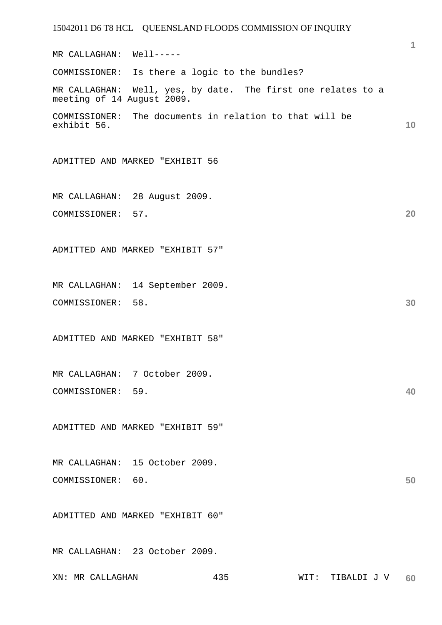**1 10 20 30 40 50**  MR CALLAGHAN: Well----- COMMISSIONER: Is there a logic to the bundles? MR CALLAGHAN: Well, yes, by date. The first one relates to a meeting of 14 August 2009. COMMISSIONER: The documents in relation to that will be exhibit 56. ADMITTED AND MARKED "EXHIBIT 56 MR CALLAGHAN: 28 August 2009. COMMISSIONER: 57. ADMITTED AND MARKED "EXHIBIT 57" MR CALLAGHAN: 14 September 2009. COMMISSIONER: 58. ADMITTED AND MARKED "EXHIBIT 58" MR CALLAGHAN: 7 October 2009. COMMISSIONER: 59. ADMITTED AND MARKED "EXHIBIT 59" MR CALLAGHAN: 15 October 2009. COMMISSIONER: 60. ADMITTED AND MARKED "EXHIBIT 60" MR CALLAGHAN: 23 October 2009.

XN: MR CALLAGHAN 435 WIT: TIBALDI J V **60**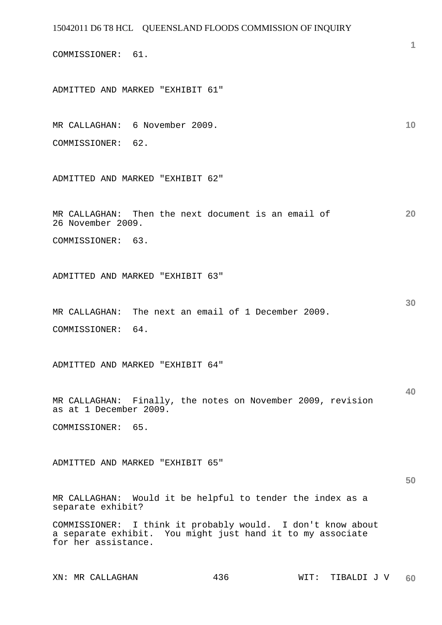COMMISSIONER: 61.

ADMITTED AND MARKED "EXHIBIT 61"

### **10**  MR CALLAGHAN: 6 November 2009. COMMISSIONER: 62.

ADMITTED AND MARKED "EXHIBIT 62"

**20**  MR CALLAGHAN: Then the next document is an email of 26 November 2009.

COMMISSIONER: 63.

ADMITTED AND MARKED "EXHIBIT 63"

MR CALLAGHAN: The next an email of 1 December 2009. COMMISSIONER: 64.

ADMITTED AND MARKED "EXHIBIT 64"

**40**  MR CALLAGHAN: Finally, the notes on November 2009, revision as at 1 December 2009.

COMMISSIONER: 65.

ADMITTED AND MARKED "EXHIBIT 65"

**50** 

**30** 

**1**

MR CALLAGHAN: Would it be helpful to tender the index as a separate exhibit?

COMMISSIONER: I think it probably would. I don't know about a separate exhibit. You might just hand it to my associate for her assistance.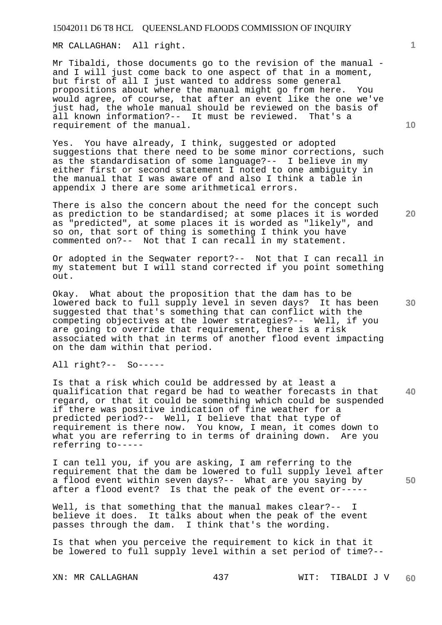MR CALLAGHAN: All right.

Mr Tibaldi, those documents go to the revision of the manual and I will just come back to one aspect of that in a moment, but first of all I just wanted to address some general propositions about where the manual might go from here. You would agree, of course, that after an event like the one we've just had, the whole manual should be reviewed on the basis of all known information?-- It must be reviewed. That's a requirement of the manual.

Yes. You have already, I think, suggested or adopted suggestions that there need to be some minor corrections, such as the standardisation of some language?-- I believe in my either first or second statement I noted to one ambiguity in the manual that I was aware of and also I think a table in appendix J there are some arithmetical errors.

There is also the concern about the need for the concept such as prediction to be standardised; at some places it is worded as "predicted", at some places it is worded as "likely", and so on, that sort of thing is something I think you have commented on?-- Not that I can recall in my statement.

Or adopted in the Seqwater report?-- Not that I can recall in my statement but I will stand corrected if you point something out.

Okay. What about the proposition that the dam has to be lowered back to full supply level in seven days? It has been suggested that that's something that can conflict with the competing objectives at the lower strategies?-- Well, if you are going to override that requirement, there is a risk associated with that in terms of another flood event impacting on the dam within that period.

All right?-- So-----

**40**  Is that a risk which could be addressed by at least a qualification that regard be had to weather forecasts in that regard, or that it could be something which could be suspended if there was positive indication of fine weather for a predicted period?-- Well, I believe that that type of requirement is there now. You know, I mean, it comes down to what you are referring to in terms of draining down. Are you referring to-----

I can tell you, if you are asking, I am referring to the requirement that the dam be lowered to full supply level after a flood event within seven days?-- What are you saying by after a flood event? Is that the peak of the event or-----

Well, is that something that the manual makes clear?-- I believe it does. It talks about when the peak of the event passes through the dam. I think that's the wording.

Is that when you perceive the requirement to kick in that it be lowered to full supply level within a set period of time?--

**10** 

**20**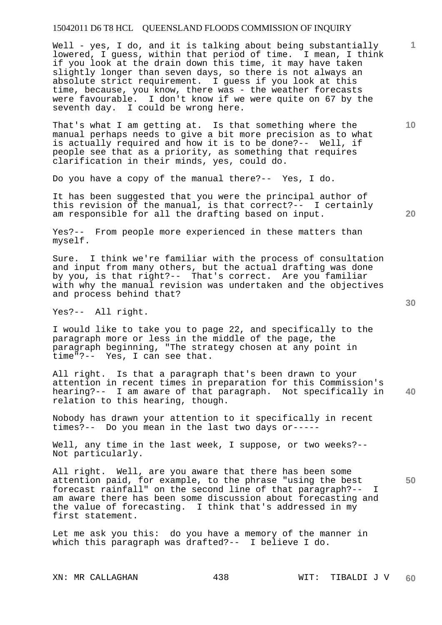Well - yes, I do, and it is talking about being substantially lowered, I guess, within that period of time. I mean, I think if you look at the drain down this time, it may have taken slightly longer than seven days, so there is not always an absolute strict requirement. I guess if you look at this time, because, you know, there was - the weather forecasts were favourable. I don't know if we were quite on 67 by the seventh day. I could be wrong here.

That's what I am getting at. Is that something where the manual perhaps needs to give a bit more precision as to what is actually required and how it is to be done?-- Well, if people see that as a priority, as something that requires clarification in their minds, yes, could do.

Do you have a copy of the manual there?-- Yes, I do.

It has been suggested that you were the principal author of this revision of the manual, is that correct?-- I certainly am responsible for all the drafting based on input.

Yes?-- From people more experienced in these matters than myself.

Sure. I think we're familiar with the process of consultation and input from many others, but the actual drafting was done by you, is that right?-- That's correct. Are you familiar with why the manual revision was undertaken and the objectives and process behind that?

Yes?-- All right.

I would like to take you to page 22, and specifically to the paragraph more or less in the middle of the page, the paragraph beginning, "The strategy chosen at any point in time"?-- Yes, I can see that.

**40**  All right. Is that a paragraph that's been drawn to your attention in recent times in preparation for this Commission's hearing?-- I am aware of that paragraph. Not specifically in relation to this hearing, though.

Nobody has drawn your attention to it specifically in recent times?-- Do you mean in the last two days or-----

Well, any time in the last week, I suppose, or two weeks?-- Not particularly.

All right. Well, are you aware that there has been some attention paid, for example, to the phrase "using the best forecast rainfall" on the second line of that paragraph?-- I am aware there has been some discussion about forecasting and the value of forecasting. I think that's addressed in my first statement.

Let me ask you this: do you have a memory of the manner in which this paragraph was drafted?-- I believe I do.

**20** 

**30** 

**50** 

**10**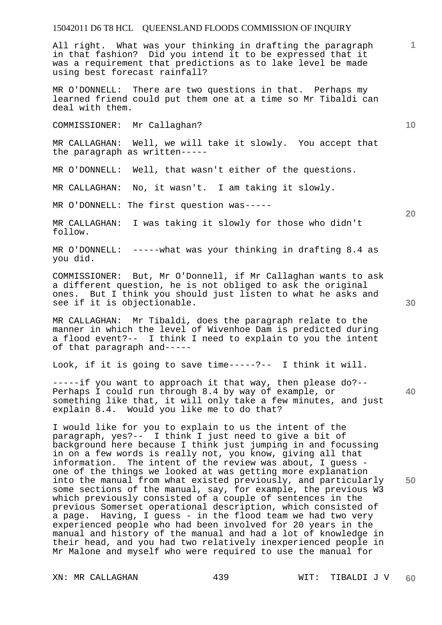All right. What was your thinking in drafting the paragraph in that fashion? Did you intend it to be expressed that it was a requirement that predictions as to lake level be made using best forecast rainfall?

MR O'DONNELL: There are two questions in that. Perhaps my learned friend could put them one at a time so Mr Tibaldi can deal with them.

COMMISSIONER: Mr Callaghan?

MR CALLAGHAN: Well, we will take it slowly. You accept that the paragraph as written-----

MR O'DONNELL: Well, that wasn't either of the questions.

MR CALLAGHAN: No, it wasn't. I am taking it slowly.

MR O'DONNELL: The first question was-----

MR CALLAGHAN: I was taking it slowly for those who didn't follow.

MR O'DONNELL: -----what was your thinking in drafting 8.4 as you did.

COMMISSIONER: But, Mr O'Donnell, if Mr Callaghan wants to ask a different question, he is not obliged to ask the original ones. But I think you should just listen to what he asks and see if it is objectionable.

MR CALLAGHAN: Mr Tibaldi, does the paragraph relate to the manner in which the level of Wivenhoe Dam is predicted during a flood event?-- I think I need to explain to you the intent of that paragraph and-----

Look, if it is going to save time-----?-- I think it will.

-----if you want to approach it that way, then please do?-- Perhaps I could run through 8.4 by way of example, or something like that, it will only take a few minutes, and just explain 8.4. Would you like me to do that?

I would like for you to explain to us the intent of the paragraph, yes?-- I think I just need to give a bit of background here because I think just jumping in and focussing in on a few words is really not, you know, giving all that information. The intent of the review was about, I guess one of the things we looked at was getting more explanation into the manual from what existed previously, and particularly some sections of the manual, say, for example, the previous W3 which previously consisted of a couple of sentences in the previous Somerset operational description, which consisted of a page. Having, I guess - in the flood team we had two very experienced people who had been involved for 20 years in the manual and history of the manual and had a lot of knowledge in their head, and you had two relatively inexperienced people in Mr Malone and myself who were required to use the manual for

**20** 

**40** 

**50** 

**30** 

**10**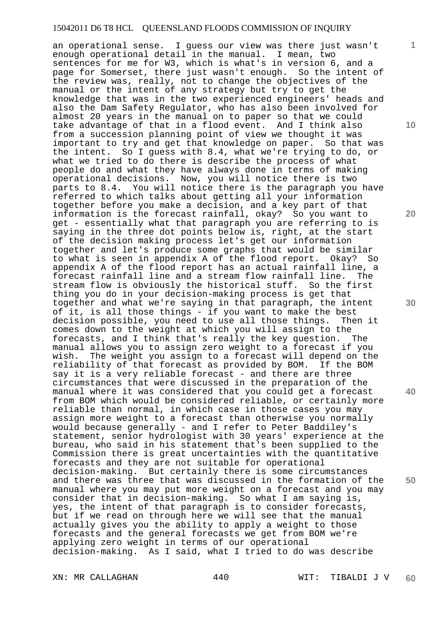an operational sense. I guess our view was there just wasn't enough operational detail in the manual. I mean, two sentences for me for W3, which is what's in version 6, and a page for Somerset, there just wasn't enough. So the intent of the review was, really, not to change the objectives of the manual or the intent of any strategy but try to get the knowledge that was in the two experienced engineers' heads and also the Dam Safety Regulator, who has also been involved for almost 20 years in the manual on to paper so that we could take advantage of that in a flood event. And I think also from a succession planning point of view we thought it was important to try and get that knowledge on paper. So that was the intent. So I guess with 8.4, what we're trying to do, or what we tried to do there is describe the process of what people do and what they have always done in terms of making operational decisions. Now, you will notice there is two parts to 8.4. You will notice there is the paragraph you have referred to which talks about getting all your information together before you make a decision, and a key part of that information is the forecast rainfall, okay? So you want to get - essentially what that paragraph you are referring to is saying in the three dot points below is, right, at the start of the decision making process let's get our information together and let's produce some graphs that would be similar to what is seen in appendix A of the flood report. Okay? So appendix A of the flood report has an actual rainfall line, a forecast rainfall line and a stream flow rainfall line. The stream flow is obviously the historical stuff. So the first thing you do in your decision-making process is get that together and what we're saying in that paragraph, the intent of it, is all those things - if you want to make the best decision possible, you need to use all those things. Then it comes down to the weight at which you will assign to the forecasts, and I think that's really the key question. The manual allows you to assign zero weight to a forecast if you wish. The weight you assign to a forecast will depend on the reliability of that forecast as provided by BOM. If the BOM say it is a very reliable forecast - and there are three circumstances that were discussed in the preparation of the manual where it was considered that you could get a forecast from BOM which would be considered reliable, or certainly more reliable than normal, in which case in those cases you may assign more weight to a forecast than otherwise you normally would because generally - and I refer to Peter Baddiley's statement, senior hydrologist with 30 years' experience at the bureau, who said in his statement that's been supplied to the Commission there is great uncertainties with the quantitative forecasts and they are not suitable for operational decision-making. But certainly there is some circumstances and there was three that was discussed in the formation of the manual where you may put more weight on a forecast and you may consider that in decision-making. So what I am saying is, yes, the intent of that paragraph is to consider forecasts, but if we read on through here we will see that the manual actually gives you the ability to apply a weight to those forecasts and the general forecasts we get from BOM we're applying zero weight in terms of our operational decision-making. As I said, what I tried to do was describe

**1**

**10** 

**20** 

**30** 

**40**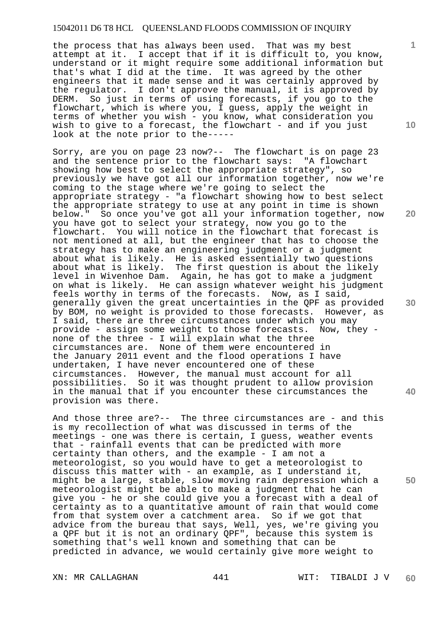the process that has always been used. That was my best attempt at it. I accept that if it is difficult to, you know, understand or it might require some additional information but that's what I did at the time. It was agreed by the other engineers that it made sense and it was certainly approved by the regulator. I don't approve the manual, it is approved by DERM. So just in terms of using forecasts, if you go to the flowchart, which is where you, I guess, apply the weight in terms of whether you wish - you know, what consideration you wish to give to a forecast, the flowchart - and if you just look at the note prior to the-----

Sorry, are you on page 23 now?-- The flowchart is on page 23 and the sentence prior to the flowchart says: "A flowchart showing how best to select the appropriate strategy", so previously we have got all our information together, now we're coming to the stage where we're going to select the appropriate strategy - "a flowchart showing how to best select the appropriate strategy to use at any point in time is shown<br>below." So once you've got all your information together, now So once you've got all your information together, now you have got to select your strategy, now you go to the flowchart. You will notice in the flowchart that forecast is not mentioned at all, but the engineer that has to choose the strategy has to make an engineering judgment or a judgment about what is likely. He is asked essentially two questions about what is likely. The first question is about the likely level in Wivenhoe Dam. Again, he has got to make a judgment on what is likely. He can assign whatever weight his judgment feels worthy in terms of the forecasts. Now, as I said, generally given the great uncertainties in the QPF as provided by BOM, no weight is provided to those forecasts. However, as I said, there are three circumstances under which you may provide - assign some weight to those forecasts. Now, they none of the three - I will explain what the three circumstances are. None of them were encountered in the January 2011 event and the flood operations I have undertaken, I have never encountered one of these circumstances. However, the manual must account for all possibilities. So it was thought prudent to allow provision in the manual that if you encounter these circumstances the provision was there.

And those three are?-- The three circumstances are - and this is my recollection of what was discussed in terms of the meetings - one was there is certain, I guess, weather events that - rainfall events that can be predicted with more certainty than others, and the example - I am not a meteorologist, so you would have to get a meteorologist to discuss this matter with - an example, as I understand it, might be a large, stable, slow moving rain depression which a meteorologist might be able to make a judgment that he can give you - he or she could give you a forecast with a deal of certainty as to a quantitative amount of rain that would come from that system over a catchment area. So if we got that advice from the bureau that says, Well, yes, we're giving you a QPF but it is not an ordinary QPF", because this system is something that's well known and something that can be predicted in advance, we would certainly give more weight to

XN: MR CALLAGHAN 441 WIT: TIBALDI J V **60** 

**1**

**20** 

**40**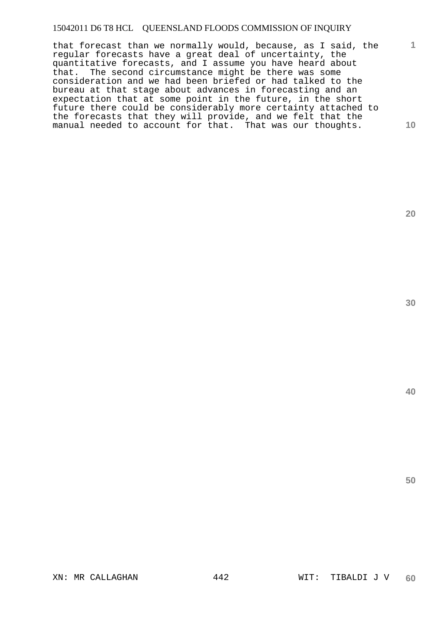**10**  that forecast than we normally would, because, as I said, the regular forecasts have a great deal of uncertainty, the quantitative forecasts, and I assume you have heard about that. The second circumstance might be there was some consideration and we had been briefed or had talked to the bureau at that stage about advances in forecasting and an expectation that at some point in the future, in the short future there could be considerably more certainty attached to the forecasts that they will provide, and we felt that the manual needed to account for that. That was our thoughts.

**20** 

**1**

**30** 

**40**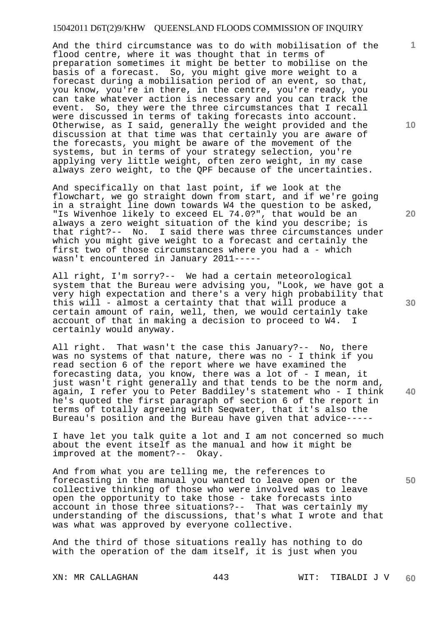And the third circumstance was to do with mobilisation of the flood centre, where it was thought that in terms of preparation sometimes it might be better to mobilise on the basis of a forecast. So, you might give more weight to a forecast during a mobilisation period of an event, so that, you know, you're in there, in the centre, you're ready, you can take whatever action is necessary and you can track the event. So, they were the three circumstances that I recall were discussed in terms of taking forecasts into account. Otherwise, as I said, generally the weight provided and the discussion at that time was that certainly you are aware of the forecasts, you might be aware of the movement of the systems, but in terms of your strategy selection, you're applying very little weight, often zero weight, in my case always zero weight, to the QPF because of the uncertainties.

And specifically on that last point, if we look at the flowchart, we go straight down from start, and if we're going in a straight line down towards W4 the question to be asked, "Is Wivenhoe likely to exceed EL 74.0?", that would be an always a zero weight situation of the kind you describe; is that right?-- No. I said there was three circumstances under which you might give weight to a forecast and certainly the first two of those circumstances where you had a - which wasn't encountered in January 2011-----

All right, I'm sorry?-- We had a certain meteorological system that the Bureau were advising you, "Look, we have got a very high expectation and there's a very high probability that this will - almost a certainty that that will produce a certain amount of rain, well, then, we would certainly take account of that in making a decision to proceed to W4. I certainly would anyway.

All right. That wasn't the case this January?-- No, there was no systems of that nature, there was no - I think if you read section 6 of the report where we have examined the forecasting data, you know, there was a lot of - I mean, it just wasn't right generally and that tends to be the norm and, again, I refer you to Peter Baddiley's statement who - I think he's quoted the first paragraph of section 6 of the report in terms of totally agreeing with Seqwater, that it's also the Bureau's position and the Bureau have given that advice-----

I have let you talk quite a lot and I am not concerned so much about the event itself as the manual and how it might be improved at the moment?-- Okay.

And from what you are telling me, the references to forecasting in the manual you wanted to leave open or the collective thinking of those who were involved was to leave open the opportunity to take those - take forecasts into account in those three situations?-- That was certainly my understanding of the discussions, that's what I wrote and that was what was approved by everyone collective.

And the third of those situations really has nothing to do with the operation of the dam itself, it is just when you

**10** 

**1**

**20** 

**30** 

**50**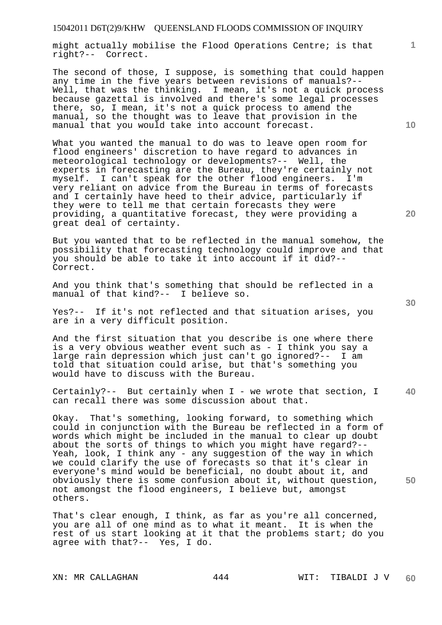might actually mobilise the Flood Operations Centre; is that right?-- Correct.

The second of those, I suppose, is something that could happen any time in the five years between revisions of manuals?-- Well, that was the thinking. I mean, it's not a quick process because gazettal is involved and there's some legal processes there, so, I mean, it's not a quick process to amend the manual, so the thought was to leave that provision in the manual that you would take into account forecast.

What you wanted the manual to do was to leave open room for flood engineers' discretion to have regard to advances in meteorological technology or developments?-- Well, the experts in forecasting are the Bureau, they're certainly not myself. I can't speak for the other flood engineers. I'm very reliant on advice from the Bureau in terms of forecasts and I certainly have heed to their advice, particularly if they were to tell me that certain forecasts they were providing, a quantitative forecast, they were providing a great deal of certainty.

But you wanted that to be reflected in the manual somehow, the possibility that forecasting technology could improve and that you should be able to take it into account if it did?-- Correct.

And you think that's something that should be reflected in a manual of that kind?-- I believe so.

Yes?-- If it's not reflected and that situation arises, you are in a very difficult position.

And the first situation that you describe is one where there is a very obvious weather event such as - I think you say a large rain depression which just can't go ignored?-- I am told that situation could arise, but that's something you would have to discuss with the Bureau.

**40**  Certainly?-- But certainly when I - we wrote that section, I can recall there was some discussion about that.

Okay. That's something, looking forward, to something which could in conjunction with the Bureau be reflected in a form of words which might be included in the manual to clear up doubt about the sorts of things to which you might have regard?-- Yeah, look, I think any - any suggestion of the way in which we could clarify the use of forecasts so that it's clear in everyone's mind would be beneficial, no doubt about it, and obviously there is some confusion about it, without question, not amongst the flood engineers, I believe but, amongst others.

That's clear enough, I think, as far as you're all concerned, you are all of one mind as to what it meant. It is when the rest of us start looking at it that the problems start; do you agree with that?-- Yes, I do.

XN: MR CALLAGHAN 444 WIT: TIBALDI J V **60** 

**30** 

**10** 

**20** 

**1**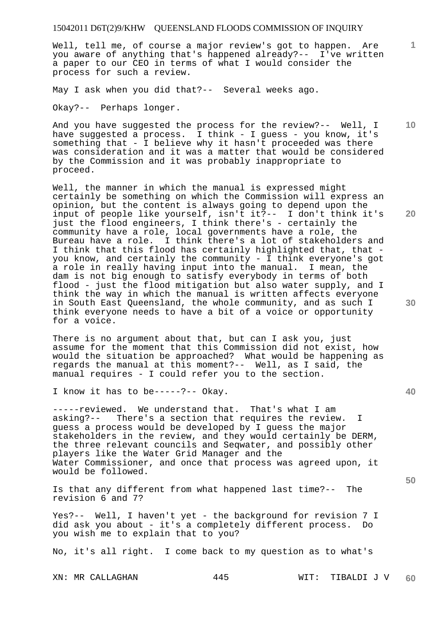Well, tell me, of course a major review's got to happen. Are you aware of anything that's happened already?-- I've written a paper to our CEO in terms of what I would consider the process for such a review.

May I ask when you did that?-- Several weeks ago.

Okay?-- Perhaps longer.

And you have suggested the process for the review?-- Well, I have suggested a process. I think - I guess - you know, it's something that - I believe why it hasn't proceeded was there was consideration and it was a matter that would be considered by the Commission and it was probably inappropriate to proceed.

Well, the manner in which the manual is expressed might certainly be something on which the Commission will express an opinion, but the content is always going to depend upon the input of people like yourself, isn't it?-- I don't think it's just the flood engineers, I think there's - certainly the community have a role, local governments have a role, the Bureau have a role. I think there's a lot of stakeholders and I think that this flood has certainly highlighted that, that you know, and certainly the community - I think everyone's got a role in really having input into the manual. I mean, the dam is not big enough to satisfy everybody in terms of both flood - just the flood mitigation but also water supply, and I think the way in which the manual is written affects everyone in South East Queensland, the whole community, and as such I think everyone needs to have a bit of a voice or opportunity for a voice.

There is no argument about that, but can I ask you, just assume for the moment that this Commission did not exist, how would the situation be approached? What would be happening as regards the manual at this moment?-- Well, as I said, the manual requires - I could refer you to the section.

I know it has to be-----?-- Okay.

-----reviewed. We understand that. That's what I am asking?-- There's a section that requires the review. I guess a process would be developed by I guess the major stakeholders in the review, and they would certainly be DERM, the three relevant councils and Seqwater, and possibly other players like the Water Grid Manager and the Water Commissioner, and once that process was agreed upon, it would be followed.

Is that any different from what happened last time?-- The revision 6 and 7?

Yes?-- Well, I haven't yet - the background for revision 7 I did ask you about - it's a completely different process. Do you wish me to explain that to you?

No, it's all right. I come back to my question as to what's

**30** 

**50** 

**20** 

**10**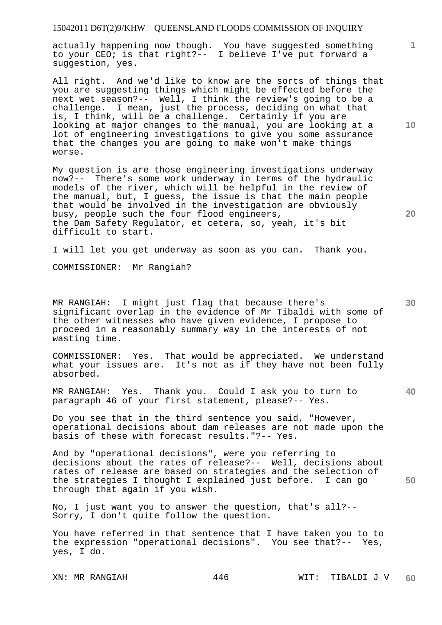actually happening now though. You have suggested something to your CEO; is that right?-- I believe I've put forward a suggestion, yes.

All right. And we'd like to know are the sorts of things that you are suggesting things which might be effected before the next wet season?-- Well, I think the review's going to be a challenge. I mean, just the process, deciding on what that is, I think, will be a challenge. Certainly if you are looking at major changes to the manual, you are looking at a lot of engineering investigations to give you some assurance that the changes you are going to make won't make things worse.

My question is are those engineering investigations underway now?-- There's some work underway in terms of the hydraulic models of the river, which will be helpful in the review of the manual, but, I guess, the issue is that the main people that would be involved in the investigation are obviously busy, people such the four flood engineers, the Dam Safety Regulator, et cetera, so, yeah, it's bit difficult to start.

I will let you get underway as soon as you can. Thank you.

COMMISSIONER: Mr Rangiah?

MR RANGIAH: I might just flag that because there's significant overlap in the evidence of Mr Tibaldi with some of the other witnesses who have given evidence, I propose to proceed in a reasonably summary way in the interests of not wasting time.

COMMISSIONER: Yes. That would be appreciated. We understand what your issues are. It's not as if they have not been fully absorbed.

**40**  MR RANGIAH: Yes. Thank you. Could I ask you to turn to paragraph 46 of your first statement, please?-- Yes.

Do you see that in the third sentence you said, "However, operational decisions about dam releases are not made upon the basis of these with forecast results."?-- Yes.

And by "operational decisions", were you referring to decisions about the rates of release?-- Well, decisions about rates of release are based on strategies and the selection of the strategies I thought I explained just before. I can go through that again if you wish.

No, I just want you to answer the question, that's all?-- Sorry, I don't quite follow the question.

You have referred in that sentence that I have taken you to to the expression "operational decisions". You see that?-- Yes, yes, I do.

**10** 

**1**

**20** 



**30**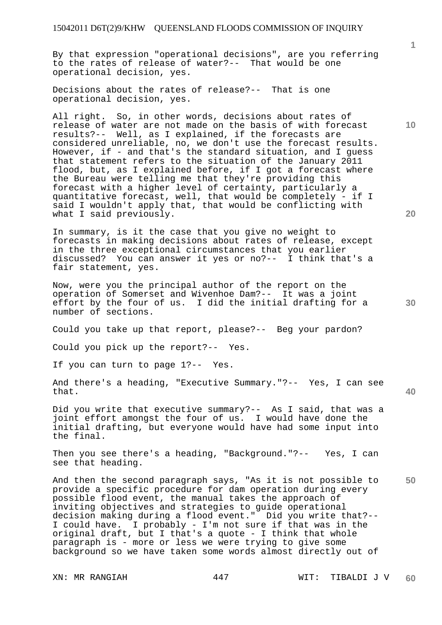By that expression "operational decisions", are you referring to the rates of release of water?-- That would be one operational decision, yes.

Decisions about the rates of release?-- That is one operational decision, yes.

All right. So, in other words, decisions about rates of release of water are not made on the basis of with forecast results?-- Well, as I explained, if the forecasts are considered unreliable, no, we don't use the forecast results. However, if - and that's the standard situation, and I guess that statement refers to the situation of the January 2011 flood, but, as I explained before, if I got a forecast where the Bureau were telling me that they're providing this forecast with a higher level of certainty, particularly a quantitative forecast, well, that would be completely - if I said I wouldn't apply that, that would be conflicting with what I said previously.

In summary, is it the case that you give no weight to forecasts in making decisions about rates of release, except in the three exceptional circumstances that you earlier discussed? You can answer it yes or no?-- I think that's a fair statement, yes.

Now, were you the principal author of the report on the operation of Somerset and Wivenhoe Dam?-- It was a joint effort by the four of us. I did the initial drafting for a number of sections.

Could you take up that report, please?-- Beg your pardon?

Could you pick up the report?-- Yes.

If you can turn to page 1?-- Yes.

And there's a heading, "Executive Summary."?-- Yes, I can see that.

Did you write that executive summary?-- As I said, that was a joint effort amongst the four of us. I would have done the initial drafting, but everyone would have had some input into the final.

Then you see there's a heading, "Background."?-- Yes, I can see that heading.

**50**  And then the second paragraph says, "As it is not possible to provide a specific procedure for dam operation during every possible flood event, the manual takes the approach of inviting objectives and strategies to guide operational decision making during a flood event." Did you write that?-- I could have. I probably - I'm not sure if that was in the original draft, but I that's a quote - I think that whole paragraph is - more or less we were trying to give some background so we have taken some words almost directly out of

**20** 

**40** 

**10**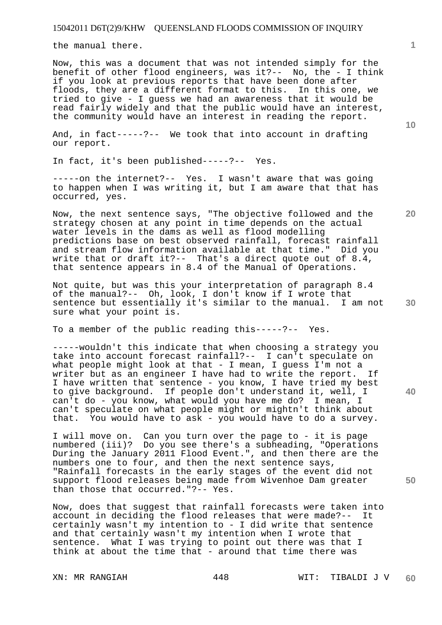the manual there.

Now, this was a document that was not intended simply for the benefit of other flood engineers, was it?-- No, the - I think if you look at previous reports that have been done after floods, they are a different format to this. In this one, we tried to give - I guess we had an awareness that it would be read fairly widely and that the public would have an interest, the community would have an interest in reading the report.

And, in fact-----?-- We took that into account in drafting our report.

In fact, it's been published-----?-- Yes.

-----on the internet?-- Yes. I wasn't aware that was going to happen when I was writing it, but I am aware that that has occurred, yes.

Now, the next sentence says, "The objective followed and the strategy chosen at any point in time depends on the actual water levels in the dams as well as flood modelling predictions base on best observed rainfall, forecast rainfall and stream flow information available at that time." Did you write that or draft it?-- That's a direct quote out of 8.4, that sentence appears in 8.4 of the Manual of Operations.

**30**  Not quite, but was this your interpretation of paragraph 8.4 of the manual?-- Oh, look, I don't know if I wrote that sentence but essentially it's similar to the manual. I am not sure what your point is.

To a member of the public reading this-----?-- Yes.

-----wouldn't this indicate that when choosing a strategy you take into account forecast rainfall?-- I can't speculate on what people might look at that - I mean, I guess I'm not a writer but as an engineer I have had to write the report. If I have written that sentence - you know, I have tried my best to give background. If people don't understand it, well, I can't do - you know, what would you have me do? I mean, I can't speculate on what people might or mightn't think about that. You would have to ask - you would have to do a survey.

I will move on. Can you turn over the page to - it is page numbered (iii)? Do you see there's a subheading, "Operations During the January 2011 Flood Event.", and then there are the numbers one to four, and then the next sentence says, "Rainfall forecasts in the early stages of the event did not support flood releases being made from Wivenhoe Dam greater than those that occurred."?-- Yes.

Now, does that suggest that rainfall forecasts were taken into account in deciding the flood releases that were made?-- It certainly wasn't my intention to - I did write that sentence and that certainly wasn't my intention when I wrote that sentence. What I was trying to point out there was that I think at about the time that - around that time there was

**10** 

**1**

**20** 

**40**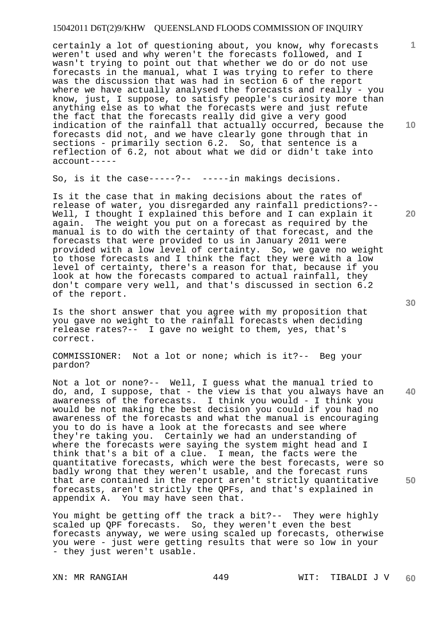certainly a lot of questioning about, you know, why forecasts weren't used and why weren't the forecasts followed, and I wasn't trying to point out that whether we do or do not use forecasts in the manual, what I was trying to refer to there was the discussion that was had in section 6 of the report where we have actually analysed the forecasts and really - you know, just, I suppose, to satisfy people's curiosity more than anything else as to what the forecasts were and just refute the fact that the forecasts really did give a very good indication of the rainfall that actually occurred, because the forecasts did not, and we have clearly gone through that in sections - primarily section 6.2. So, that sentence is a reflection of 6.2, not about what we did or didn't take into account-----

So, is it the case-----?-- -----in makings decisions.

Is it the case that in making decisions about the rates of release of water, you disregarded any rainfall predictions?-- Well, I thought I explained this before and I can explain it again. The weight you put on a forecast as required by the manual is to do with the certainty of that forecast, and the forecasts that were provided to us in January 2011 were provided with a low level of certainty. So, we gave no weight to those forecasts and I think the fact they were with a low level of certainty, there's a reason for that, because if you look at how the forecasts compared to actual rainfall, they don't compare very well, and that's discussed in section 6.2 of the report.

Is the short answer that you agree with my proposition that you gave no weight to the rainfall forecasts when deciding release rates?-- I gave no weight to them, yes, that's correct.

COMMISSIONER: Not a lot or none; which is it?-- Beg your pardon?

Not a lot or none?-- Well, I guess what the manual tried to do, and, I suppose, that - the view is that you always have an awareness of the forecasts. I think you would - I think you would be not making the best decision you could if you had no awareness of the forecasts and what the manual is encouraging you to do is have a look at the forecasts and see where they're taking you. Certainly we had an understanding of where the forecasts were saying the system might head and I think that's a bit of a clue. I mean, the facts were the quantitative forecasts, which were the best forecasts, were so badly wrong that they weren't usable, and the forecast runs that are contained in the report aren't strictly quantitative forecasts, aren't strictly the QPFs, and that's explained in You may have seen that.

You might be getting off the track a bit?-- They were highly scaled up QPF forecasts. So, they weren't even the best forecasts anyway, we were using scaled up forecasts, otherwise you were - just were getting results that were so low in your - they just weren't usable.

**30** 

**40** 

**50** 

**20** 

**10**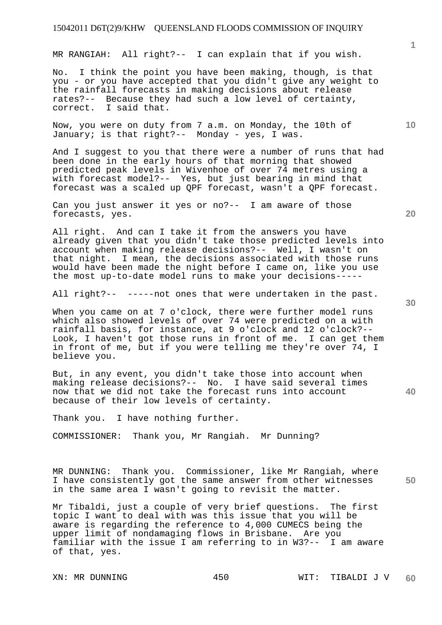MR RANGIAH: All right?-- I can explain that if you wish.

No. I think the point you have been making, though, is that you - or you have accepted that you didn't give any weight to the rainfall forecasts in making decisions about release rates?-- Because they had such a low level of certainty, correct. I said that.

Now, you were on duty from 7 a.m. on Monday, the 10th of January; is that right?-- Monday - yes, I was.

And I suggest to you that there were a number of runs that had been done in the early hours of that morning that showed predicted peak levels in Wivenhoe of over 74 metres using a with forecast model?-- Yes, but just bearing in mind that forecast was a scaled up QPF forecast, wasn't a QPF forecast.

Can you just answer it yes or no?-- I am aware of those forecasts, yes.

All right. And can I take it from the answers you have already given that you didn't take those predicted levels into account when making release decisions?-- Well, I wasn't on that night. I mean, the decisions associated with those runs would have been made the night before I came on, like you use the most up-to-date model runs to make your decisions-----

All right?-- -----not ones that were undertaken in the past.

When you came on at 7 o'clock, there were further model runs which also showed levels of over 74 were predicted on a with rainfall basis, for instance, at 9 o'clock and 12 o'clock?-- Look, I haven't got those runs in front of me. I can get them in front of me, but if you were telling me they're over 74, I believe you.

But, in any event, you didn't take those into account when making release decisions?-- No. I have said several times now that we did not take the forecast runs into account because of their low levels of certainty.

Thank you. I have nothing further.

COMMISSIONER: Thank you, Mr Rangiah. Mr Dunning?

MR DUNNING: Thank you. Commissioner, like Mr Rangiah, where I have consistently got the same answer from other witnesses in the same area I wasn't going to revisit the matter.

Mr Tibaldi, just a couple of very brief questions. The first topic I want to deal with was this issue that you will be aware is regarding the reference to 4,000 CUMECS being the upper limit of nondamaging flows in Brisbane. Are you familiar with the issue I am referring to in W3?-- I am aware of that, yes.

**20** 

**10** 

**40**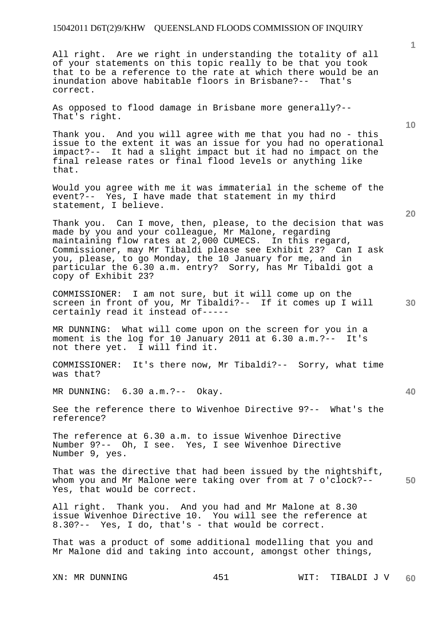All right. Are we right in understanding the totality of all of your statements on this topic really to be that you took that to be a reference to the rate at which there would be an inundation above habitable floors in Brisbane?-- That's correct.

As opposed to flood damage in Brisbane more generally?-- That's right.

Thank you. And you will agree with me that you had no - this issue to the extent it was an issue for you had no operational impact?-- It had a slight impact but it had no impact on the final release rates or final flood levels or anything like that.

Would you agree with me it was immaterial in the scheme of the event?-- Yes, I have made that statement in my third statement, I believe.

Thank you. Can I move, then, please, to the decision that was made by you and your colleague, Mr Malone, regarding maintaining flow rates at 2,000 CUMECS. In this regard, Commissioner, may Mr Tibaldi please see Exhibit 23? Can I ask you, please, to go Monday, the 10 January for me, and in particular the 6.30 a.m. entry? Sorry, has Mr Tibaldi got a copy of Exhibit 23?

COMMISSIONER: I am not sure, but it will come up on the screen in front of you, Mr Tibaldi?-- If it comes up I will certainly read it instead of-----

MR DUNNING: What will come upon on the screen for you in a moment is the log for 10 January 2011 at 6.30 a.m.?-- It's not there yet. I will find it.

COMMISSIONER: It's there now, Mr Tibaldi?-- Sorry, what time was that?

MR DUNNING: 6.30 a.m.?-- Okay.

See the reference there to Wivenhoe Directive 9?-- What's the reference?

The reference at 6.30 a.m. to issue Wivenhoe Directive Number 9?-- Oh, I see. Yes, I see Wivenhoe Directive Number 9, yes.

**50**  That was the directive that had been issued by the nightshift, whom you and Mr Malone were taking over from at 7 o'clock?-- Yes, that would be correct.

All right. Thank you. And you had and Mr Malone at 8.30 issue Wivenhoe Directive 10. You will see the reference at 8.30?-- Yes, I do, that's - that would be correct.

That was a product of some additional modelling that you and Mr Malone did and taking into account, amongst other things,

**1**

**20** 

**10**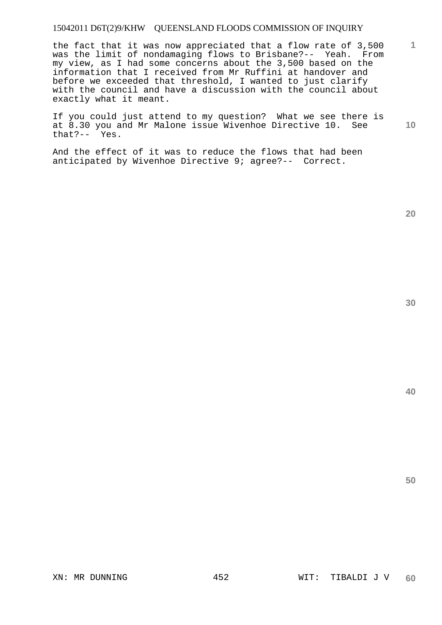the fact that it was now appreciated that a flow rate of 3,500 was the limit of nondamaging flows to Brisbane?-- Yeah. From my view, as I had some concerns about the 3,500 based on the information that I received from Mr Ruffini at handover and before we exceeded that threshold, I wanted to just clarify with the council and have a discussion with the council about exactly what it meant.

**10**  If you could just attend to my question? What we see there is at 8.30 you and Mr Malone issue Wivenhoe Directive 10. See that?-- Yes.

And the effect of it was to reduce the flows that had been anticipated by Wivenhoe Directive 9; agree?-- Correct.

**20** 

**40** 

**50**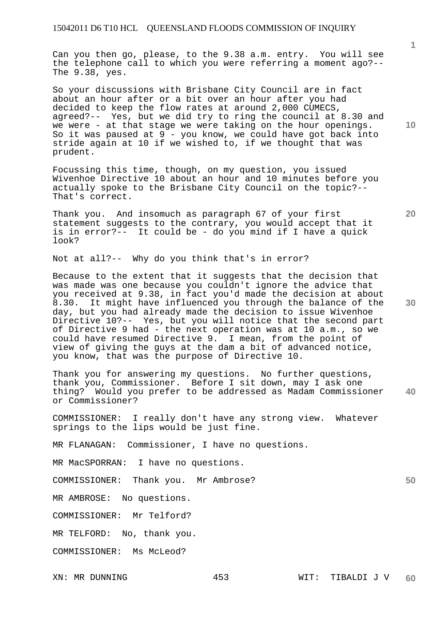Can you then go, please, to the 9.38 a.m. entry. You will see the telephone call to which you were referring a moment ago?-- The 9.38, yes.

So your discussions with Brisbane City Council are in fact about an hour after or a bit over an hour after you had decided to keep the flow rates at around 2,000 CUMECS, agreed?-- Yes, but we did try to ring the council at 8.30 and we were - at that stage we were taking on the hour openings. So it was paused at  $9$  - you know, we could have got back into stride again at 10 if we wished to, if we thought that was prudent.

Focussing this time, though, on my question, you issued Wivenhoe Directive 10 about an hour and 10 minutes before you actually spoke to the Brisbane City Council on the topic?-- That's correct.

Thank you. And insomuch as paragraph 67 of your first statement suggests to the contrary, you would accept that it is in error?-- It could be - do you mind if I have a quick look?

Not at all?-- Why do you think that's in error?

Because to the extent that it suggests that the decision that was made was one because you couldn't ignore the advice that you received at 9.38, in fact you'd made the decision at about 8.30. It might have influenced you through the balance of the day, but you had already made the decision to issue Wivenhoe Directive 10?-- Yes, but you will notice that the second part of Directive 9 had - the next operation was at 10 a.m., so we could have resumed Directive 9. I mean, from the point of view of giving the guys at the dam a bit of advanced notice, you know, that was the purpose of Directive 10.

**40**  Thank you for answering my questions. No further questions, thank you, Commissioner. Before I sit down, may I ask one thing? Would you prefer to be addressed as Madam Commissioner or Commissioner?

COMMISSIONER: I really don't have any strong view. Whatever springs to the lips would be just fine.

MR FLANAGAN: Commissioner, I have no questions.

MR MacSPORRAN: I have no questions.

COMMISSIONER: Thank you. Mr Ambrose?

MR AMBROSE: No questions.

COMMISSIONER: Mr Telford?

MR TELFORD: No, thank you.

COMMISSIONER: Ms McLeod?

**20** 

**10** 

**30**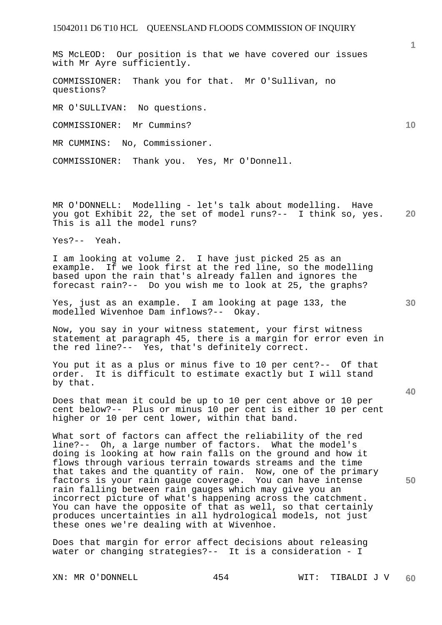MS McLEOD: Our position is that we have covered our issues with Mr Ayre sufficiently.

COMMISSIONER: Thank you for that. Mr O'Sullivan, no questions?

MR O'SULLIVAN: No questions.

COMMISSIONER: Mr Cummins?

MR CUMMINS: No, Commissioner.

COMMISSIONER: Thank you. Yes, Mr O'Donnell.

**20**  MR O'DONNELL: Modelling - let's talk about modelling. Have you got Exhibit 22, the set of model runs?-- I think so, yes. This is all the model runs?

Yes?-- Yeah.

I am looking at volume 2. I have just picked 25 as an example. If we look first at the red line, so the modelling based upon the rain that's already fallen and ignores the forecast rain?-- Do you wish me to look at 25, the graphs?

Yes, just as an example. I am looking at page 133, the modelled Wivenhoe Dam inflows?-- Okay.

Now, you say in your witness statement, your first witness statement at paragraph 45, there is a margin for error even in the red line?-- Yes, that's definitely correct.

You put it as a plus or minus five to 10 per cent?-- Of that order. It is difficult to estimate exactly but I will stand by that.

Does that mean it could be up to 10 per cent above or 10 per cent below?-- Plus or minus 10 per cent is either 10 per cent higher or 10 per cent lower, within that band.

What sort of factors can affect the reliability of the red line?-- Oh, a large number of factors. What the model's doing is looking at how rain falls on the ground and how it flows through various terrain towards streams and the time that takes and the quantity of rain. Now, one of the primary factors is your rain gauge coverage. You can have intense rain falling between rain gauges which may give you an incorrect picture of what's happening across the catchment. You can have the opposite of that as well, so that certainly produces uncertainties in all hydrological models, not just these ones we're dealing with at Wivenhoe.

Does that margin for error affect decisions about releasing water or changing strategies?-- It is a consideration - I

**1**

**10** 

**30**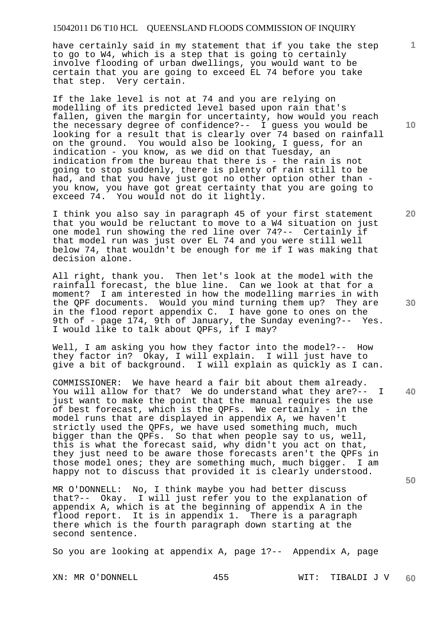have certainly said in my statement that if you take the step to go to W4, which is a step that is going to certainly involve flooding of urban dwellings, you would want to be certain that you are going to exceed EL 74 before you take that step. Very certain.

If the lake level is not at 74 and you are relying on modelling of its predicted level based upon rain that's fallen, given the margin for uncertainty, how would you reach the necessary degree of confidence?-- I guess you would be looking for a result that is clearly over 74 based on rainfall on the ground. You would also be looking, I guess, for an indication - you know, as we did on that Tuesday, an indication from the bureau that there is - the rain is not going to stop suddenly, there is plenty of rain still to be had, and that you have just got no other option other than you know, you have got great certainty that you are going to exceed 74. You would not do it lightly.

I think you also say in paragraph 45 of your first statement that you would be reluctant to move to a W4 situation on just one model run showing the red line over 74?-- Certainly if that model run was just over EL 74 and you were still well below 74, that wouldn't be enough for me if I was making that decision alone.

All right, thank you. Then let's look at the model with the rainfall forecast, the blue line. Can we look at that for a moment? I am interested in how the modelling marries in with the QPF documents. Would you mind turning them up? They are in the flood report appendix C. I have gone to ones on the 9th of - page 174, 9th of January, the Sunday evening?-- Yes. I would like to talk about QPFs, if I may?

Well, I am asking you how they factor into the model?-- How they factor in? Okay, I will explain. I will just have to give a bit of background. I will explain as quickly as I can.

COMMISSIONER: We have heard a fair bit about them already. You will allow for that? We do understand what they are?-- I just want to make the point that the manual requires the use of best forecast, which is the QPFs. We certainly - in the model runs that are displayed in appendix A, we haven't strictly used the QPFs, we have used something much, much bigger than the QPFs. So that when people say to us, well, this is what the forecast said, why didn't you act on that, they just need to be aware those forecasts aren't the QPFs in those model ones; they are something much, much bigger. I am happy not to discuss that provided it is clearly understood.

MR O'DONNELL: No, I think maybe you had better discuss that?-- Okay. I will just refer you to the explanation of appendix A, which is at the beginning of appendix A in the flood report. It is in appendix 1. There is a paragraph there which is the fourth paragraph down starting at the second sentence.

So you are looking at appendix A, page 1?-- Appendix A, page

**10** 

**1**

**20** 

**30** 

**40**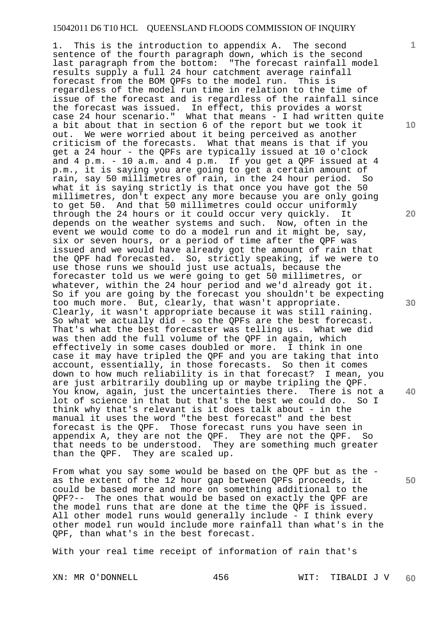1. This is the introduction to appendix A. The second sentence of the fourth paragraph down, which is the second last paragraph from the bottom: "The forecast rainfall model results supply a full 24 hour catchment average rainfall forecast from the BOM QPFs to the model run. This is regardless of the model run time in relation to the time of issue of the forecast and is regardless of the rainfall since the forecast was issued. In effect, this provides a worst case 24 hour scenario." What that means - I had written quite a bit about that in section 6 of the report but we took it out. We were worried about it being perceived as another criticism of the forecasts. What that means is that if you get a 24 hour - the QPFs are typically issued at 10 o'clock and  $4$  p.m. - 10 a.m. and  $4$  p.m. If you get a OPF issued at  $4$ p.m., it is saying you are going to get a certain amount of rain, say 50 millimetres of rain, in the 24 hour period. So what it is saying strictly is that once you have got the 50 millimetres, don't expect any more because you are only going to get 50. And that 50 millimetres could occur uniformly through the 24 hours or it could occur very quickly. It depends on the weather systems and such. Now, often in the event we would come to do a model run and it might be, say, six or seven hours, or a period of time after the QPF was issued and we would have already got the amount of rain that the QPF had forecasted. So, strictly speaking, if we were to use those runs we should just use actuals, because the forecaster told us we were going to get 50 millimetres, or whatever, within the 24 hour period and we'd already got it. So if you are going by the forecast you shouldn't be expecting too much more. But, clearly, that wasn't appropriate. Clearly, it wasn't appropriate because it was still raining. So what we actually did - so the QPFs are the best forecast. That's what the best forecaster was telling us. What we did was then add the full volume of the QPF in again, which effectively in some cases doubled or more. I think in one case it may have tripled the QPF and you are taking that into account, essentially, in those forecasts. So then it comes down to how much reliability is in that forecast? I mean, you are just arbitrarily doubling up or maybe tripling the QPF. You know, again, just the uncertainties there. There is not a lot of science in that but that's the best we could do. So I think why that's relevant is it does talk about - in the manual it uses the word "the best forecast" and the best forecast is the QPF. Those forecast runs you have seen in appendix A, they are not the QPF. They are not the QPF. So that needs to be understood. They are something much greater than the QPF. They are scaled up.

From what you say some would be based on the QPF but as the as the extent of the 12 hour gap between QPFs proceeds, it could be based more and more on something additional to the QPF?-- The ones that would be based on exactly the QPF are the model runs that are done at the time the QPF is issued. All other model runs would generally include - I think every other model run would include more rainfall than what's in the QPF, than what's in the best forecast.

With your real time receipt of information of rain that's

XN: MR O'DONNELL 456 WIT: TIBALDI J V **60** 

**10** 

**1**

**20** 

**30** 

**40**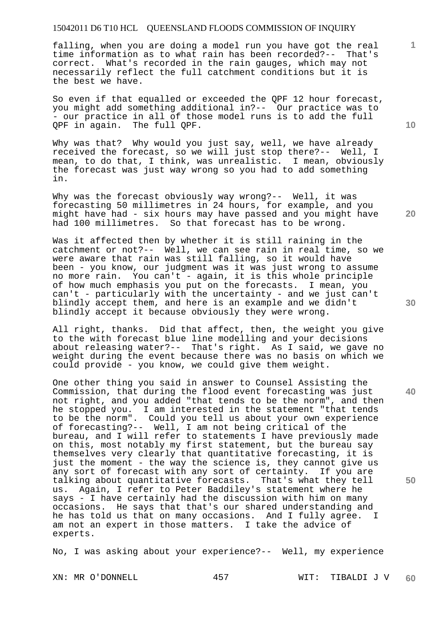falling, when you are doing a model run you have got the real time information as to what rain has been recorded?-- That's correct. What's recorded in the rain gauges, which may not necessarily reflect the full catchment conditions but it is the best we have.

So even if that equalled or exceeded the QPF 12 hour forecast, you might add something additional in?-- Our practice was to - our practice in all of those model runs is to add the full QPF in again. The full QPF.

Why was that? Why would you just say, well, we have already received the forecast, so we will just stop there?-- Well, I mean, to do that, I think, was unrealistic. I mean, obviously the forecast was just way wrong so you had to add something in.

Why was the forecast obviously way wrong?-- Well, it was forecasting 50 millimetres in 24 hours, for example, and you might have had - six hours may have passed and you might have had 100 millimetres. So that forecast has to be wrong.

Was it affected then by whether it is still raining in the catchment or not?-- Well, we can see rain in real time, so we were aware that rain was still falling, so it would have been - you know, our judgment was it was just wrong to assume no more rain. You can't - again, it is this whole principle of how much emphasis you put on the forecasts. I mean, you can't - particularly with the uncertainty - and we just can't blindly accept them, and here is an example and we didn't blindly accept it because obviously they were wrong.

All right, thanks. Did that affect, then, the weight you give to the with forecast blue line modelling and your decisions about releasing water?-- That's right. As I said, we gave no weight during the event because there was no basis on which we could provide - you know, we could give them weight.

One other thing you said in answer to Counsel Assisting the Commission, that during the flood event forecasting was just not right, and you added "that tends to be the norm", and then he stopped you. I am interested in the statement "that tends to be the norm". Could you tell us about your own experience of forecasting?-- Well, I am not being critical of the bureau, and I will refer to statements I have previously made on this, most notably my first statement, but the bureau say themselves very clearly that quantitative forecasting, it is just the moment - the way the science is, they cannot give us any sort of forecast with any sort of certainty. If you are talking about quantitative forecasts. That's what they tell us. Again, I refer to Peter Baddiley's statement where he says - I have certainly had the discussion with him on many occasions. He says that that's our shared understanding and he has told us that on many occasions. And I fully agree. I am not an expert in those matters. I take the advice of experts.

No, I was asking about your experience?-- Well, my experience

**20** 

**10** 

**1**

**50**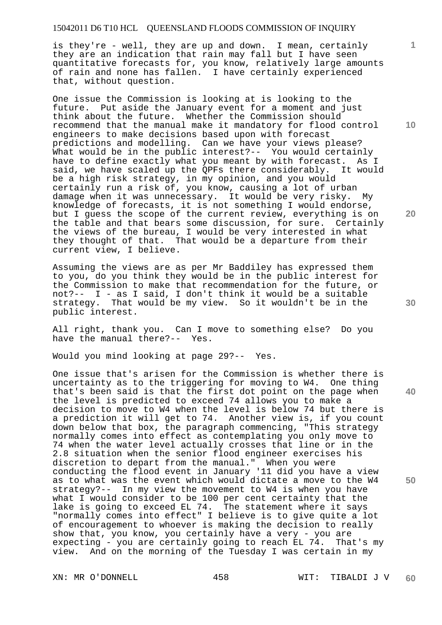is they're - well, they are up and down. I mean, certainly they are an indication that rain may fall but I have seen quantitative forecasts for, you know, relatively large amounts of rain and none has fallen. I have certainly experienced that, without question.

One issue the Commission is looking at is looking to the future. Put aside the January event for a moment and just think about the future. Whether the Commission should recommend that the manual make it mandatory for flood control engineers to make decisions based upon with forecast predictions and modelling. Can we have your views please? What would be in the public interest?-- You would certainly have to define exactly what you meant by with forecast. As I said, we have scaled up the QPFs there considerably. It would be a high risk strategy, in my opinion, and you would certainly run a risk of, you know, causing a lot of urban damage when it was unnecessary. It would be very risky. My knowledge of forecasts, it is not something I would endorse, but I guess the scope of the current review, everything is on the table and that bears some discussion, for sure. Certainly the views of the bureau, I would be very interested in what they thought of that. That would be a departure from their current view, I believe.

Assuming the views are as per Mr Baddiley has expressed them to you, do you think they would be in the public interest for the Commission to make that recommendation for the future, or not?-- I - as I said, I don't think it would be a suitable strategy. That would be my view. So it wouldn't be in the public interest.

All right, thank you. Can I move to something else? Do you have the manual there?-- Yes.

Would you mind looking at page 29?-- Yes.

One issue that's arisen for the Commission is whether there is uncertainty as to the triggering for moving to W4. One thing that's been said is that the first dot point on the page when the level is predicted to exceed 74 allows you to make a decision to move to W4 when the level is below 74 but there is a prediction it will get to 74. Another view is, if you count down below that box, the paragraph commencing, "This strategy normally comes into effect as contemplating you only move to 74 when the water level actually crosses that line or in the 2.8 situation when the senior flood engineer exercises his discretion to depart from the manual." When you were conducting the flood event in January '11 did you have a view as to what was the event which would dictate a move to the W4 strategy?-- In my view the movement to W4 is when you have what I would consider to be 100 per cent certainty that the lake is going to exceed EL 74. The statement where it says "normally comes into effect" I believe is to give quite a lot of encouragement to whoever is making the decision to really show that, you know, you certainly have a very - you are expecting - you are certainly going to reach EL 74. That's my view. And on the morning of the Tuesday I was certain in my

XN: MR O'DONNELL 458 WIT: TIBALDI J V **60** 

**10** 

**1**

**20** 

**40**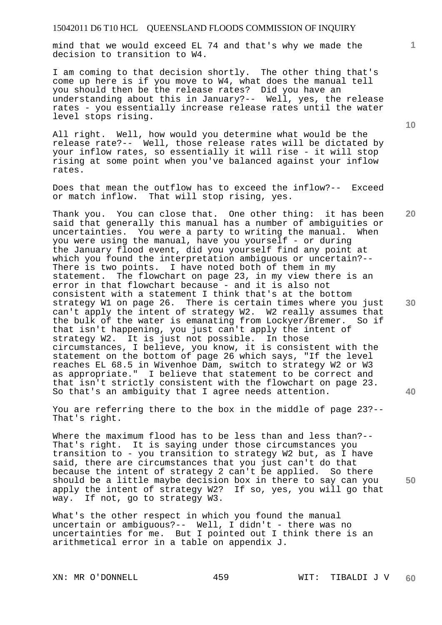mind that we would exceed EL 74 and that's why we made the decision to transition to W4.

I am coming to that decision shortly. The other thing that's come up here is if you move to W4, what does the manual tell you should then be the release rates? Did you have an understanding about this in January?-- Well, yes, the release rates - you essentially increase release rates until the water level stops rising.

All right. Well, how would you determine what would be the release rate?-- Well, those release rates will be dictated by your inflow rates, so essentially it will rise - it will stop rising at some point when you've balanced against your inflow rates.

Does that mean the outflow has to exceed the inflow?-- Exceed or match inflow. That will stop rising, yes.

**20 30 40**  Thank you. You can close that. One other thing: it has been said that generally this manual has a number of ambiguities or uncertainties. You were a party to writing the manual. When you were using the manual, have you yourself - or during the January flood event, did you yourself find any point at which you found the interpretation ambiguous or uncertain?-- There is two points. I have noted both of them in my statement. The flowchart on page 23, in my view there is an error in that flowchart because - and it is also not consistent with a statement I think that's at the bottom strategy W1 on page 26. There is certain times where you just can't apply the intent of strategy W2. W2 really assumes that the bulk of the water is emanating from Lockyer/Bremer. So if that isn't happening, you just can't apply the intent of strategy W2. It is just not possible. In those circumstances, I believe, you know, it is consistent with the statement on the bottom of page 26 which says, "If the level reaches EL 68.5 in Wivenhoe Dam, switch to strategy W2 or W3 as appropriate." I believe that statement to be correct and that isn't strictly consistent with the flowchart on page 23. So that's an ambiguity that I agree needs attention.

You are referring there to the box in the middle of page 23?-- That's right.

Where the maximum flood has to be less than and less than?-- That's right. It is saying under those circumstances you transition to - you transition to strategy W2 but, as I have said, there are circumstances that you just can't do that because the intent of strategy 2 can't be applied. So there should be a little maybe decision box in there to say can you apply the intent of strategy W2? If so, yes, you will go that way. If not, go to strategy W3.

What's the other respect in which you found the manual uncertain or ambiguous?-- Well, I didn't - there was no uncertainties for me. But I pointed out I think there is an arithmetical error in a table on appendix J.

**10** 

**1**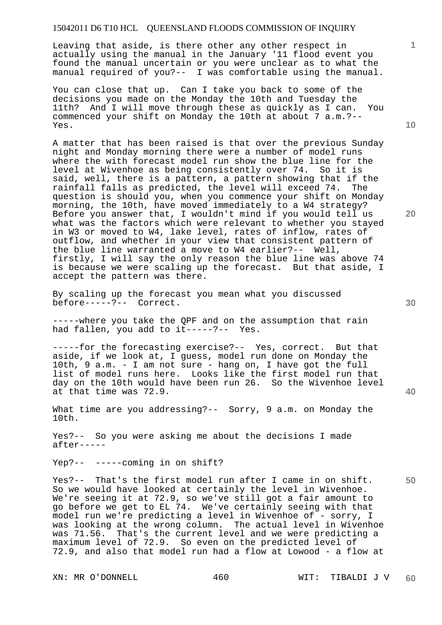Leaving that aside, is there other any other respect in actually using the manual in the January '11 flood event you found the manual uncertain or you were unclear as to what the manual required of you?-- I was comfortable using the manual.

You can close that up. Can I take you back to some of the decisions you made on the Monday the 10th and Tuesday the 11th? And I will move through these as quickly as I can. You commenced your shift on Monday the 10th at about 7 a.m.?-- Yes.

A matter that has been raised is that over the previous Sunday night and Monday morning there were a number of model runs where the with forecast model run show the blue line for the level at Wivenhoe as being consistently over 74. So it is said, well, there is a pattern, a pattern showing that if the rainfall falls as predicted, the level will exceed 74. The question is should you, when you commence your shift on Monday morning, the 10th, have moved immediately to a W4 strategy? Before you answer that, I wouldn't mind if you would tell us what was the factors which were relevant to whether you stayed in W3 or moved to W4, lake level, rates of inflow, rates of outflow, and whether in your view that consistent pattern of the blue line warranted a move to W4 earlier?-- Well, firstly, I will say the only reason the blue line was above 74 is because we were scaling up the forecast. But that aside, I accept the pattern was there.

By scaling up the forecast you mean what you discussed before-----?-- Correct.

-----where you take the QPF and on the assumption that rain had fallen, you add to it-----?-- Yes.

-----for the forecasting exercise?-- Yes, correct. But that aside, if we look at, I guess, model run done on Monday the 10th, 9 a.m. - I am not sure - hang on, I have got the full list of model runs here. Looks like the first model run that day on the 10th would have been run 26. So the Wivenhoe level at that time was 72.9.

What time are you addressing?-- Sorry, 9 a.m. on Monday the 10th.

Yes?-- So you were asking me about the decisions I made after-----

Yep?-- -----coming in on shift?

Yes?-- That's the first model run after I came in on shift. So we would have looked at certainly the level in Wivenhoe. We're seeing it at 72.9, so we've still got a fair amount to go before we get to EL 74. We've certainly seeing with that model run we're predicting a level in Wivenhoe of - sorry, I was looking at the wrong column. The actual level in Wivenhoe was 71.56. That's the current level and we were predicting a maximum level of 72.9. So even on the predicted level of 72.9, and also that model run had a flow at Lowood - a flow at

**10** 

**1**

**30** 

**50**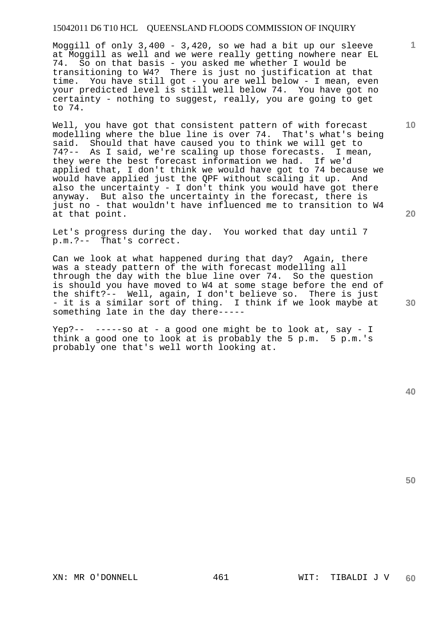Moggill of only 3,400 - 3,420, so we had a bit up our sleeve at Moggill as well and we were really getting nowhere near EL 74. So on that basis - you asked me whether I would be transitioning to W4? There is just no justification at that time. You have still got - you are well below - I mean, even your predicted level is still well below 74. You have got no certainty - nothing to suggest, really, you are going to get to 74.

Well, you have got that consistent pattern of with forecast modelling where the blue line is over 74. That's what's being said. Should that have caused you to think we will get to 74?-- As I said, we're scaling up those forecasts. I mean, they were the best forecast information we had. If we'd applied that, I don't think we would have got to 74 because we would have applied just the QPF without scaling it up. And also the uncertainty - I don't think you would have got there anyway. But also the uncertainty in the forecast, there is just no - that wouldn't have influenced me to transition to W4 at that point.

Let's progress during the day. You worked that day until 7 p.m.?-- That's correct.

Can we look at what happened during that day? Again, there was a steady pattern of the with forecast modelling all through the day with the blue line over 74. So the question is should you have moved to W4 at some stage before the end of the shift?-- Well, again, I don't believe so. There is just - it is a similar sort of thing. I think if we look maybe at something late in the day there-----

Yep?-- -----so at - a good one might be to look at, say - I think a good one to look at is probably the 5 p.m. 5 p.m.'s probably one that's well worth looking at.

**50** 

**10** 

**1**

**20**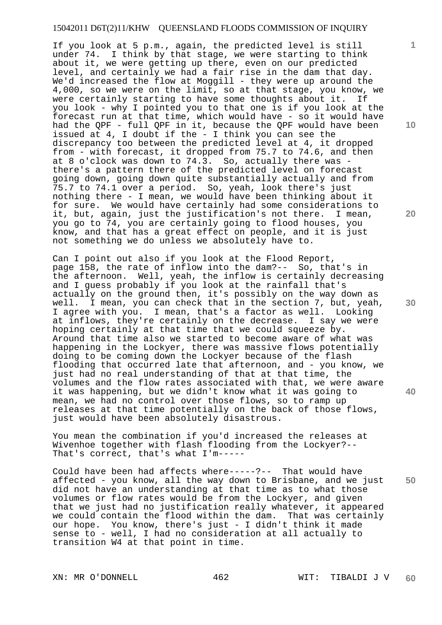If you look at 5 p.m., again, the predicted level is still under 74. I think by that stage, we were starting to think about it, we were getting up there, even on our predicted level, and certainly we had a fair rise in the dam that day. We'd increased the flow at Moggill - they were up around the 4,000, so we were on the limit, so at that stage, you know, we were certainly starting to have some thoughts about it. If you look - why I pointed you to that one is if you look at the forecast run at that time, which would have - so it would have had the QPF - full QPF in it, because the QPF would have been issued at 4, I doubt if the - I think you can see the discrepancy too between the predicted level at 4, it dropped from - with forecast, it dropped from 75.7 to 74.6, and then at 8 o'clock was down to  $74.\overline{3}$ . So, actually there was there's a pattern there of the predicted level on forecast going down, going down quite substantially actually and from 75.7 to 74.1 over a period. So, yeah, look there's just nothing there - I mean, we would have been thinking about it for sure. We would have certainly had some considerations to it, but, again, just the justification's not there. I mean, you go to 74, you are certainly going to flood houses, you know, and that has a great effect on people, and it is just not something we do unless we absolutely have to.

Can I point out also if you look at the Flood Report, page 158, the rate of inflow into the dam?-- So, that's in the afternoon. Well, yeah, the inflow is certainly decreasing and I guess probably if you look at the rainfall that's actually on the ground then, it's possibly on the way down as well. I mean, you can check that in the section 7, but, yeah, I agree with you. I mean, that's a factor as well. Looking at inflows, they're certainly on the decrease. I say we were hoping certainly at that time that we could squeeze by. Around that time also we started to become aware of what was happening in the Lockyer, there was massive flows potentially doing to be coming down the Lockyer because of the flash flooding that occurred late that afternoon, and - you know, we just had no real understanding of that at that time, the volumes and the flow rates associated with that, we were aware it was happening, but we didn't know what it was going to mean, we had no control over those flows, so to ramp up releases at that time potentially on the back of those flows, just would have been absolutely disastrous.

You mean the combination if you'd increased the releases at Wivenhoe together with flash flooding from the Lockyer?-- That's correct, that's what I'm-----

**50**  Could have been had affects where-----?-- That would have affected - you know, all the way down to Brisbane, and we just did not have an understanding at that time as to what those volumes or flow rates would be from the Lockyer, and given that we just had no justification really whatever, it appeared we could contain the flood within the dam. That was certainly our hope. You know, there's just - I didn't think it made sense to - well, I had no consideration at all actually to transition W4 at that point in time.

**10** 

**1**

**20** 

**30**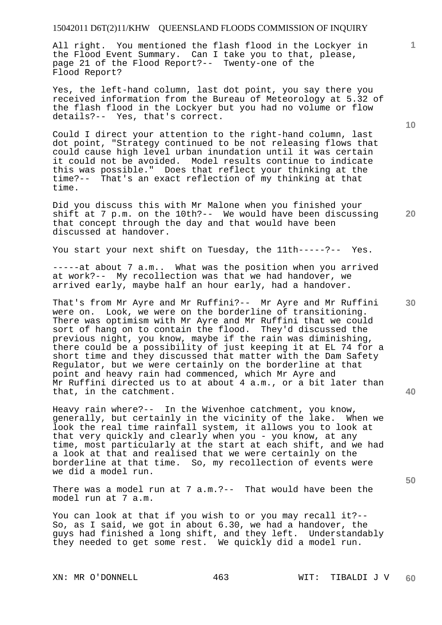All right. You mentioned the flash flood in the Lockyer in the Flood Event Summary. Can I take you to that, please, page 21 of the Flood Report?-- Twenty-one of the Flood Report?

Yes, the left-hand column, last dot point, you say there you received information from the Bureau of Meteorology at 5.32 of the flash flood in the Lockyer but you had no volume or flow details?-- Yes, that's correct.

Could I direct your attention to the right-hand column, last dot point, "Strategy continued to be not releasing flows that could cause high level urban inundation until it was certain it could not be avoided. Model results continue to indicate this was possible." Does that reflect your thinking at the time?-- That's an exact reflection of my thinking at that time.

Did you discuss this with Mr Malone when you finished your shift at 7 p.m. on the 10th?-- We would have been discussing that concept through the day and that would have been discussed at handover.

You start your next shift on Tuesday, the 11th-----?-- Yes.

-----at about 7 a.m.. What was the position when you arrived at work?-- My recollection was that we had handover, we arrived early, maybe half an hour early, had a handover.

That's from Mr Ayre and Mr Ruffini?-- Mr Ayre and Mr Ruffini were on. Look, we were on the borderline of transitioning. There was optimism with Mr Ayre and Mr Ruffini that we could sort of hang on to contain the flood. They'd discussed the previous night, you know, maybe if the rain was diminishing, there could be a possibility of just keeping it at EL 74 for a short time and they discussed that matter with the Dam Safety Regulator, but we were certainly on the borderline at that point and heavy rain had commenced, which Mr Ayre and Mr Ruffini directed us to at about 4 a.m., or a bit later than that, in the catchment.

Heavy rain where?-- In the Wivenhoe catchment, you know, generally, but certainly in the vicinity of the lake. When we look the real time rainfall system, it allows you to look at that very quickly and clearly when you - you know, at any time, most particularly at the start at each shift, and we had a look at that and realised that we were certainly on the borderline at that time. So, my recollection of events were we did a model run.

There was a model run at 7 a.m.?-- That would have been the model run at 7 a.m.

You can look at that if you wish to or you may recall it?-- So, as I said, we got in about 6.30, we had a handover, the guys had finished a long shift, and they left. Understandably they needed to get some rest. We quickly did a model run.

**10** 

**1**

**20** 

**30**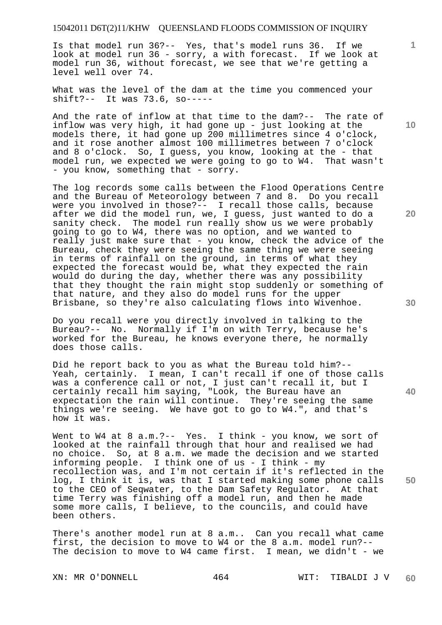Is that model run 36?-- Yes, that's model runs 36. If we look at model run 36 - sorry, a with forecast. If we look at model run 36, without forecast, we see that we're getting a level well over 74.

What was the level of the dam at the time you commenced your shift?-- It was 73.6, so-----

And the rate of inflow at that time to the dam?-- The rate of inflow was very high, it had gone up - just looking at the models there, it had gone up 200 millimetres since 4 o'clock, and it rose another almost 100 millimetres between 7 o'clock and 8 o'clock. So, I guess, you know, looking at the - that model run, we expected we were going to go to W4. That wasn't - you know, something that - sorry.

The log records some calls between the Flood Operations Centre and the Bureau of Meteorology between 7 and 8. Do you recall were you involved in those?-- I recall those calls, because after we did the model run, we, I guess, just wanted to do a sanity check. The model run really show us we were probably going to go to W4, there was no option, and we wanted to really just make sure that - you know, check the advice of the Bureau, check they were seeing the same thing we were seeing in terms of rainfall on the ground, in terms of what they expected the forecast would be, what they expected the rain would do during the day, whether there was any possibility that they thought the rain might stop suddenly or something of that nature, and they also do model runs for the upper Brisbane, so they're also calculating flows into Wivenhoe.

Do you recall were you directly involved in talking to the Bureau?-- No. Normally if I'm on with Terry, because he's worked for the Bureau, he knows everyone there, he normally does those calls.

Did he report back to you as what the Bureau told him?-- Yeah, certainly. I mean, I can't recall if one of those calls was a conference call or not, I just can't recall it, but I certainly recall him saying, "Look, the Bureau have an expectation the rain will continue. They're seeing the same things we're seeing. We have got to go to W4.", and that's how it was.

Went to W4 at 8 a.m.?-- Yes. I think - you know, we sort of looked at the rainfall through that hour and realised we had no choice. So, at 8 a.m. we made the decision and we started informing people. I think one of us - I think - my recollection was, and I'm not certain if it's reflected in the log, I think it is, was that I started making some phone calls to the CEO of Seqwater, to the Dam Safety Regulator. At that time Terry was finishing off a model run, and then he made some more calls, I believe, to the councils, and could have been others.

There's another model run at 8 a.m.. Can you recall what came first, the decision to move to W4 or the 8 a.m. model run?-- The decision to move to W4 came first. I mean, we didn't - we

**10** 

**1**

**20** 

**30** 

**40**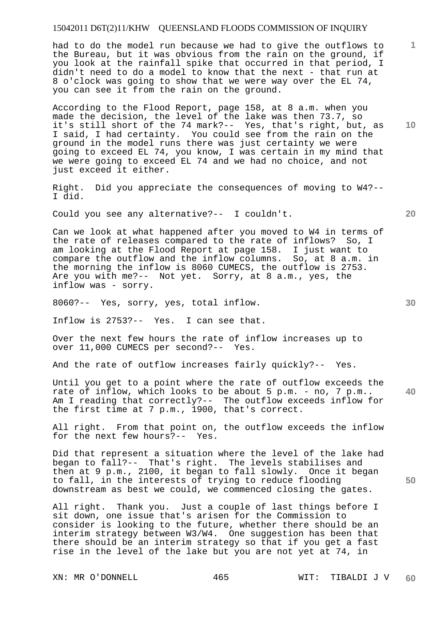had to do the model run because we had to give the outflows to the Bureau, but it was obvious from the rain on the ground, if you look at the rainfall spike that occurred in that period, I didn't need to do a model to know that the next - that run at 8 o'clock was going to show that we were way over the EL 74, you can see it from the rain on the ground.

According to the Flood Report, page 158, at 8 a.m. when you made the decision, the level of the lake was then 73.7, so it's still short of the 74 mark?-- Yes, that's right, but, as I said, I had certainty. You could see from the rain on the ground in the model runs there was just certainty we were going to exceed EL 74, you know, I was certain in my mind that we were going to exceed EL 74 and we had no choice, and not just exceed it either.

Right. Did you appreciate the consequences of moving to W4?-- I did.

Could you see any alternative?-- I couldn't.

Can we look at what happened after you moved to W4 in terms of the rate of releases compared to the rate of inflows? So, I am looking at the Flood Report at page 158. I just want to compare the outflow and the inflow columns. So, at 8 a.m. in the morning the inflow is 8060 CUMECS, the outflow is 2753. Are you with me?-- Not yet. Sorry, at 8 a.m., yes, the inflow was - sorry.

8060?-- Yes, sorry, yes, total inflow.

Inflow is 2753?-- Yes. I can see that.

Over the next few hours the rate of inflow increases up to over 11,000 CUMECS per second?-- Yes.

And the rate of outflow increases fairly quickly?-- Yes.

Until you get to a point where the rate of outflow exceeds the rate of inflow, which looks to be about 5 p.m. - no, 7 p.m.. Am I reading that correctly?-- The outflow exceeds inflow for the first time at 7 p.m., 1900, that's correct.

All right. From that point on, the outflow exceeds the inflow for the next few hours?-- Yes.

Did that represent a situation where the level of the lake had began to fall?-- That's right. The levels stabilises and then at 9 p.m., 2100, it began to fall slowly. Once it began to fall, in the interests of trying to reduce flooding downstream as best we could, we commenced closing the gates.

All right. Thank you. Just a couple of last things before I sit down, one issue that's arisen for the Commission to consider is looking to the future, whether there should be an interim strategy between W3/W4. One suggestion has been that there should be an interim strategy so that if you get a fast rise in the level of the lake but you are not yet at 74, in

**10** 

**1**

**30** 

**20** 

**40**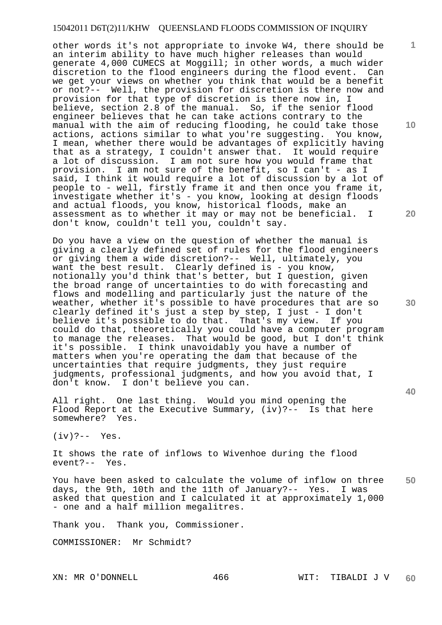other words it's not appropriate to invoke W4, there should be an interim ability to have much higher releases than would generate 4,000 CUMECS at Moggill; in other words, a much wider discretion to the flood engineers during the flood event. Can we get your views on whether you think that would be a benefit or not?-- Well, the provision for discretion is there now and provision for that type of discretion is there now in, I believe, section 2.8 of the manual. So, if the senior flood engineer believes that he can take actions contrary to the manual with the aim of reducing flooding, he could take those actions, actions similar to what you're suggesting. You know, I mean, whether there would be advantages of explicitly having that as a strategy, I couldn't answer that. It would require a lot of discussion. I am not sure how you would frame that provision. I am not sure of the benefit, so I can't - as I said, I think it would require a lot of discussion by a lot of people to - well, firstly frame it and then once you frame it, investigate whether it's - you know, looking at design floods and actual floods, you know, historical floods, make an assessment as to whether it may or may not be beneficial. I don't know, couldn't tell you, couldn't say.

Do you have a view on the question of whether the manual is giving a clearly defined set of rules for the flood engineers or giving them a wide discretion?-- Well, ultimately, you want the best result. Clearly defined is - you know, notionally you'd think that's better, but I question, given the broad range of uncertainties to do with forecasting and flows and modelling and particularly just the nature of the weather, whether it's possible to have procedures that are so clearly defined it's just a step by step, I just - I don't<br>believe it's possible to do that. That's my view. If you believe it's possible to do that. That's my view. could do that, theoretically you could have a computer program to manage the releases. That would be good, but I don't think it's possible. I think unavoidably you have a number of matters when you're operating the dam that because of the uncertainties that require judgments, they just require judgments, professional judgments, and how you avoid that, I don't know. I don't believe you can.

All right. One last thing. Would you mind opening the Flood Report at the Executive Summary, (iv)?-- Is that here somewhere? Yes.

 $(iv)$  ?-- Yes.

It shows the rate of inflows to Wivenhoe during the flood event?-- Yes.

**50**  You have been asked to calculate the volume of inflow on three days, the 9th, 10th and the 11th of January?-- Yes. I was asked that question and I calculated it at approximately 1,000 - one and a half million megalitres.

Thank you. Thank you, Commissioner.

COMMISSIONER: Mr Schmidt?

**10** 

**1**

**20** 

**40**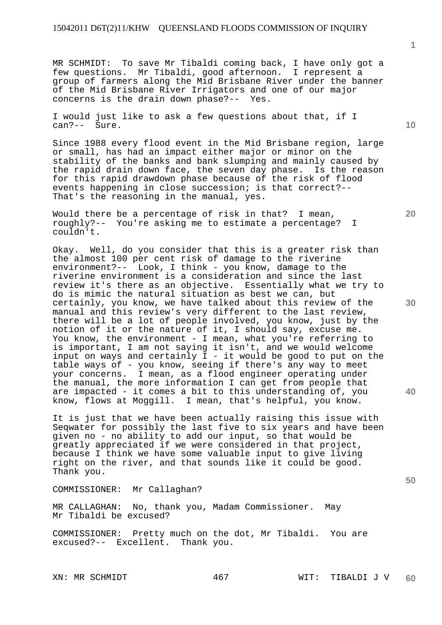MR SCHMIDT: To save Mr Tibaldi coming back, I have only got a few questions. Mr Tibaldi, good afternoon. I represent a group of farmers along the Mid Brisbane River under the banner of the Mid Brisbane River Irrigators and one of our major concerns is the drain down phase?-- Yes.

I would just like to ask a few questions about that, if I can?-- Sure.

Since 1988 every flood event in the Mid Brisbane region, large or small, has had an impact either major or minor on the stability of the banks and bank slumping and mainly caused by the rapid drain down face, the seven day phase. Is the reason for this rapid drawdown phase because of the risk of flood events happening in close succession; is that correct?-- That's the reasoning in the manual, yes.

Would there be a percentage of risk in that? I mean, roughly?-- You're asking me to estimate a percentage? I couldn't.

Okay. Well, do you consider that this is a greater risk than the almost 100 per cent risk of damage to the riverine environment?-- Look, I think - you know, damage to the riverine environment is a consideration and since the last review it's there as an objective. Essentially what we try to do is mimic the natural situation as best we can, but certainly, you know, we have talked about this review of the manual and this review's very different to the last review, there will be a lot of people involved, you know, just by the notion of it or the nature of it, I should say, excuse me. You know, the environment - I mean, what you're referring to is important, I am not saying it isn't, and we would welcome input on ways and certainly  $I - it$  would be good to put on the table ways of - you know, seeing if there's any way to meet your concerns. I mean, as a flood engineer operating under the manual, the more information I can get from people that are impacted - it comes a bit to this understanding of, you know, flows at Moggill. I mean, that's helpful, you know.

It is just that we have been actually raising this issue with Seqwater for possibly the last five to six years and have been given no - no ability to add our input, so that would be greatly appreciated if we were considered in that project, because I think we have some valuable input to give living right on the river, and that sounds like it could be good. Thank you.

COMMISSIONER: Mr Callaghan?

MR CALLAGHAN: No, thank you, Madam Commissioner. May Mr Tibaldi be excused?

COMMISSIONER: Pretty much on the dot, Mr Tibaldi. You are excused?-- Excellent. Thank you.

**10** 

**1**

**20** 

**30** 

**40**